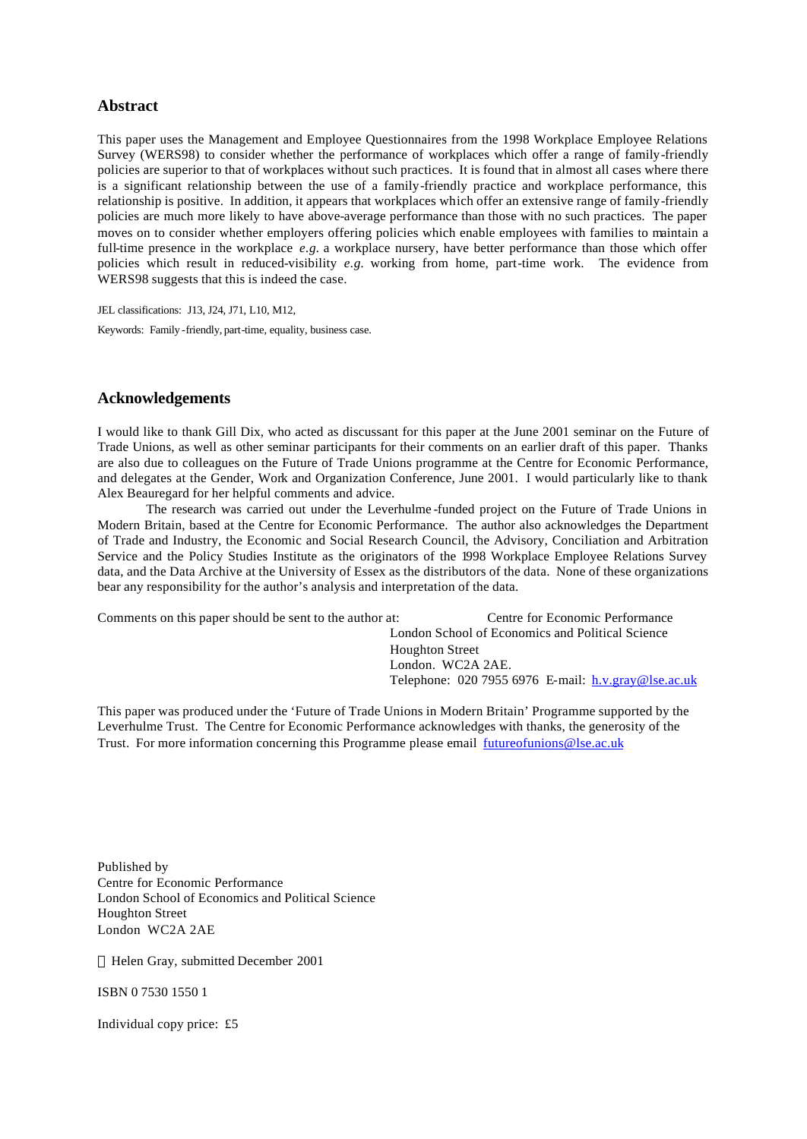#### **Abstract**

This paper uses the Management and Employee Questionnaires from the 1998 Workplace Employee Relations Survey (WERS98) to consider whether the performance of workplaces which offer a range of family-friendly policies are superior to that of workplaces without such practices. It is found that in almost all cases where there is a significant relationship between the use of a family-friendly practice and workplace performance, this relationship is positive. In addition, it appears that workplaces which offer an extensive range of family-friendly policies are much more likely to have above-average performance than those with no such practices. The paper moves on to consider whether employers offering policies which enable employees with families to maintain a full-time presence in the workplace *e.g.* a workplace nursery, have better performance than those which offer policies which result in reduced-visibility *e.g.* working from home, part-time work. The evidence from WERS98 suggests that this is indeed the case.

JEL classifications: J13, J24, J71, L10, M12, Keywords: Family -friendly, part-time, equality, business case.

#### **Acknowledgements**

I would like to thank Gill Dix, who acted as discussant for this paper at the June 2001 seminar on the Future of Trade Unions, as well as other seminar participants for their comments on an earlier draft of this paper. Thanks are also due to colleagues on the Future of Trade Unions programme at the Centre for Economic Performance, and delegates at the Gender, Work and Organization Conference, June 2001. I would particularly like to thank Alex Beauregard for her helpful comments and advice.

The research was carried out under the Leverhulme -funded project on the Future of Trade Unions in Modern Britain, based at the Centre for Economic Performance. The author also acknowledges the Department of Trade and Industry, the Economic and Social Research Council, the Advisory, Conciliation and Arbitration Service and the Policy Studies Institute as the originators of the 1998 Workplace Employee Relations Survey data, and the Data Archive at the University of Essex as the distributors of the data. None of these organizations bear any responsibility for the author's analysis and interpretation of the data.

| Comments on this paper should be sent to the author at: | Centre for Economic Performance                                  |
|---------------------------------------------------------|------------------------------------------------------------------|
|                                                         | London School of Economics and Political Science                 |
|                                                         | <b>Houghton Street</b>                                           |
|                                                         | London. WC2A 2AE.                                                |
|                                                         | Telephone: $020\,7955\,6976$ E-mail: $h.v.\text{gray@lse.ac.uk}$ |
|                                                         |                                                                  |

This paper was produced under the 'Future of Trade Unions in Modern Britain' Programme supported by the Leverhulme Trust. The Centre for Economic Performance acknowledges with thanks, the generosity of the Trust. For more information concerning this Programme please email futureofunions @lse.ac.uk

Published by Centre for Economic Performance London School of Economics and Political Science Houghton Street London WC2A 2AE

Helen Gray, submitted December 2001

ISBN 0 7530 1550 1

Individual copy price: £5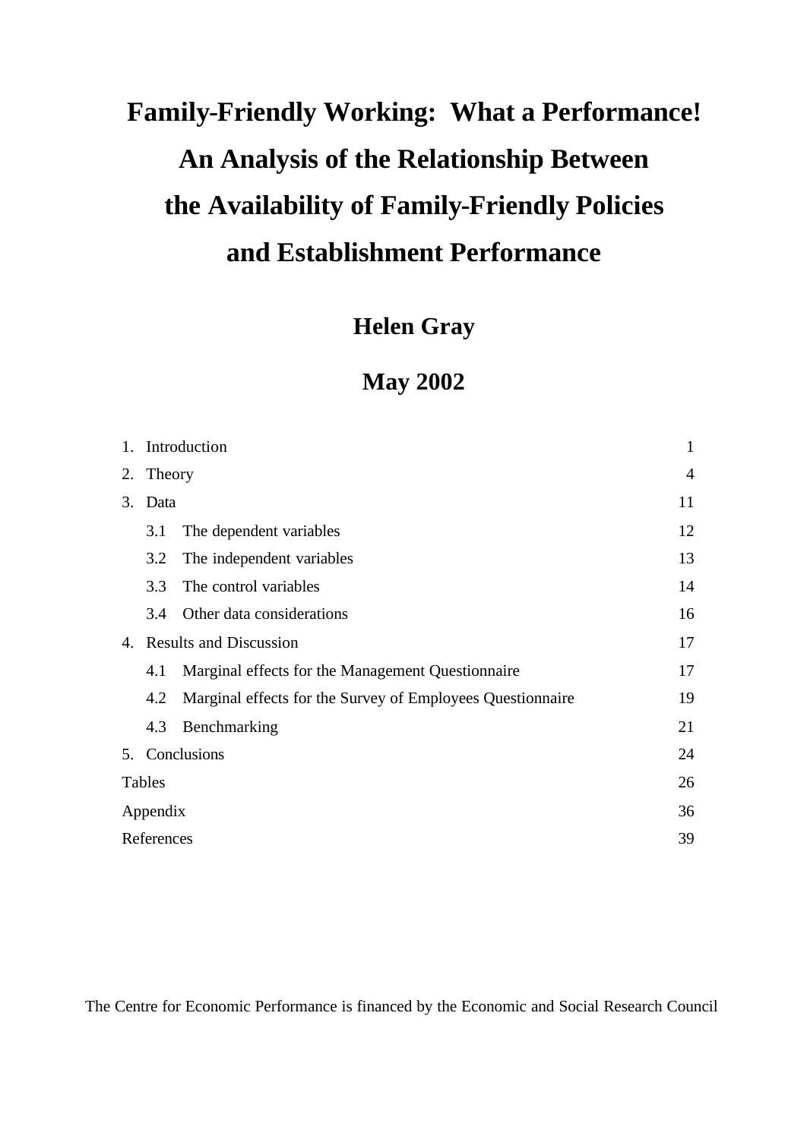# **Family-Friendly Working: What a Performance! An Analysis of the Relationship Between the Availability of Family-Friendly Policies and Establishment Performance**

# **Helen Gray**

# **May 2002**

| 1. | Introduction                     |                                                            |    |  |  |  |  |
|----|----------------------------------|------------------------------------------------------------|----|--|--|--|--|
| 2. | Theory                           |                                                            |    |  |  |  |  |
| 3. | Data                             |                                                            | 11 |  |  |  |  |
|    | 3.1                              | The dependent variables                                    | 12 |  |  |  |  |
|    | 3.2                              | The independent variables                                  | 13 |  |  |  |  |
|    | 3.3                              | The control variables                                      | 14 |  |  |  |  |
|    | Other data considerations<br>3.4 |                                                            |    |  |  |  |  |
| 4. | <b>Results and Discussion</b>    |                                                            |    |  |  |  |  |
|    | 4.1                              | Marginal effects for the Management Questionnaire          | 17 |  |  |  |  |
|    | 4.2                              | Marginal effects for the Survey of Employees Questionnaire | 19 |  |  |  |  |
|    | 4.3                              | Benchmarking                                               | 21 |  |  |  |  |
|    |                                  | 5. Conclusions                                             | 24 |  |  |  |  |
|    | Tables                           |                                                            | 26 |  |  |  |  |
|    | Appendix                         |                                                            | 36 |  |  |  |  |
|    | References                       |                                                            | 39 |  |  |  |  |

The Centre for Economic Performance is financed by the Economic and Social Research Council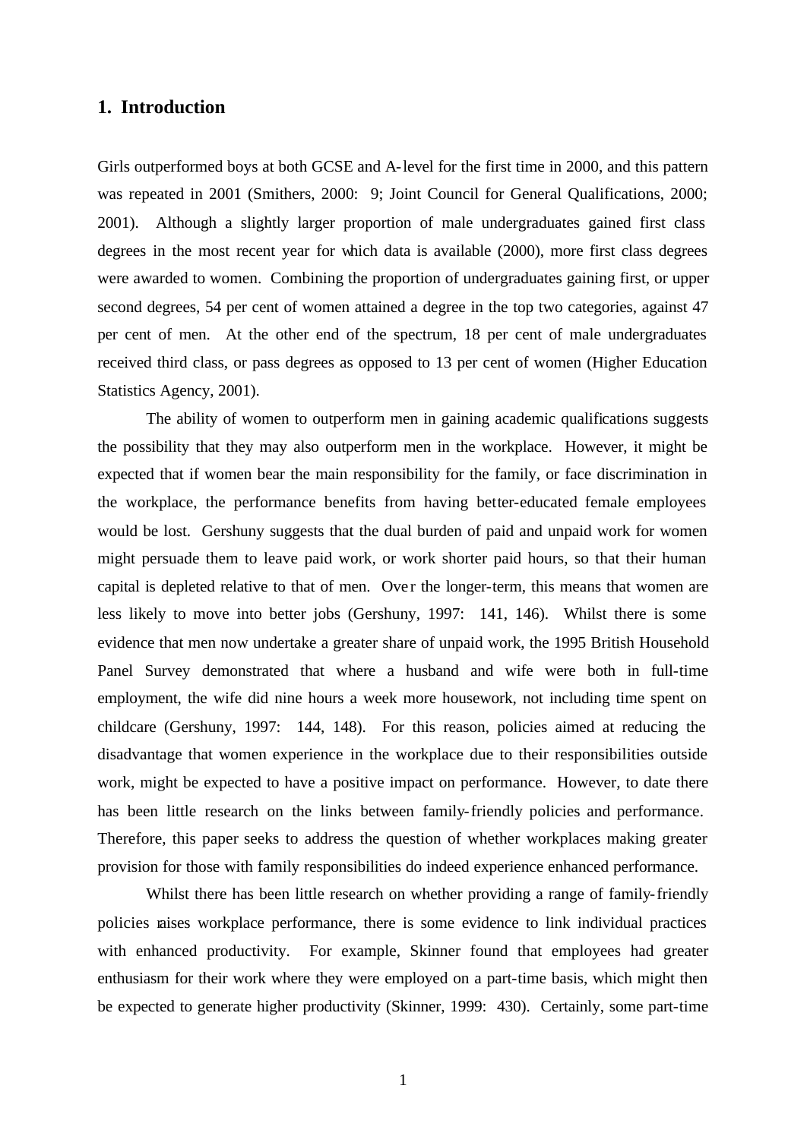#### **1. Introduction**

Girls outperformed boys at both GCSE and A-level for the first time in 2000, and this pattern was repeated in 2001 (Smithers, 2000: 9; Joint Council for General Qualifications, 2000; 2001). Although a slightly larger proportion of male undergraduates gained first class degrees in the most recent year for which data is available (2000), more first class degrees were awarded to women. Combining the proportion of undergraduates gaining first, or upper second degrees, 54 per cent of women attained a degree in the top two categories, against 47 per cent of men. At the other end of the spectrum, 18 per cent of male undergraduates received third class, or pass degrees as opposed to 13 per cent of women (Higher Education Statistics Agency, 2001).

The ability of women to outperform men in gaining academic qualifications suggests the possibility that they may also outperform men in the workplace. However, it might be expected that if women bear the main responsibility for the family, or face discrimination in the workplace, the performance benefits from having better-educated female employees would be lost. Gershuny suggests that the dual burden of paid and unpaid work for women might persuade them to leave paid work, or work shorter paid hours, so that their human capital is depleted relative to that of men. Over the longer-term, this means that women are less likely to move into better jobs (Gershuny, 1997: 141, 146). Whilst there is some evidence that men now undertake a greater share of unpaid work, the 1995 British Household Panel Survey demonstrated that where a husband and wife were both in full-time employment, the wife did nine hours a week more housework, not including time spent on childcare (Gershuny, 1997: 144, 148). For this reason, policies aimed at reducing the disadvantage that women experience in the workplace due to their responsibilities outside work, might be expected to have a positive impact on performance. However, to date there has been little research on the links between family-friendly policies and performance. Therefore, this paper seeks to address the question of whether workplaces making greater provision for those with family responsibilities do indeed experience enhanced performance.

Whilst there has been little research on whether providing a range of family-friendly policies raises workplace performance, there is some evidence to link individual practices with enhanced productivity. For example, Skinner found that employees had greater enthusiasm for their work where they were employed on a part-time basis, which might then be expected to generate higher productivity (Skinner, 1999: 430). Certainly, some part-time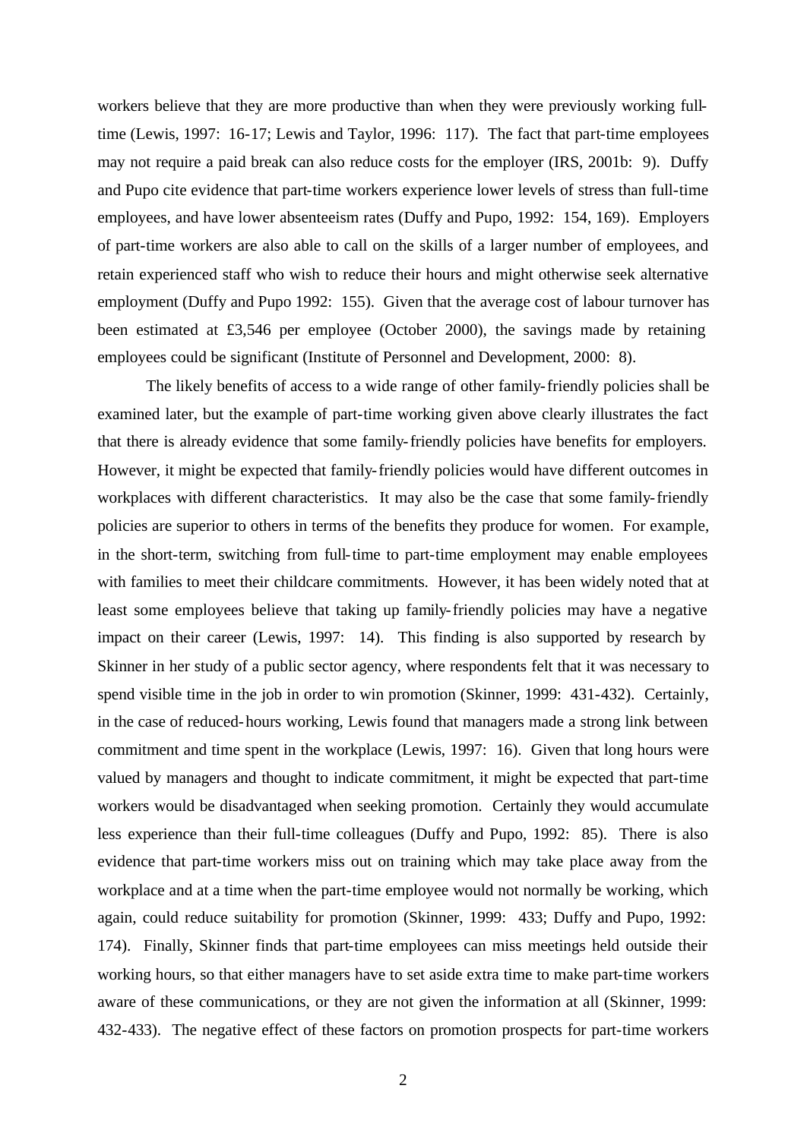workers believe that they are more productive than when they were previously working fulltime (Lewis, 1997: 16-17; Lewis and Taylor, 1996: 117). The fact that part-time employees may not require a paid break can also reduce costs for the employer (IRS, 2001b: 9). Duffy and Pupo cite evidence that part-time workers experience lower levels of stress than full-time employees, and have lower absenteeism rates (Duffy and Pupo, 1992: 154, 169). Employers of part-time workers are also able to call on the skills of a larger number of employees, and retain experienced staff who wish to reduce their hours and might otherwise seek alternative employment (Duffy and Pupo 1992: 155). Given that the average cost of labour turnover has been estimated at £3,546 per employee (October 2000), the savings made by retaining employees could be significant (Institute of Personnel and Development, 2000: 8).

The likely benefits of access to a wide range of other family-friendly policies shall be examined later, but the example of part-time working given above clearly illustrates the fact that there is already evidence that some family-friendly policies have benefits for employers. However, it might be expected that family-friendly policies would have different outcomes in workplaces with different characteristics. It may also be the case that some family-friendly policies are superior to others in terms of the benefits they produce for women. For example, in the short-term, switching from full-time to part-time employment may enable employees with families to meet their childcare commitments. However, it has been widely noted that at least some employees believe that taking up family-friendly policies may have a negative impact on their career (Lewis, 1997: 14). This finding is also supported by research by Skinner in her study of a public sector agency, where respondents felt that it was necessary to spend visible time in the job in order to win promotion (Skinner, 1999: 431-432). Certainly, in the case of reduced-hours working, Lewis found that managers made a strong link between commitment and time spent in the workplace (Lewis, 1997: 16). Given that long hours were valued by managers and thought to indicate commitment, it might be expected that part-time workers would be disadvantaged when seeking promotion. Certainly they would accumulate less experience than their full-time colleagues (Duffy and Pupo, 1992: 85). There is also evidence that part-time workers miss out on training which may take place away from the workplace and at a time when the part-time employee would not normally be working, which again, could reduce suitability for promotion (Skinner, 1999: 433; Duffy and Pupo, 1992: 174). Finally, Skinner finds that part-time employees can miss meetings held outside their working hours, so that either managers have to set aside extra time to make part-time workers aware of these communications, or they are not given the information at all (Skinner, 1999: 432-433). The negative effect of these factors on promotion prospects for part-time workers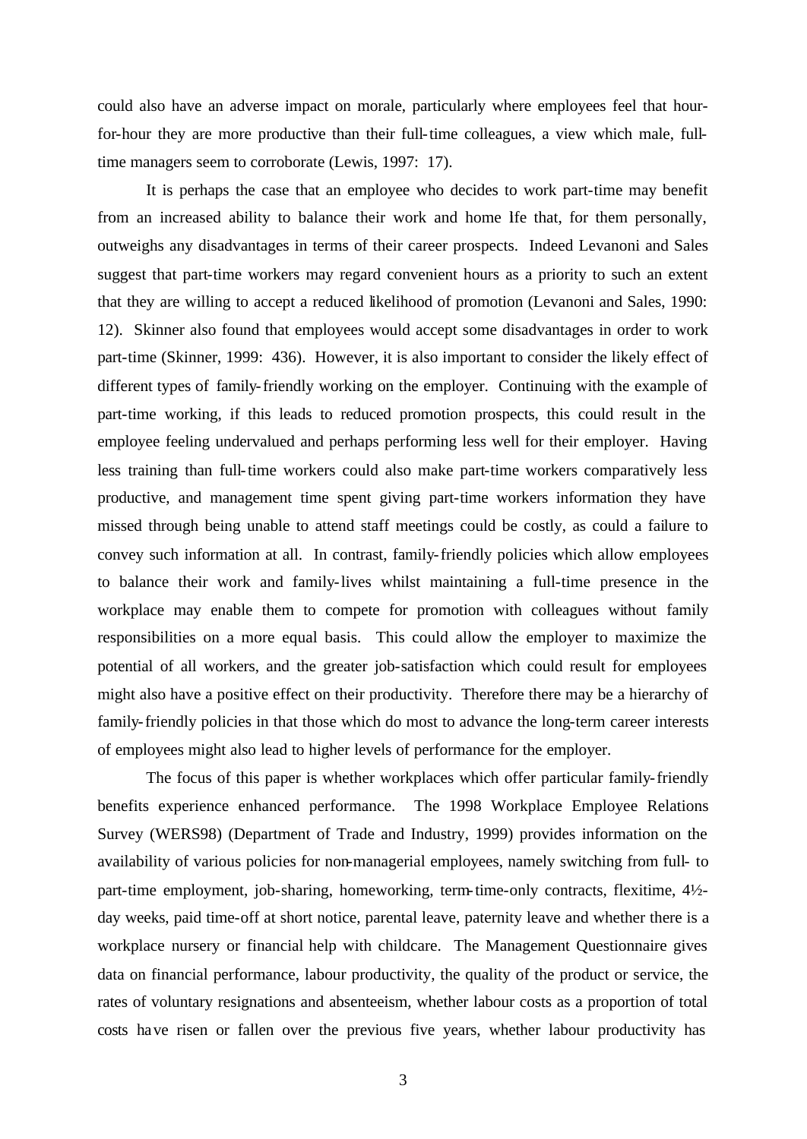could also have an adverse impact on morale, particularly where employees feel that hourfor-hour they are more productive than their full-time colleagues, a view which male, fulltime managers seem to corroborate (Lewis, 1997: 17).

It is perhaps the case that an employee who decides to work part-time may benefit from an increased ability to balance their work and home lfe that, for them personally, outweighs any disadvantages in terms of their career prospects. Indeed Levanoni and Sales suggest that part-time workers may regard convenient hours as a priority to such an extent that they are willing to accept a reduced likelihood of promotion (Levanoni and Sales, 1990: 12). Skinner also found that employees would accept some disadvantages in order to work part-time (Skinner, 1999: 436). However, it is also important to consider the likely effect of different types of family-friendly working on the employer. Continuing with the example of part-time working, if this leads to reduced promotion prospects, this could result in the employee feeling undervalued and perhaps performing less well for their employer. Having less training than full-time workers could also make part-time workers comparatively less productive, and management time spent giving part-time workers information they have missed through being unable to attend staff meetings could be costly, as could a failure to convey such information at all. In contrast, family-friendly policies which allow employees to balance their work and family-lives whilst maintaining a full-time presence in the workplace may enable them to compete for promotion with colleagues without family responsibilities on a more equal basis. This could allow the employer to maximize the potential of all workers, and the greater job-satisfaction which could result for employees might also have a positive effect on their productivity. Therefore there may be a hierarchy of family-friendly policies in that those which do most to advance the long-term career interests of employees might also lead to higher levels of performance for the employer.

The focus of this paper is whether workplaces which offer particular family-friendly benefits experience enhanced performance. The 1998 Workplace Employee Relations Survey (WERS98) (Department of Trade and Industry, 1999) provides information on the availability of various policies for non-managerial employees, namely switching from full- to part-time employment, job-sharing, homeworking, term-time-only contracts, flexitime, 4½ day weeks, paid time-off at short notice, parental leave, paternity leave and whether there is a workplace nursery or financial help with childcare. The Management Questionnaire gives data on financial performance, labour productivity, the quality of the product or service, the rates of voluntary resignations and absenteeism, whether labour costs as a proportion of total costs have risen or fallen over the previous five years, whether labour productivity has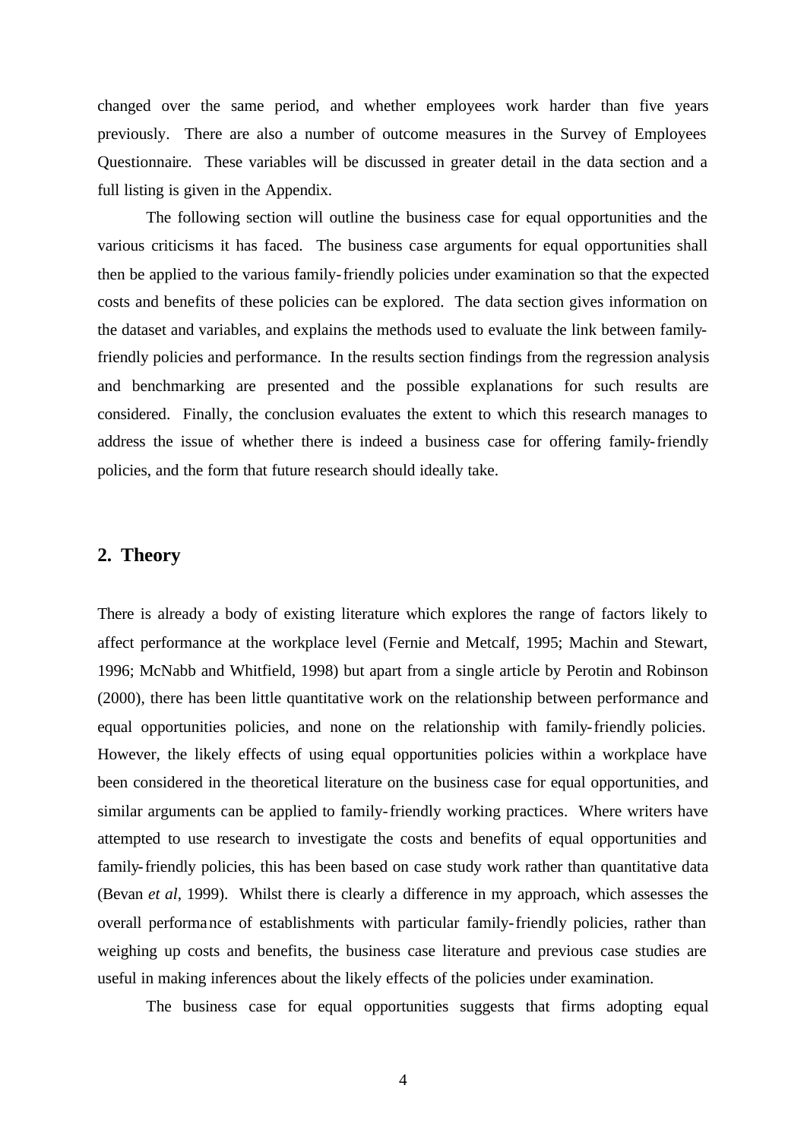changed over the same period, and whether employees work harder than five years previously. There are also a number of outcome measures in the Survey of Employees Questionnaire. These variables will be discussed in greater detail in the data section and a full listing is given in the Appendix.

The following section will outline the business case for equal opportunities and the various criticisms it has faced. The business case arguments for equal opportunities shall then be applied to the various family-friendly policies under examination so that the expected costs and benefits of these policies can be explored. The data section gives information on the dataset and variables, and explains the methods used to evaluate the link between familyfriendly policies and performance. In the results section findings from the regression analysis and benchmarking are presented and the possible explanations for such results are considered. Finally, the conclusion evaluates the extent to which this research manages to address the issue of whether there is indeed a business case for offering family-friendly policies, and the form that future research should ideally take.

#### **2. Theory**

There is already a body of existing literature which explores the range of factors likely to affect performance at the workplace level (Fernie and Metcalf, 1995; Machin and Stewart, 1996; McNabb and Whitfield, 1998) but apart from a single article by Perotin and Robinson (2000), there has been little quantitative work on the relationship between performance and equal opportunities policies, and none on the relationship with family-friendly policies. However, the likely effects of using equal opportunities policies within a workplace have been considered in the theoretical literature on the business case for equal opportunities, and similar arguments can be applied to family-friendly working practices. Where writers have attempted to use research to investigate the costs and benefits of equal opportunities and family-friendly policies, this has been based on case study work rather than quantitative data (Bevan *et al*, 1999). Whilst there is clearly a difference in my approach, which assesses the overall performance of establishments with particular family-friendly policies, rather than weighing up costs and benefits, the business case literature and previous case studies are useful in making inferences about the likely effects of the policies under examination.

The business case for equal opportunities suggests that firms adopting equal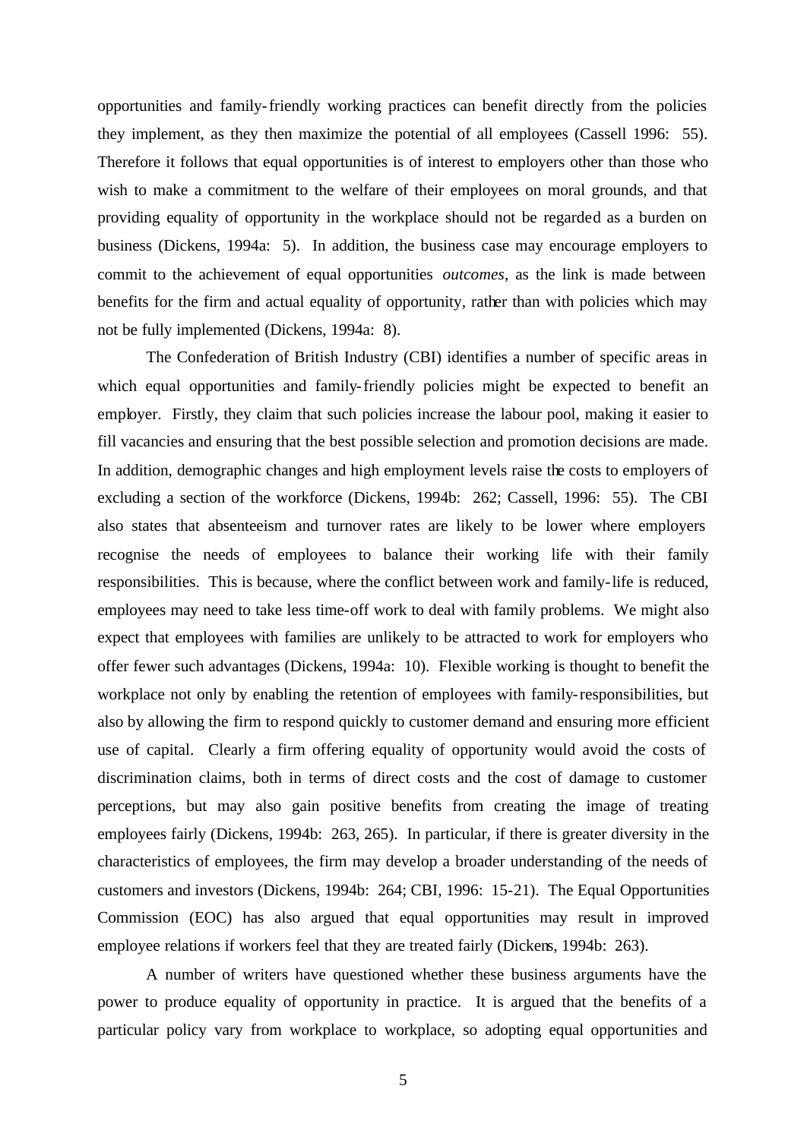opportunities and family-friendly working practices can benefit directly from the policies they implement, as they then maximize the potential of all employees (Cassell 1996: 55). Therefore it follows that equal opportunities is of interest to employers other than those who wish to make a commitment to the welfare of their employees on moral grounds, and that providing equality of opportunity in the workplace should not be regarded as a burden on business (Dickens, 1994a: 5). In addition, the business case may encourage employers to commit to the achievement of equal opportunities *outcomes*, as the link is made between benefits for the firm and actual equality of opportunity, rather than with policies which may not be fully implemented (Dickens, 1994a: 8).

The Confederation of British Industry (CBI) identifies a number of specific areas in which equal opportunities and family-friendly policies might be expected to benefit an employer. Firstly, they claim that such policies increase the labour pool, making it easier to fill vacancies and ensuring that the best possible selection and promotion decisions are made. In addition, demographic changes and high employment levels raise the costs to employers of excluding a section of the workforce (Dickens, 1994b: 262; Cassell, 1996: 55). The CBI also states that absenteeism and turnover rates are likely to be lower where employers recognise the needs of employees to balance their working life with their family responsibilities. This is because, where the conflict between work and family-life is reduced, employees may need to take less time-off work to deal with family problems. We might also expect that employees with families are unlikely to be attracted to work for employers who offer fewer such advantages (Dickens, 1994a: 10). Flexible working is thought to benefit the workplace not only by enabling the retention of employees with family-responsibilities, but also by allowing the firm to respond quickly to customer demand and ensuring more efficient use of capital. Clearly a firm offering equality of opportunity would avoid the costs of discrimination claims, both in terms of direct costs and the cost of damage to customer perceptions, but may also gain positive benefits from creating the image of treating employees fairly (Dickens, 1994b: 263, 265). In particular, if there is greater diversity in the characteristics of employees, the firm may develop a broader understanding of the needs of customers and investors (Dickens, 1994b: 264; CBI, 1996: 15-21). The Equal Opportunities Commission (EOC) has also argued that equal opportunities may result in improved employee relations if workers feel that they are treated fairly (Dickens, 1994b: 263).

A number of writers have questioned whether these business arguments have the power to produce equality of opportunity in practice. It is argued that the benefits of a particular policy vary from workplace to workplace, so adopting equal opportunities and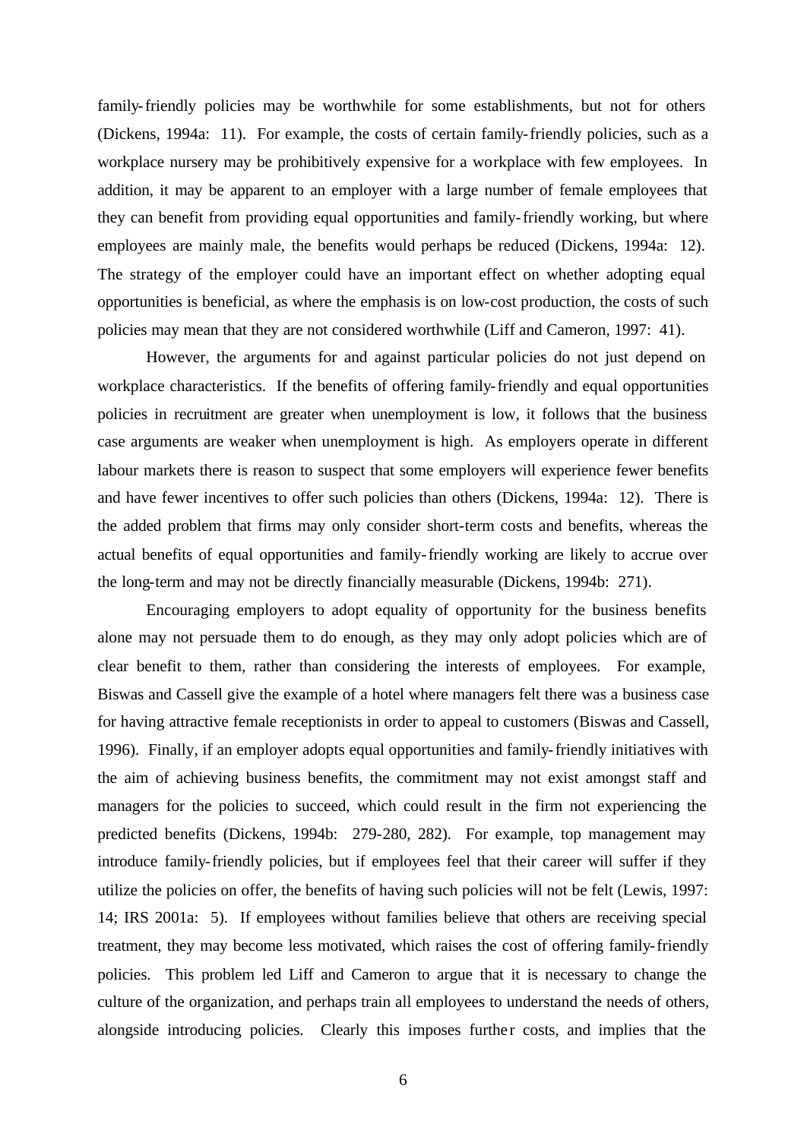family-friendly policies may be worthwhile for some establishments, but not for others (Dickens, 1994a: 11). For example, the costs of certain family-friendly policies, such as a workplace nursery may be prohibitively expensive for a workplace with few employees. In addition, it may be apparent to an employer with a large number of female employees that they can benefit from providing equal opportunities and family-friendly working, but where employees are mainly male, the benefits would perhaps be reduced (Dickens, 1994a: 12). The strategy of the employer could have an important effect on whether adopting equal opportunities is beneficial, as where the emphasis is on low-cost production, the costs of such policies may mean that they are not considered worthwhile (Liff and Cameron, 1997: 41).

However, the arguments for and against particular policies do not just depend on workplace characteristics. If the benefits of offering family-friendly and equal opportunities policies in recruitment are greater when unemployment is low, it follows that the business case arguments are weaker when unemployment is high. As employers operate in different labour markets there is reason to suspect that some employers will experience fewer benefits and have fewer incentives to offer such policies than others (Dickens, 1994a: 12). There is the added problem that firms may only consider short-term costs and benefits, whereas the actual benefits of equal opportunities and family-friendly working are likely to accrue over the long-term and may not be directly financially measurable (Dickens, 1994b: 271).

Encouraging employers to adopt equality of opportunity for the business benefits alone may not persuade them to do enough, as they may only adopt policies which are of clear benefit to them, rather than considering the interests of employees. For example, Biswas and Cassell give the example of a hotel where managers felt there was a business case for having attractive female receptionists in order to appeal to customers (Biswas and Cassell, 1996). Finally, if an employer adopts equal opportunities and family-friendly initiatives with the aim of achieving business benefits, the commitment may not exist amongst staff and managers for the policies to succeed, which could result in the firm not experiencing the predicted benefits (Dickens, 1994b: 279-280, 282). For example, top management may introduce family-friendly policies, but if employees feel that their career will suffer if they utilize the policies on offer, the benefits of having such policies will not be felt (Lewis, 1997: 14; IRS 2001a: 5). If employees without families believe that others are receiving special treatment, they may become less motivated, which raises the cost of offering family-friendly policies. This problem led Liff and Cameron to argue that it is necessary to change the culture of the organization, and perhaps train all employees to understand the needs of others, alongside introducing policies. Clearly this imposes further costs, and implies that the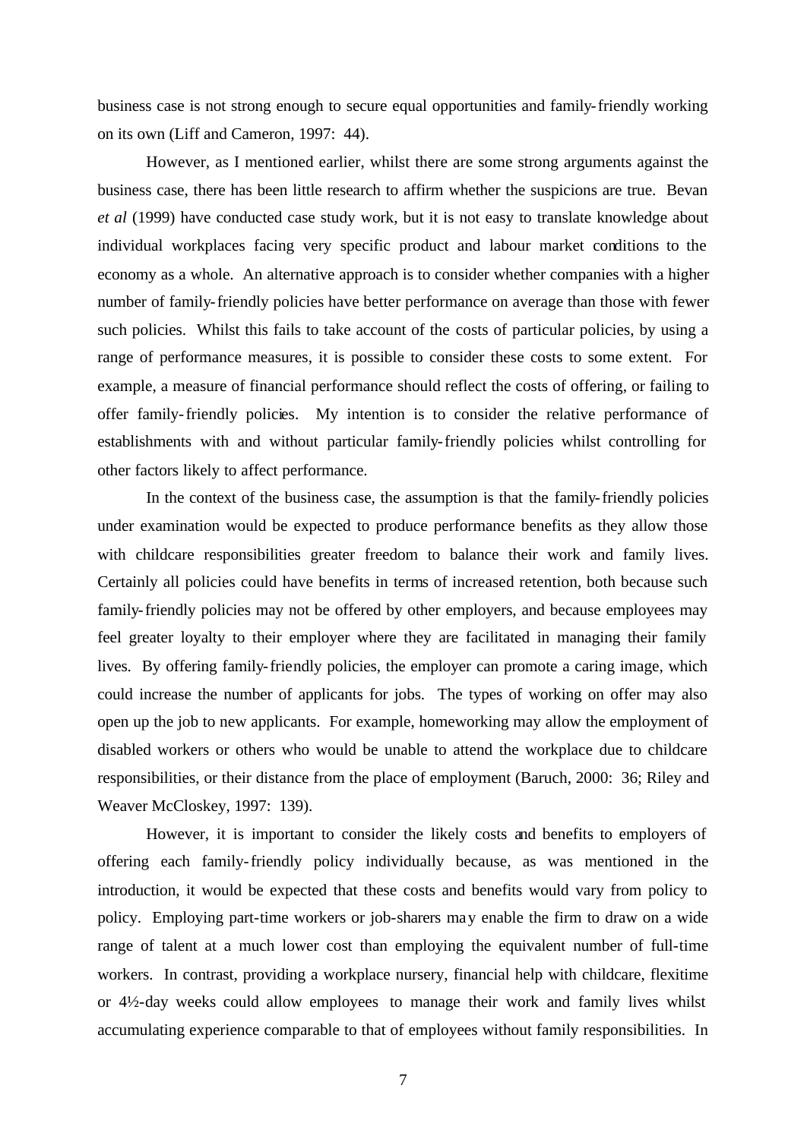business case is not strong enough to secure equal opportunities and family-friendly working on its own (Liff and Cameron, 1997: 44).

However, as I mentioned earlier, whilst there are some strong arguments against the business case, there has been little research to affirm whether the suspicions are true. Bevan *et al* (1999) have conducted case study work, but it is not easy to translate knowledge about individual workplaces facing very specific product and labour market conditions to the economy as a whole. An alternative approach is to consider whether companies with a higher number of family-friendly policies have better performance on average than those with fewer such policies. Whilst this fails to take account of the costs of particular policies, by using a range of performance measures, it is possible to consider these costs to some extent. For example, a measure of financial performance should reflect the costs of offering, or failing to offer family-friendly policies. My intention is to consider the relative performance of establishments with and without particular family-friendly policies whilst controlling for other factors likely to affect performance.

In the context of the business case, the assumption is that the family-friendly policies under examination would be expected to produce performance benefits as they allow those with childcare responsibilities greater freedom to balance their work and family lives. Certainly all policies could have benefits in terms of increased retention, both because such family-friendly policies may not be offered by other employers, and because employees may feel greater loyalty to their employer where they are facilitated in managing their family lives. By offering family-friendly policies, the employer can promote a caring image, which could increase the number of applicants for jobs. The types of working on offer may also open up the job to new applicants. For example, homeworking may allow the employment of disabled workers or others who would be unable to attend the workplace due to childcare responsibilities, or their distance from the place of employment (Baruch, 2000: 36; Riley and Weaver McCloskey, 1997: 139).

However, it is important to consider the likely costs and benefits to employers of offering each family-friendly policy individually because, as was mentioned in the introduction, it would be expected that these costs and benefits would vary from policy to policy. Employing part-time workers or job-sharers may enable the firm to draw on a wide range of talent at a much lower cost than employing the equivalent number of full-time workers. In contrast, providing a workplace nursery, financial help with childcare, flexitime or 4½-day weeks could allow employees to manage their work and family lives whilst accumulating experience comparable to that of employees without family responsibilities. In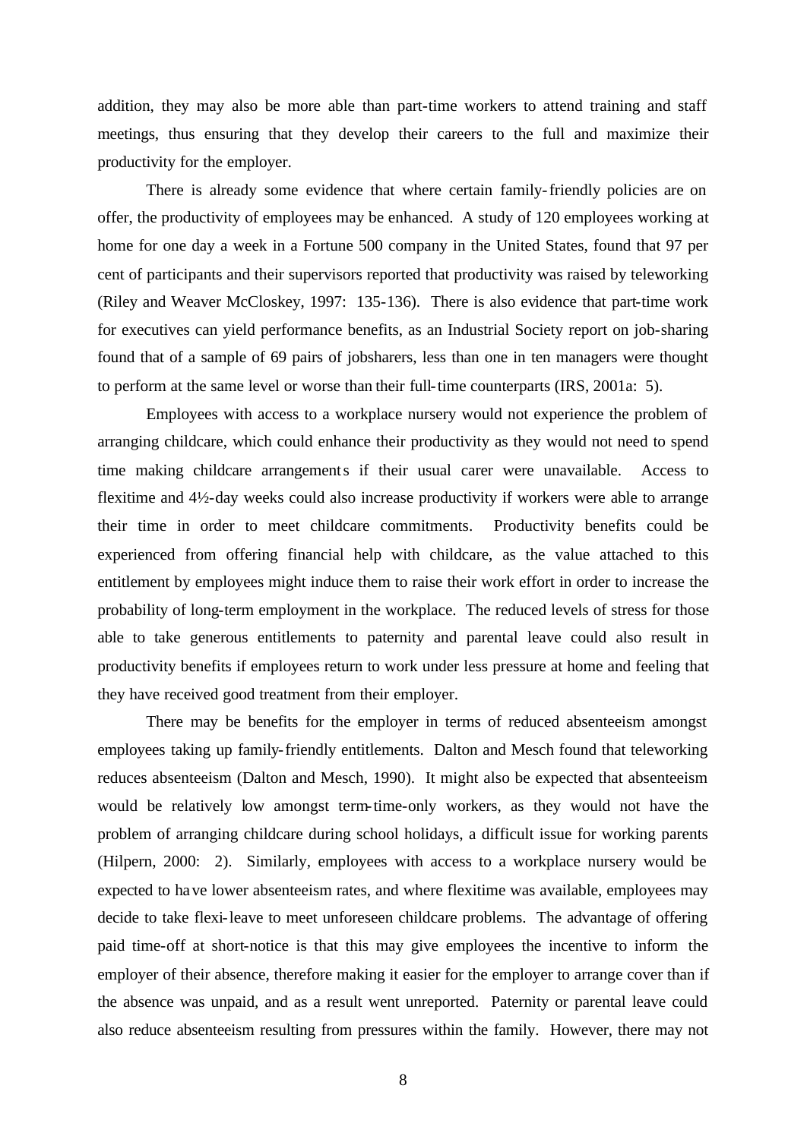addition, they may also be more able than part-time workers to attend training and staff meetings, thus ensuring that they develop their careers to the full and maximize their productivity for the employer.

There is already some evidence that where certain family-friendly policies are on offer, the productivity of employees may be enhanced. A study of 120 employees working at home for one day a week in a Fortune 500 company in the United States, found that 97 per cent of participants and their supervisors reported that productivity was raised by teleworking (Riley and Weaver McCloskey, 1997: 135-136). There is also evidence that part-time work for executives can yield performance benefits, as an Industrial Society report on job-sharing found that of a sample of 69 pairs of jobsharers, less than one in ten managers were thought to perform at the same level or worse than their full-time counterparts (IRS, 2001a: 5).

Employees with access to a workplace nursery would not experience the problem of arranging childcare, which could enhance their productivity as they would not need to spend time making childcare arrangements if their usual carer were unavailable. Access to flexitime and 4½-day weeks could also increase productivity if workers were able to arrange their time in order to meet childcare commitments. Productivity benefits could be experienced from offering financial help with childcare, as the value attached to this entitlement by employees might induce them to raise their work effort in order to increase the probability of long-term employment in the workplace. The reduced levels of stress for those able to take generous entitlements to paternity and parental leave could also result in productivity benefits if employees return to work under less pressure at home and feeling that they have received good treatment from their employer.

There may be benefits for the employer in terms of reduced absenteeism amongst employees taking up family-friendly entitlements. Dalton and Mesch found that teleworking reduces absenteeism (Dalton and Mesch, 1990). It might also be expected that absenteeism would be relatively low amongst term-time-only workers, as they would not have the problem of arranging childcare during school holidays, a difficult issue for working parents (Hilpern, 2000: 2). Similarly, employees with access to a workplace nursery would be expected to have lower absenteeism rates, and where flexitime was available, employees may decide to take flexi-leave to meet unforeseen childcare problems. The advantage of offering paid time-off at short-notice is that this may give employees the incentive to inform the employer of their absence, therefore making it easier for the employer to arrange cover than if the absence was unpaid, and as a result went unreported. Paternity or parental leave could also reduce absenteeism resulting from pressures within the family. However, there may not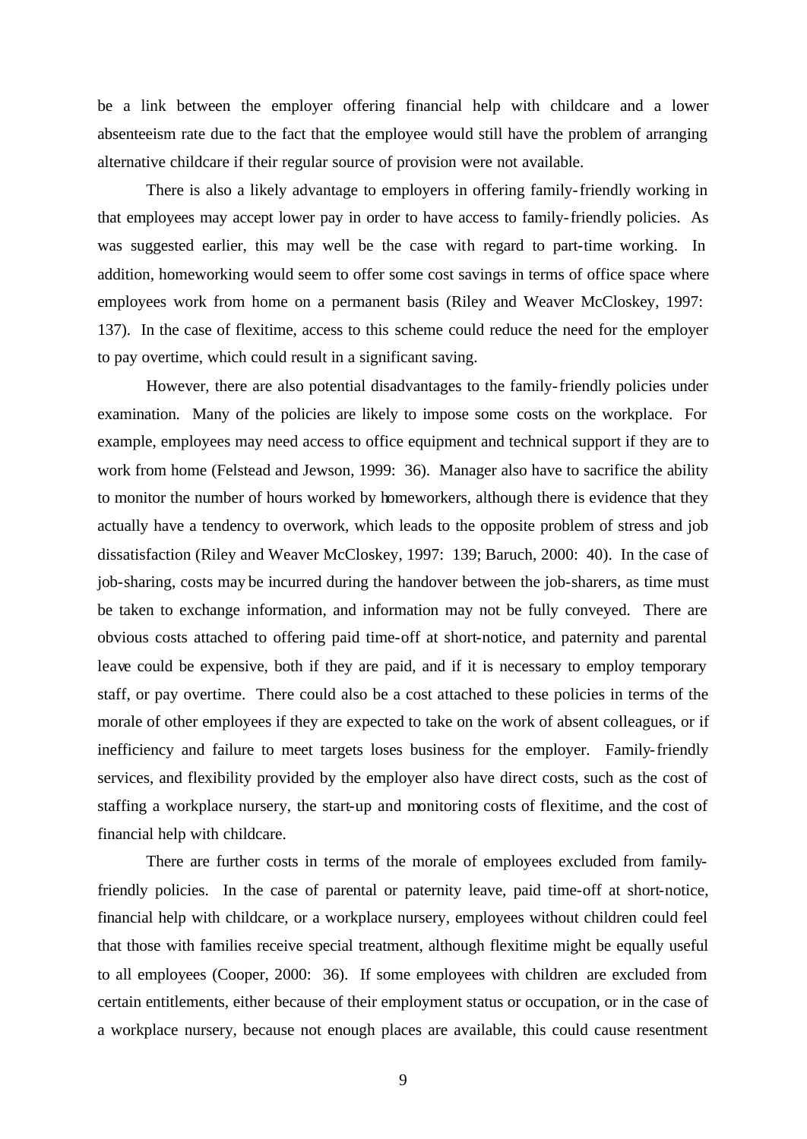be a link between the employer offering financial help with childcare and a lower absenteeism rate due to the fact that the employee would still have the problem of arranging alternative childcare if their regular source of provision were not available.

There is also a likely advantage to employers in offering family-friendly working in that employees may accept lower pay in order to have access to family-friendly policies. As was suggested earlier, this may well be the case with regard to part-time working. In addition, homeworking would seem to offer some cost savings in terms of office space where employees work from home on a permanent basis (Riley and Weaver McCloskey, 1997: 137). In the case of flexitime, access to this scheme could reduce the need for the employer to pay overtime, which could result in a significant saving.

However, there are also potential disadvantages to the family-friendly policies under examination. Many of the policies are likely to impose some costs on the workplace. For example, employees may need access to office equipment and technical support if they are to work from home (Felstead and Jewson, 1999: 36). Manager also have to sacrifice the ability to monitor the number of hours worked by homeworkers, although there is evidence that they actually have a tendency to overwork, which leads to the opposite problem of stress and job dissatisfaction (Riley and Weaver McCloskey, 1997: 139; Baruch, 2000: 40). In the case of job-sharing, costs may be incurred during the handover between the job-sharers, as time must be taken to exchange information, and information may not be fully conveyed. There are obvious costs attached to offering paid time-off at short-notice, and paternity and parental leave could be expensive, both if they are paid, and if it is necessary to employ temporary staff, or pay overtime. There could also be a cost attached to these policies in terms of the morale of other employees if they are expected to take on the work of absent colleagues, or if inefficiency and failure to meet targets loses business for the employer. Family-friendly services, and flexibility provided by the employer also have direct costs, such as the cost of staffing a workplace nursery, the start-up and monitoring costs of flexitime, and the cost of financial help with childcare.

There are further costs in terms of the morale of employees excluded from familyfriendly policies. In the case of parental or paternity leave, paid time-off at short-notice, financial help with childcare, or a workplace nursery, employees without children could feel that those with families receive special treatment, although flexitime might be equally useful to all employees (Cooper, 2000: 36). If some employees with children are excluded from certain entitlements, either because of their employment status or occupation, or in the case of a workplace nursery, because not enough places are available, this could cause resentment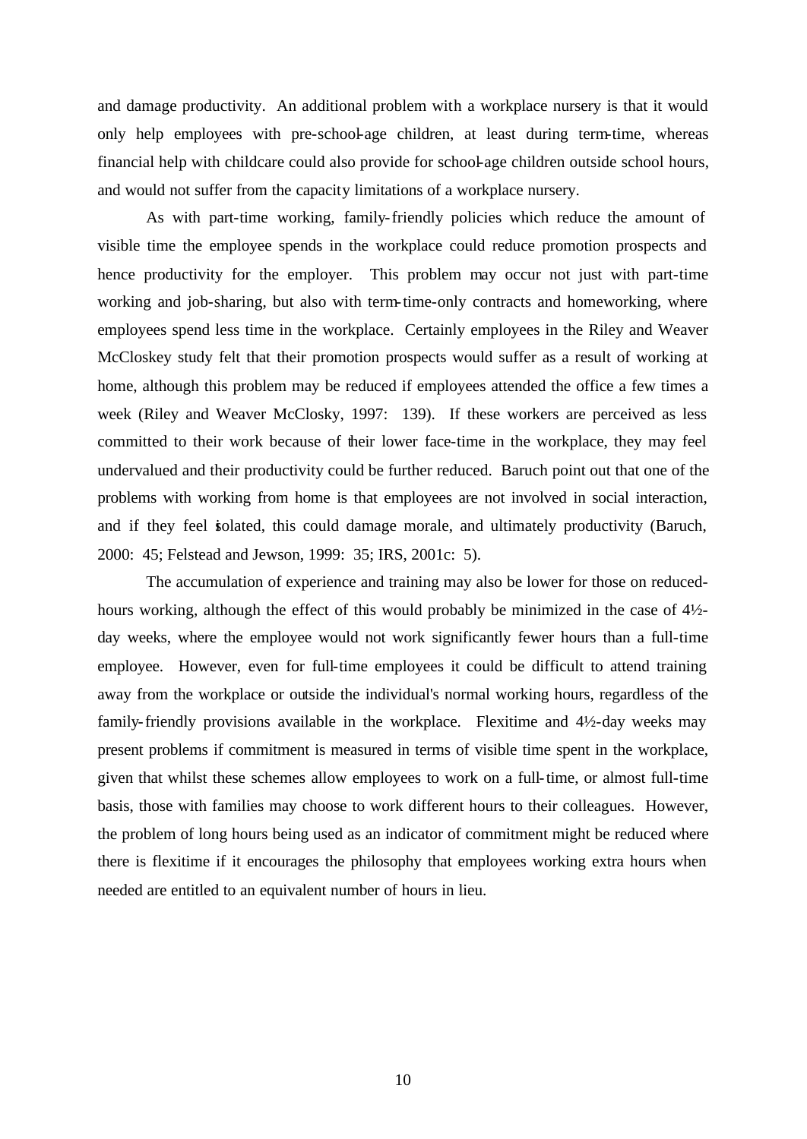and damage productivity. An additional problem with a workplace nursery is that it would only help employees with pre-school-age children, at least during term-time, whereas financial help with childcare could also provide for school-age children outside school hours, and would not suffer from the capacity limitations of a workplace nursery.

As with part-time working, family-friendly policies which reduce the amount of visible time the employee spends in the workplace could reduce promotion prospects and hence productivity for the employer. This problem may occur not just with part-time working and job-sharing, but also with term-time-only contracts and homeworking, where employees spend less time in the workplace. Certainly employees in the Riley and Weaver McCloskey study felt that their promotion prospects would suffer as a result of working at home, although this problem may be reduced if employees attended the office a few times a week (Riley and Weaver McClosky, 1997: 139). If these workers are perceived as less committed to their work because of their lower face-time in the workplace, they may feel undervalued and their productivity could be further reduced. Baruch point out that one of the problems with working from home is that employees are not involved in social interaction, and if they feel isolated, this could damage morale, and ultimately productivity (Baruch, 2000: 45; Felstead and Jewson, 1999: 35; IRS, 2001c: 5).

The accumulation of experience and training may also be lower for those on reducedhours working, although the effect of this would probably be minimized in the case of 4½ day weeks, where the employee would not work significantly fewer hours than a full-time employee. However, even for full-time employees it could be difficult to attend training away from the workplace or outside the individual's normal working hours, regardless of the family-friendly provisions available in the workplace. Flexitime and 4½-day weeks may present problems if commitment is measured in terms of visible time spent in the workplace, given that whilst these schemes allow employees to work on a full-time, or almost full-time basis, those with families may choose to work different hours to their colleagues. However, the problem of long hours being used as an indicator of commitment might be reduced where there is flexitime if it encourages the philosophy that employees working extra hours when needed are entitled to an equivalent number of hours in lieu.

10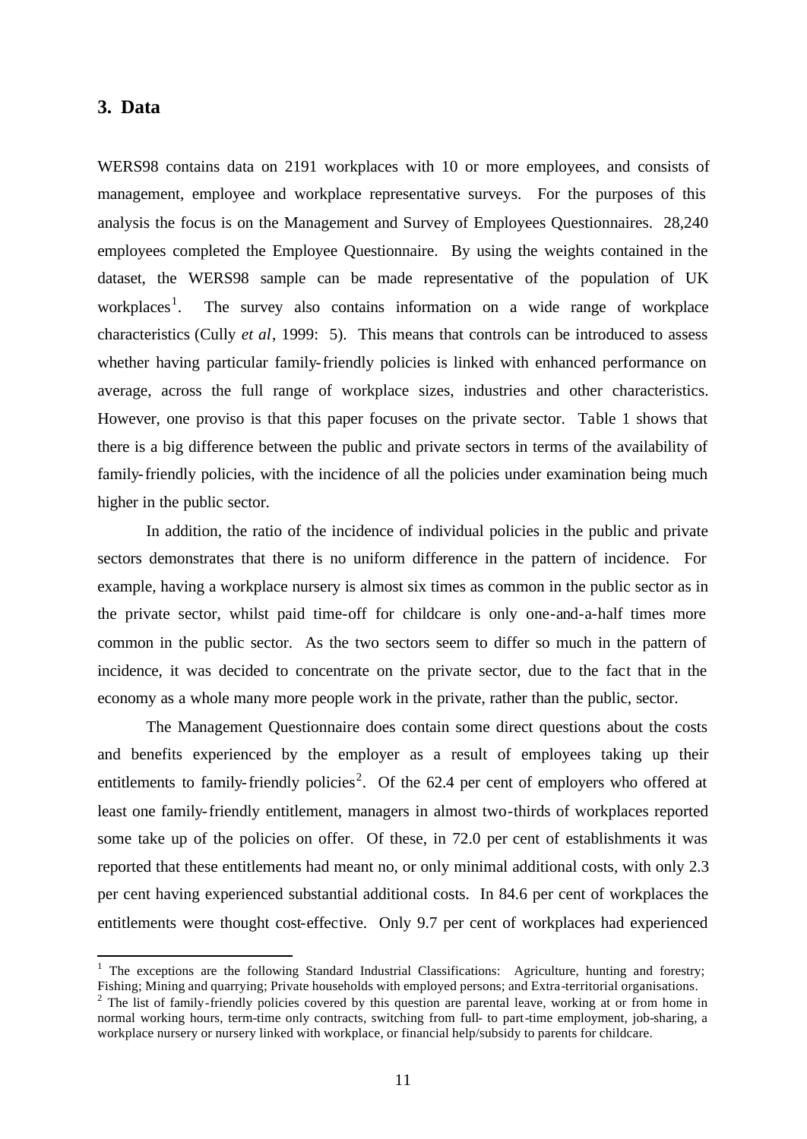#### **3. Data**

l

WERS98 contains data on 2191 workplaces with 10 or more employees, and consists of management, employee and workplace representative surveys. For the purposes of this analysis the focus is on the Management and Survey of Employees Questionnaires. 28,240 employees completed the Employee Questionnaire. By using the weights contained in the dataset, the WERS98 sample can be made representative of the population of UK workplaces<sup>1</sup>. . The survey also contains information on a wide range of workplace characteristics (Cully *et al*, 1999: 5). This means that controls can be introduced to assess whether having particular family-friendly policies is linked with enhanced performance on average, across the full range of workplace sizes, industries and other characteristics. However, one proviso is that this paper focuses on the private sector. Table 1 shows that there is a big difference between the public and private sectors in terms of the availability of family-friendly policies, with the incidence of all the policies under examination being much higher in the public sector.

In addition, the ratio of the incidence of individual policies in the public and private sectors demonstrates that there is no uniform difference in the pattern of incidence. For example, having a workplace nursery is almost six times as common in the public sector as in the private sector, whilst paid time-off for childcare is only one-and-a-half times more common in the public sector. As the two sectors seem to differ so much in the pattern of incidence, it was decided to concentrate on the private sector, due to the fact that in the economy as a whole many more people work in the private, rather than the public, sector.

The Management Questionnaire does contain some direct questions about the costs and benefits experienced by the employer as a result of employees taking up their entitlements to family-friendly policies<sup>2</sup>. Of the 62.4 per cent of employers who offered at least one family-friendly entitlement, managers in almost two-thirds of workplaces reported some take up of the policies on offer. Of these, in 72.0 per cent of establishments it was reported that these entitlements had meant no, or only minimal additional costs, with only 2.3 per cent having experienced substantial additional costs. In 84.6 per cent of workplaces the entitlements were thought cost-effective. Only 9.7 per cent of workplaces had experienced

<sup>&</sup>lt;sup>1</sup> The exceptions are the following Standard Industrial Classifications: Agriculture, hunting and forestry; Fishing; Mining and quarrying; Private households with employed persons; and Extra-territorial organisations.

 $2$  The list of family-friendly policies covered by this question are parental leave, working at or from home in normal working hours, term-time only contracts, switching from full- to part-time employment, job-sharing, a workplace nursery or nursery linked with workplace, or financial help/subsidy to parents for childcare.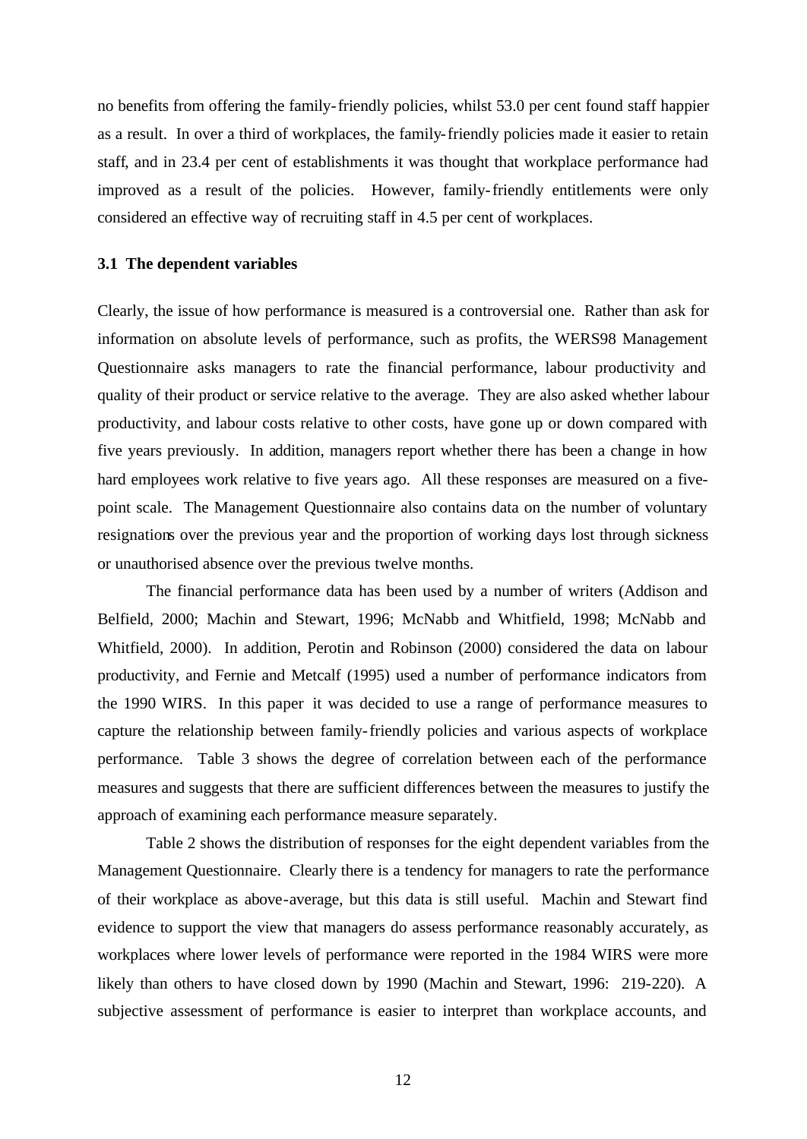no benefits from offering the family-friendly policies, whilst 53.0 per cent found staff happier as a result. In over a third of workplaces, the family-friendly policies made it easier to retain staff, and in 23.4 per cent of establishments it was thought that workplace performance had improved as a result of the policies. However, family-friendly entitlements were only considered an effective way of recruiting staff in 4.5 per cent of workplaces.

#### **3.1 The dependent variables**

Clearly, the issue of how performance is measured is a controversial one. Rather than ask for information on absolute levels of performance, such as profits, the WERS98 Management Questionnaire asks managers to rate the financial performance, labour productivity and quality of their product or service relative to the average. They are also asked whether labour productivity, and labour costs relative to other costs, have gone up or down compared with five years previously. In addition, managers report whether there has been a change in how hard employees work relative to five years ago. All these responses are measured on a fivepoint scale. The Management Questionnaire also contains data on the number of voluntary resignations over the previous year and the proportion of working days lost through sickness or unauthorised absence over the previous twelve months.

The financial performance data has been used by a number of writers (Addison and Belfield, 2000; Machin and Stewart, 1996; McNabb and Whitfield, 1998; McNabb and Whitfield, 2000). In addition, Perotin and Robinson (2000) considered the data on labour productivity, and Fernie and Metcalf (1995) used a number of performance indicators from the 1990 WIRS. In this paper it was decided to use a range of performance measures to capture the relationship between family-friendly policies and various aspects of workplace performance. Table 3 shows the degree of correlation between each of the performance measures and suggests that there are sufficient differences between the measures to justify the approach of examining each performance measure separately.

Table 2 shows the distribution of responses for the eight dependent variables from the Management Questionnaire. Clearly there is a tendency for managers to rate the performance of their workplace as above-average, but this data is still useful. Machin and Stewart find evidence to support the view that managers do assess performance reasonably accurately, as workplaces where lower levels of performance were reported in the 1984 WIRS were more likely than others to have closed down by 1990 (Machin and Stewart, 1996: 219-220). A subjective assessment of performance is easier to interpret than workplace accounts, and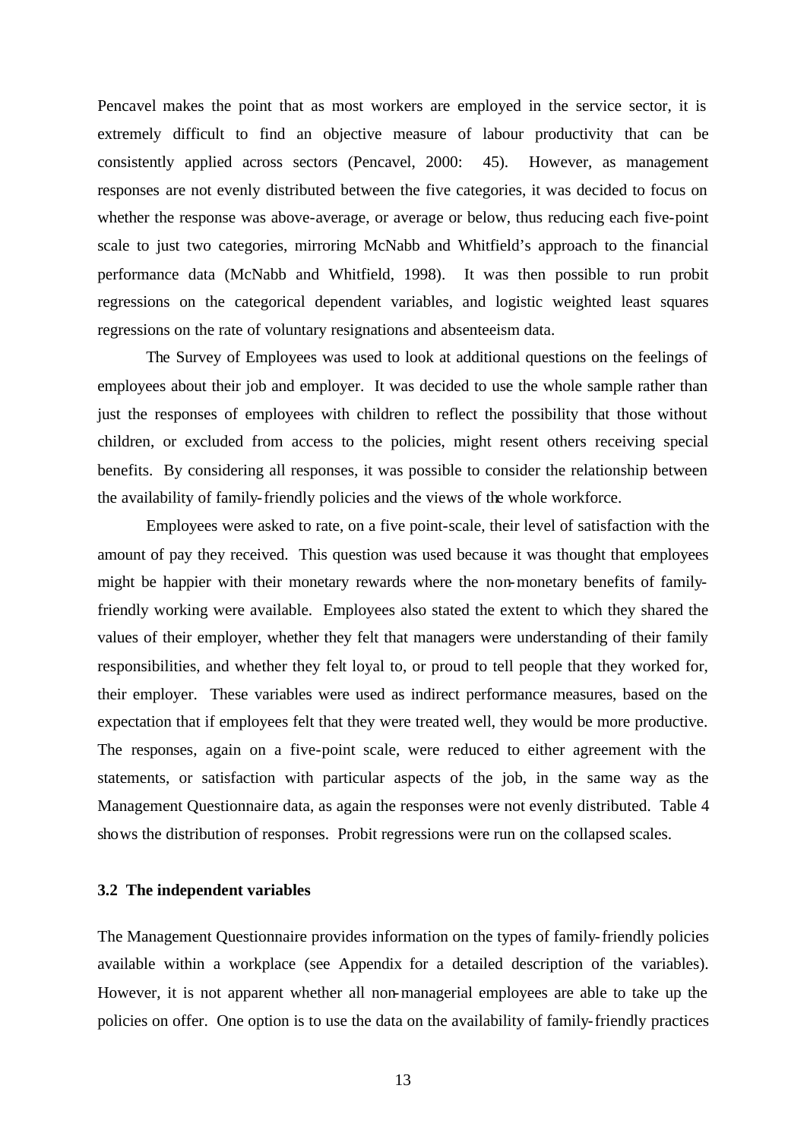Pencavel makes the point that as most workers are employed in the service sector, it is extremely difficult to find an objective measure of labour productivity that can be consistently applied across sectors (Pencavel, 2000: 45). However, as management responses are not evenly distributed between the five categories, it was decided to focus on whether the response was above-average, or average or below, thus reducing each five-point scale to just two categories, mirroring McNabb and Whitfield's approach to the financial performance data (McNabb and Whitfield, 1998). It was then possible to run probit regressions on the categorical dependent variables, and logistic weighted least squares regressions on the rate of voluntary resignations and absenteeism data.

The Survey of Employees was used to look at additional questions on the feelings of employees about their job and employer. It was decided to use the whole sample rather than just the responses of employees with children to reflect the possibility that those without children, or excluded from access to the policies, might resent others receiving special benefits. By considering all responses, it was possible to consider the relationship between the availability of family-friendly policies and the views of the whole workforce.

Employees were asked to rate, on a five point-scale, their level of satisfaction with the amount of pay they received. This question was used because it was thought that employees might be happier with their monetary rewards where the non-monetary benefits of familyfriendly working were available. Employees also stated the extent to which they shared the values of their employer, whether they felt that managers were understanding of their family responsibilities, and whether they felt loyal to, or proud to tell people that they worked for, their employer. These variables were used as indirect performance measures, based on the expectation that if employees felt that they were treated well, they would be more productive. The responses, again on a five-point scale, were reduced to either agreement with the statements, or satisfaction with particular aspects of the job, in the same way as the Management Questionnaire data, as again the responses were not evenly distributed. Table 4 shows the distribution of responses. Probit regressions were run on the collapsed scales.

#### **3.2 The independent variables**

The Management Questionnaire provides information on the types of family-friendly policies available within a workplace (see Appendix for a detailed description of the variables). However, it is not apparent whether all non-managerial employees are able to take up the policies on offer. One option is to use the data on the availability of family-friendly practices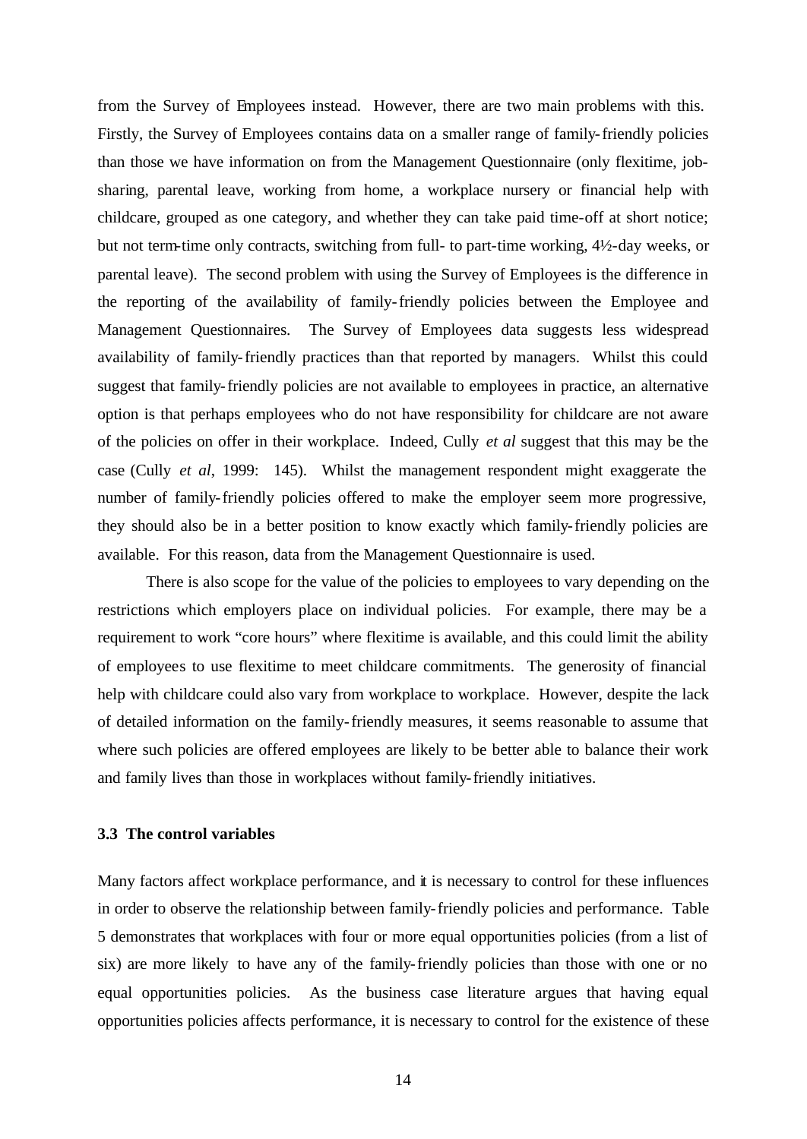from the Survey of Employees instead. However, there are two main problems with this. Firstly, the Survey of Employees contains data on a smaller range of family-friendly policies than those we have information on from the Management Questionnaire (only flexitime, jobsharing, parental leave, working from home, a workplace nursery or financial help with childcare, grouped as one category, and whether they can take paid time-off at short notice; but not term-time only contracts, switching from full- to part-time working, 4½-day weeks, or parental leave). The second problem with using the Survey of Employees is the difference in the reporting of the availability of family-friendly policies between the Employee and Management Questionnaires. The Survey of Employees data suggests less widespread availability of family-friendly practices than that reported by managers. Whilst this could suggest that family-friendly policies are not available to employees in practice, an alternative option is that perhaps employees who do not have responsibility for childcare are not aware of the policies on offer in their workplace. Indeed, Cully *et al* suggest that this may be the case (Cully *et al*, 1999: 145). Whilst the management respondent might exaggerate the number of family-friendly policies offered to make the employer seem more progressive, they should also be in a better position to know exactly which family-friendly policies are available. For this reason, data from the Management Questionnaire is used.

There is also scope for the value of the policies to employees to vary depending on the restrictions which employers place on individual policies. For example, there may be a requirement to work "core hours" where flexitime is available, and this could limit the ability of employees to use flexitime to meet childcare commitments. The generosity of financial help with childcare could also vary from workplace to workplace. However, despite the lack of detailed information on the family-friendly measures, it seems reasonable to assume that where such policies are offered employees are likely to be better able to balance their work and family lives than those in workplaces without family-friendly initiatives.

#### **3.3 The control variables**

Many factors affect workplace performance, and it is necessary to control for these influences in order to observe the relationship between family-friendly policies and performance. Table 5 demonstrates that workplaces with four or more equal opportunities policies (from a list of six) are more likely to have any of the family-friendly policies than those with one or no equal opportunities policies. As the business case literature argues that having equal opportunities policies affects performance, it is necessary to control for the existence of these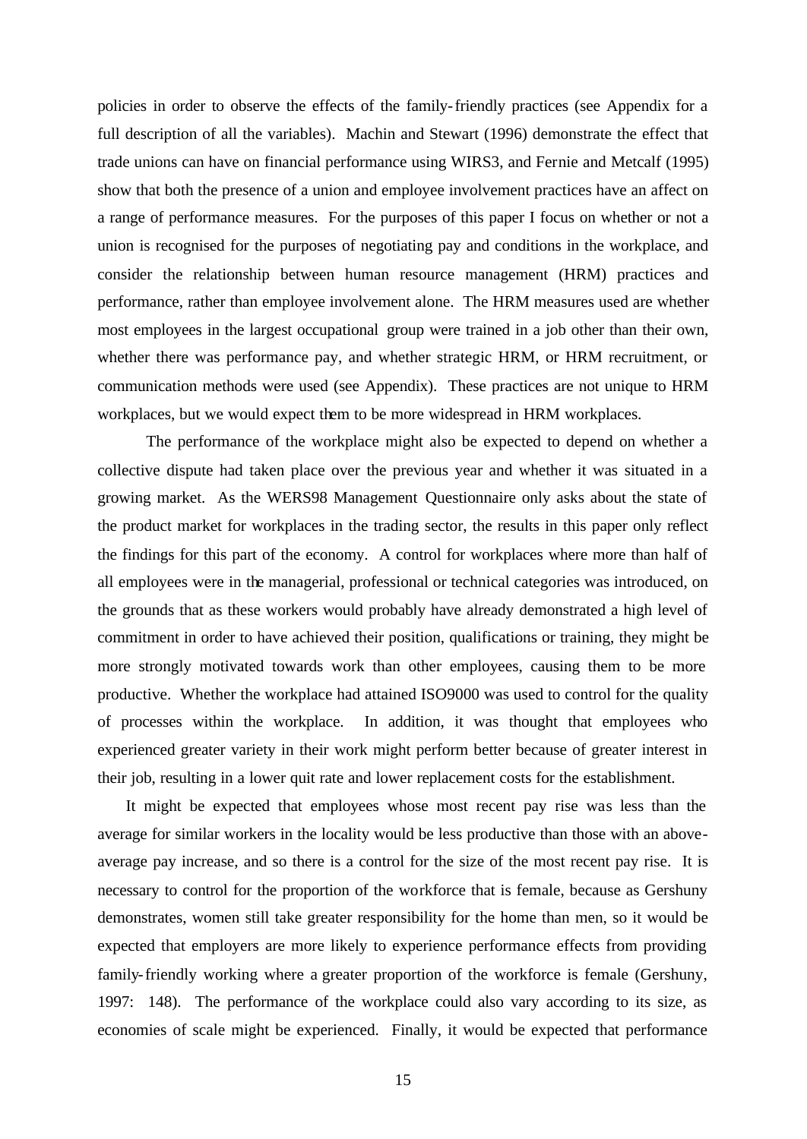policies in order to observe the effects of the family-friendly practices (see Appendix for a full description of all the variables). Machin and Stewart (1996) demonstrate the effect that trade unions can have on financial performance using WIRS3, and Fernie and Metcalf (1995) show that both the presence of a union and employee involvement practices have an affect on a range of performance measures. For the purposes of this paper I focus on whether or not a union is recognised for the purposes of negotiating pay and conditions in the workplace, and consider the relationship between human resource management (HRM) practices and performance, rather than employee involvement alone. The HRM measures used are whether most employees in the largest occupational group were trained in a job other than their own, whether there was performance pay, and whether strategic HRM, or HRM recruitment, or communication methods were used (see Appendix). These practices are not unique to HRM workplaces, but we would expect them to be more widespread in HRM workplaces.

The performance of the workplace might also be expected to depend on whether a collective dispute had taken place over the previous year and whether it was situated in a growing market. As the WERS98 Management Questionnaire only asks about the state of the product market for workplaces in the trading sector, the results in this paper only reflect the findings for this part of the economy. A control for workplaces where more than half of all employees were in the managerial, professional or technical categories was introduced, on the grounds that as these workers would probably have already demonstrated a high level of commitment in order to have achieved their position, qualifications or training, they might be more strongly motivated towards work than other employees, causing them to be more productive. Whether the workplace had attained ISO9000 was used to control for the quality of processes within the workplace. In addition, it was thought that employees who experienced greater variety in their work might perform better because of greater interest in their job, resulting in a lower quit rate and lower replacement costs for the establishment.

It might be expected that employees whose most recent pay rise was less than the average for similar workers in the locality would be less productive than those with an aboveaverage pay increase, and so there is a control for the size of the most recent pay rise. It is necessary to control for the proportion of the workforce that is female, because as Gershuny demonstrates, women still take greater responsibility for the home than men, so it would be expected that employers are more likely to experience performance effects from providing family-friendly working where a greater proportion of the workforce is female (Gershuny, 1997: 148). The performance of the workplace could also vary according to its size, as economies of scale might be experienced. Finally, it would be expected that performance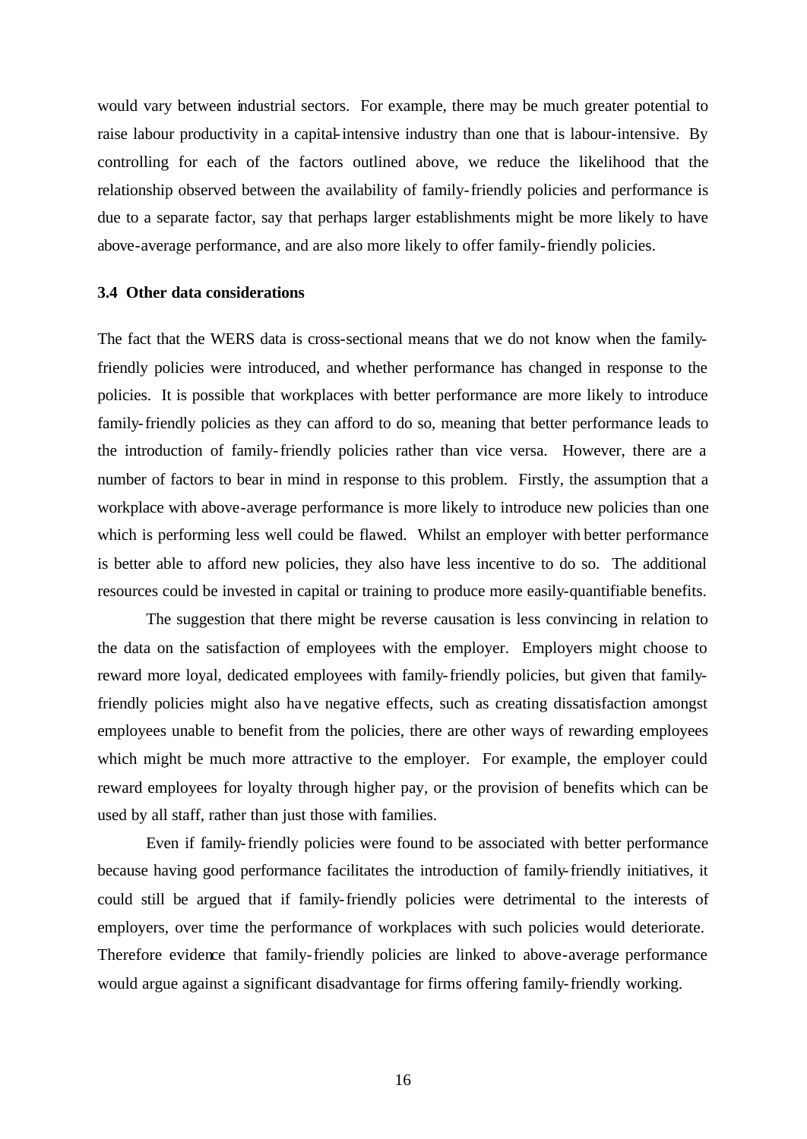would vary between industrial sectors. For example, there may be much greater potential to raise labour productivity in a capital-intensive industry than one that is labour-intensive. By controlling for each of the factors outlined above, we reduce the likelihood that the relationship observed between the availability of family-friendly policies and performance is due to a separate factor, say that perhaps larger establishments might be more likely to have above-average performance, and are also more likely to offer family-friendly policies.

#### **3.4 Other data considerations**

The fact that the WERS data is cross-sectional means that we do not know when the familyfriendly policies were introduced, and whether performance has changed in response to the policies. It is possible that workplaces with better performance are more likely to introduce family-friendly policies as they can afford to do so, meaning that better performance leads to the introduction of family-friendly policies rather than vice versa. However, there are a number of factors to bear in mind in response to this problem. Firstly, the assumption that a workplace with above-average performance is more likely to introduce new policies than one which is performing less well could be flawed. Whilst an employer with better performance is better able to afford new policies, they also have less incentive to do so. The additional resources could be invested in capital or training to produce more easily-quantifiable benefits.

The suggestion that there might be reverse causation is less convincing in relation to the data on the satisfaction of employees with the employer. Employers might choose to reward more loyal, dedicated employees with family-friendly policies, but given that familyfriendly policies might also have negative effects, such as creating dissatisfaction amongst employees unable to benefit from the policies, there are other ways of rewarding employees which might be much more attractive to the employer. For example, the employer could reward employees for loyalty through higher pay, or the provision of benefits which can be used by all staff, rather than just those with families.

Even if family-friendly policies were found to be associated with better performance because having good performance facilitates the introduction of family-friendly initiatives, it could still be argued that if family-friendly policies were detrimental to the interests of employers, over time the performance of workplaces with such policies would deteriorate. Therefore evidence that family-friendly policies are linked to above-average performance would argue against a significant disadvantage for firms offering family-friendly working.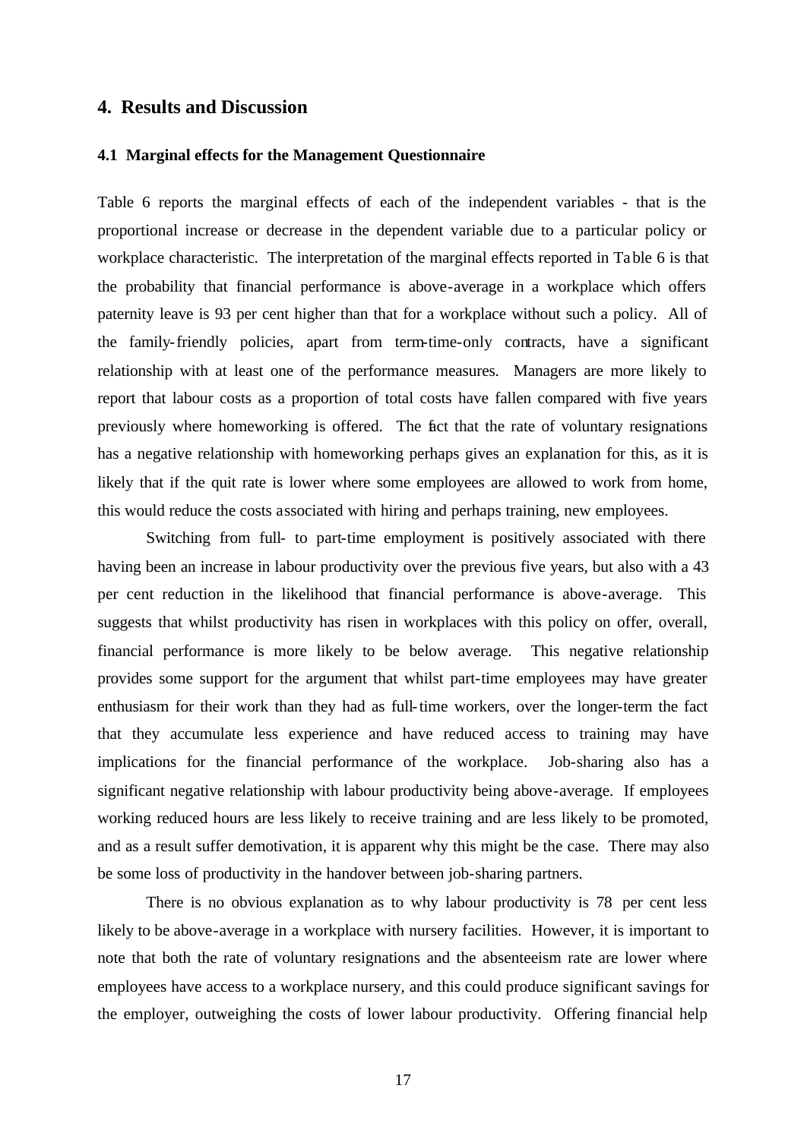#### **4. Results and Discussion**

#### **4.1 Marginal effects for the Management Questionnaire**

Table 6 reports the marginal effects of each of the independent variables - that is the proportional increase or decrease in the dependent variable due to a particular policy or workplace characteristic. The interpretation of the marginal effects reported in Table 6 is that the probability that financial performance is above-average in a workplace which offers paternity leave is 93 per cent higher than that for a workplace without such a policy. All of the family-friendly policies, apart from term-time-only contracts, have a significant relationship with at least one of the performance measures. Managers are more likely to report that labour costs as a proportion of total costs have fallen compared with five years previously where homeworking is offered. The fact that the rate of voluntary resignations has a negative relationship with homeworking perhaps gives an explanation for this, as it is likely that if the quit rate is lower where some employees are allowed to work from home, this would reduce the costs associated with hiring and perhaps training, new employees.

Switching from full- to part-time employment is positively associated with there having been an increase in labour productivity over the previous five years, but also with a 43 per cent reduction in the likelihood that financial performance is above-average. This suggests that whilst productivity has risen in workplaces with this policy on offer, overall, financial performance is more likely to be below average. This negative relationship provides some support for the argument that whilst part-time employees may have greater enthusiasm for their work than they had as full-time workers, over the longer-term the fact that they accumulate less experience and have reduced access to training may have implications for the financial performance of the workplace. Job-sharing also has a significant negative relationship with labour productivity being above-average. If employees working reduced hours are less likely to receive training and are less likely to be promoted, and as a result suffer demotivation, it is apparent why this might be the case. There may also be some loss of productivity in the handover between job-sharing partners.

There is no obvious explanation as to why labour productivity is 78 per cent less likely to be above-average in a workplace with nursery facilities. However, it is important to note that both the rate of voluntary resignations and the absenteeism rate are lower where employees have access to a workplace nursery, and this could produce significant savings for the employer, outweighing the costs of lower labour productivity. Offering financial help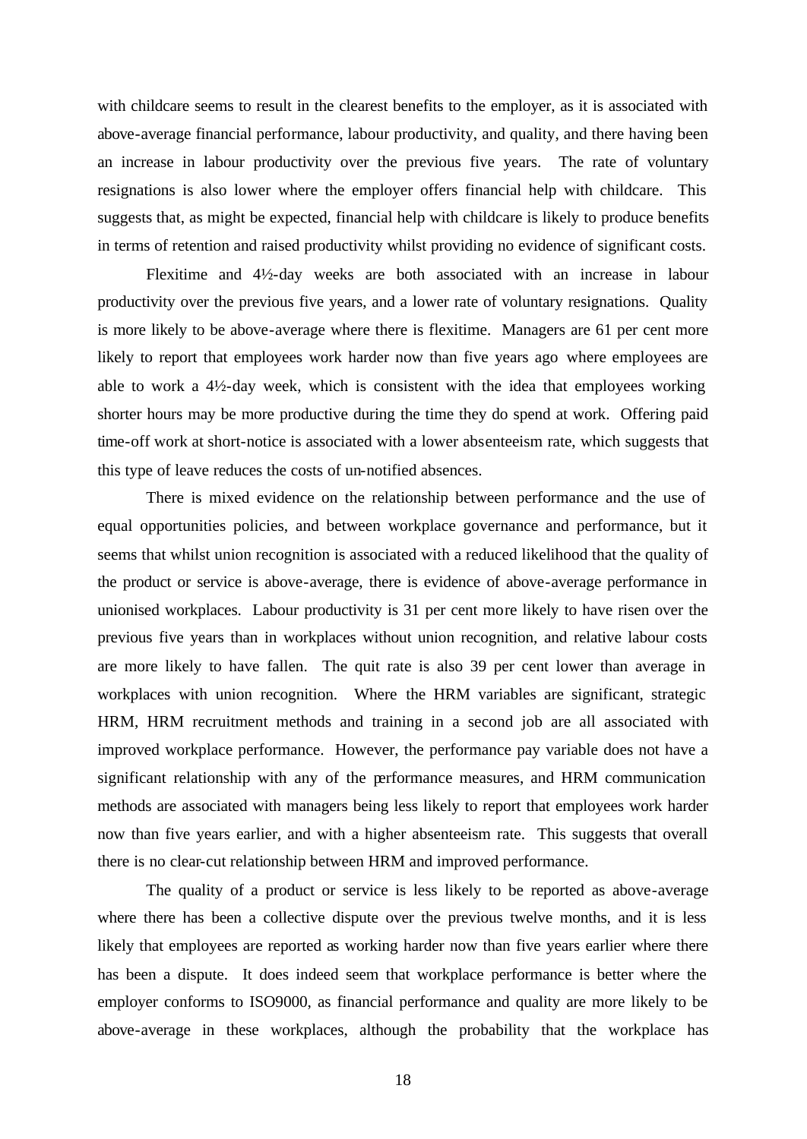with childcare seems to result in the clearest benefits to the employer, as it is associated with above-average financial performance, labour productivity, and quality, and there having been an increase in labour productivity over the previous five years. The rate of voluntary resignations is also lower where the employer offers financial help with childcare. This suggests that, as might be expected, financial help with childcare is likely to produce benefits in terms of retention and raised productivity whilst providing no evidence of significant costs.

Flexitime and 4½-day weeks are both associated with an increase in labour productivity over the previous five years, and a lower rate of voluntary resignations. Quality is more likely to be above-average where there is flexitime. Managers are 61 per cent more likely to report that employees work harder now than five years ago where employees are able to work a 4½-day week, which is consistent with the idea that employees working shorter hours may be more productive during the time they do spend at work. Offering paid time-off work at short-notice is associated with a lower absenteeism rate, which suggests that this type of leave reduces the costs of un-notified absences.

There is mixed evidence on the relationship between performance and the use of equal opportunities policies, and between workplace governance and performance, but it seems that whilst union recognition is associated with a reduced likelihood that the quality of the product or service is above-average, there is evidence of above-average performance in unionised workplaces. Labour productivity is 31 per cent more likely to have risen over the previous five years than in workplaces without union recognition, and relative labour costs are more likely to have fallen. The quit rate is also 39 per cent lower than average in workplaces with union recognition. Where the HRM variables are significant, strategic HRM, HRM recruitment methods and training in a second job are all associated with improved workplace performance. However, the performance pay variable does not have a significant relationship with any of the performance measures, and HRM communication methods are associated with managers being less likely to report that employees work harder now than five years earlier, and with a higher absenteeism rate. This suggests that overall there is no clear-cut relationship between HRM and improved performance.

The quality of a product or service is less likely to be reported as above-average where there has been a collective dispute over the previous twelve months, and it is less likely that employees are reported as working harder now than five years earlier where there has been a dispute. It does indeed seem that workplace performance is better where the employer conforms to ISO9000, as financial performance and quality are more likely to be above-average in these workplaces, although the probability that the workplace has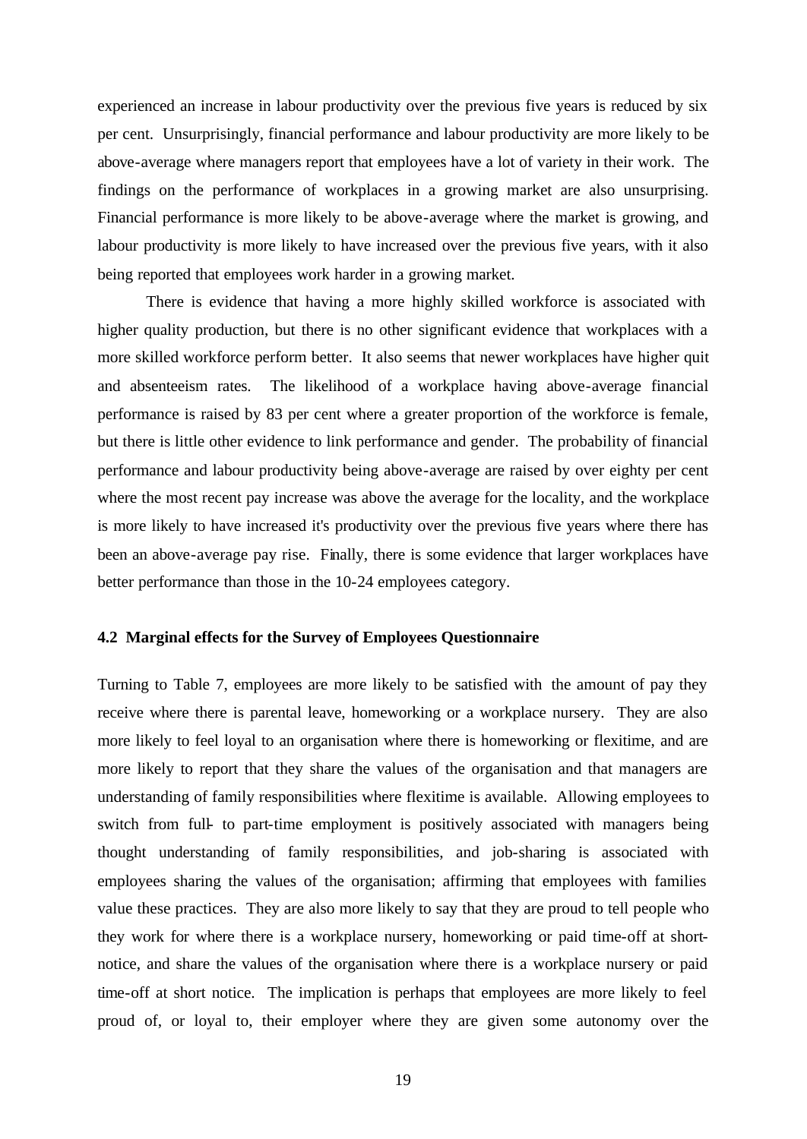experienced an increase in labour productivity over the previous five years is reduced by six per cent. Unsurprisingly, financial performance and labour productivity are more likely to be above-average where managers report that employees have a lot of variety in their work. The findings on the performance of workplaces in a growing market are also unsurprising. Financial performance is more likely to be above-average where the market is growing, and labour productivity is more likely to have increased over the previous five years, with it also being reported that employees work harder in a growing market.

There is evidence that having a more highly skilled workforce is associated with higher quality production, but there is no other significant evidence that workplaces with a more skilled workforce perform better. It also seems that newer workplaces have higher quit and absenteeism rates. The likelihood of a workplace having above-average financial performance is raised by 83 per cent where a greater proportion of the workforce is female, but there is little other evidence to link performance and gender. The probability of financial performance and labour productivity being above-average are raised by over eighty per cent where the most recent pay increase was above the average for the locality, and the workplace is more likely to have increased it's productivity over the previous five years where there has been an above-average pay rise. Finally, there is some evidence that larger workplaces have better performance than those in the 10-24 employees category.

#### **4.2 Marginal effects for the Survey of Employees Questionnaire**

Turning to Table 7, employees are more likely to be satisfied with the amount of pay they receive where there is parental leave, homeworking or a workplace nursery. They are also more likely to feel loyal to an organisation where there is homeworking or flexitime, and are more likely to report that they share the values of the organisation and that managers are understanding of family responsibilities where flexitime is available. Allowing employees to switch from full- to part-time employment is positively associated with managers being thought understanding of family responsibilities, and job-sharing is associated with employees sharing the values of the organisation; affirming that employees with families value these practices. They are also more likely to say that they are proud to tell people who they work for where there is a workplace nursery, homeworking or paid time-off at shortnotice, and share the values of the organisation where there is a workplace nursery or paid time-off at short notice. The implication is perhaps that employees are more likely to feel proud of, or loyal to, their employer where they are given some autonomy over the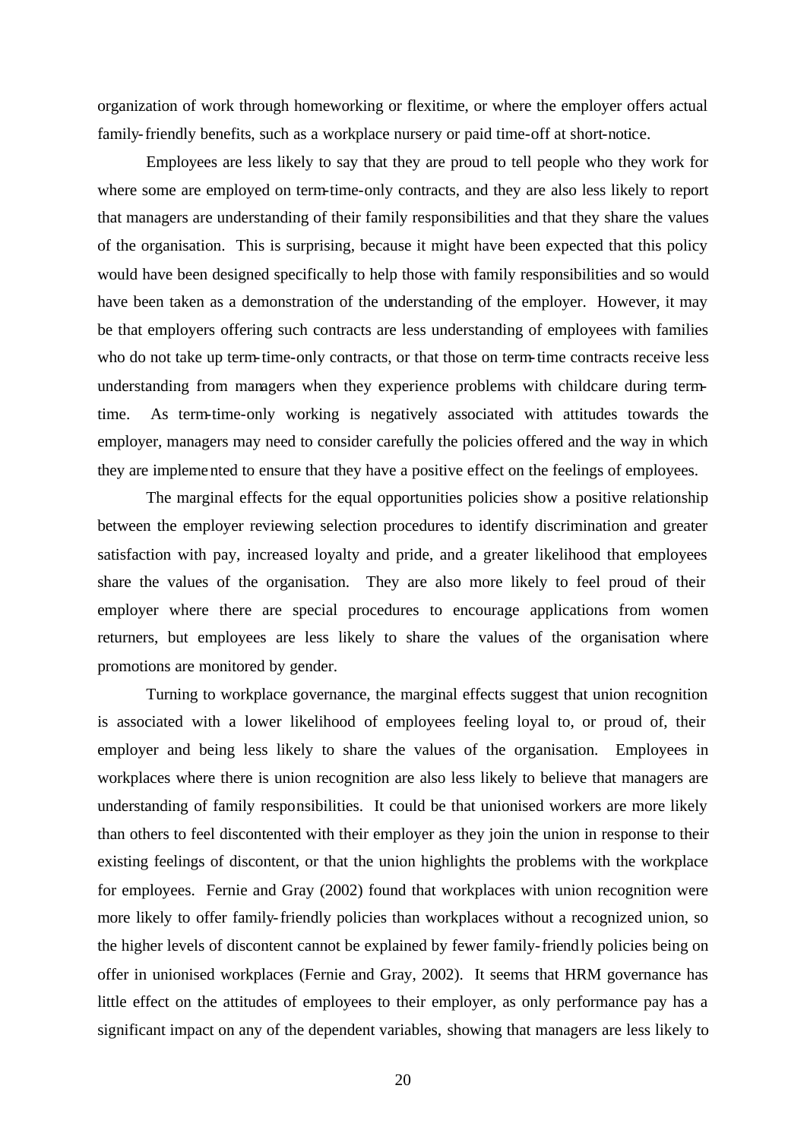organization of work through homeworking or flexitime, or where the employer offers actual family-friendly benefits, such as a workplace nursery or paid time-off at short-notice.

Employees are less likely to say that they are proud to tell people who they work for where some are employed on term-time-only contracts, and they are also less likely to report that managers are understanding of their family responsibilities and that they share the values of the organisation. This is surprising, because it might have been expected that this policy would have been designed specifically to help those with family responsibilities and so would have been taken as a demonstration of the understanding of the employer. However, it may be that employers offering such contracts are less understanding of employees with families who do not take up term-time-only contracts, or that those on term-time contracts receive less understanding from managers when they experience problems with childcare during termtime. As term-time-only working is negatively associated with attitudes towards the employer, managers may need to consider carefully the policies offered and the way in which they are implemented to ensure that they have a positive effect on the feelings of employees.

The marginal effects for the equal opportunities policies show a positive relationship between the employer reviewing selection procedures to identify discrimination and greater satisfaction with pay, increased loyalty and pride, and a greater likelihood that employees share the values of the organisation. They are also more likely to feel proud of their employer where there are special procedures to encourage applications from women returners, but employees are less likely to share the values of the organisation where promotions are monitored by gender.

Turning to workplace governance, the marginal effects suggest that union recognition is associated with a lower likelihood of employees feeling loyal to, or proud of, their employer and being less likely to share the values of the organisation. Employees in workplaces where there is union recognition are also less likely to believe that managers are understanding of family responsibilities. It could be that unionised workers are more likely than others to feel discontented with their employer as they join the union in response to their existing feelings of discontent, or that the union highlights the problems with the workplace for employees. Fernie and Gray (2002) found that workplaces with union recognition were more likely to offer family-friendly policies than workplaces without a recognized union, so the higher levels of discontent cannot be explained by fewer family-friendly policies being on offer in unionised workplaces (Fernie and Gray, 2002). It seems that HRM governance has little effect on the attitudes of employees to their employer, as only performance pay has a significant impact on any of the dependent variables, showing that managers are less likely to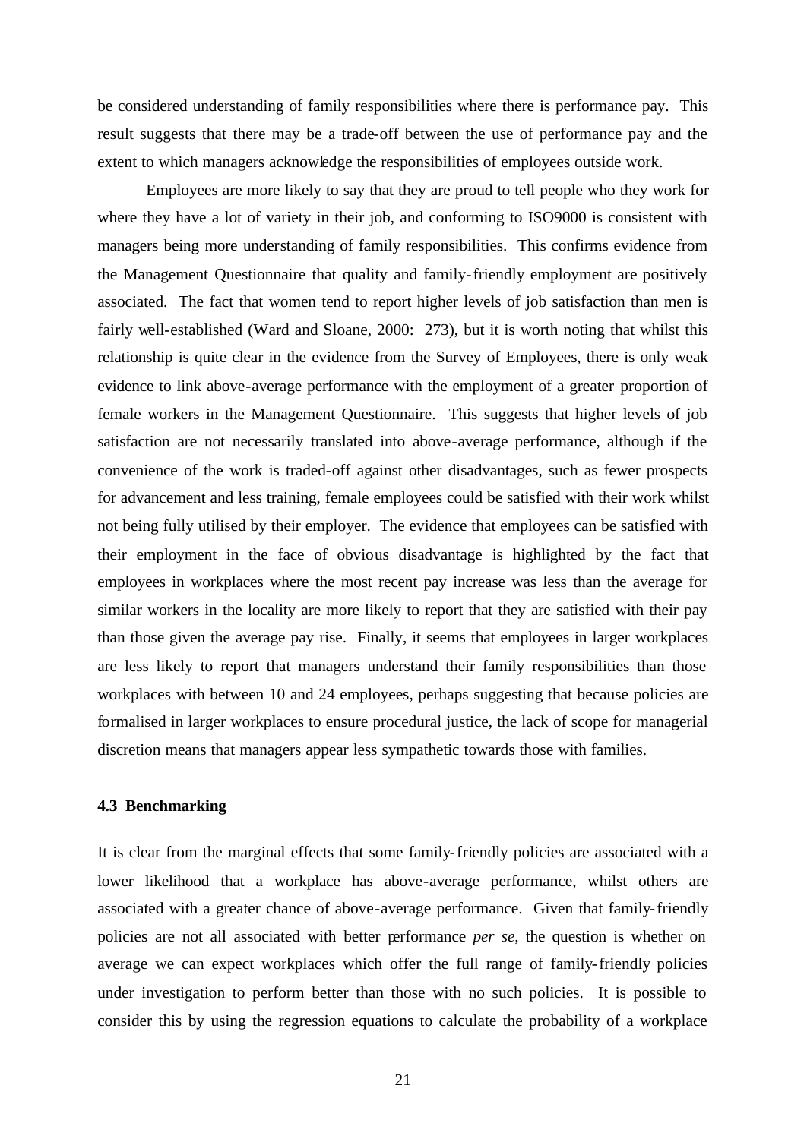be considered understanding of family responsibilities where there is performance pay. This result suggests that there may be a trade-off between the use of performance pay and the extent to which managers acknowledge the responsibilities of employees outside work.

Employees are more likely to say that they are proud to tell people who they work for where they have a lot of variety in their job, and conforming to ISO9000 is consistent with managers being more understanding of family responsibilities. This confirms evidence from the Management Questionnaire that quality and family-friendly employment are positively associated. The fact that women tend to report higher levels of job satisfaction than men is fairly well-established (Ward and Sloane, 2000: 273), but it is worth noting that whilst this relationship is quite clear in the evidence from the Survey of Employees, there is only weak evidence to link above-average performance with the employment of a greater proportion of female workers in the Management Questionnaire. This suggests that higher levels of job satisfaction are not necessarily translated into above-average performance, although if the convenience of the work is traded-off against other disadvantages, such as fewer prospects for advancement and less training, female employees could be satisfied with their work whilst not being fully utilised by their employer. The evidence that employees can be satisfied with their employment in the face of obvious disadvantage is highlighted by the fact that employees in workplaces where the most recent pay increase was less than the average for similar workers in the locality are more likely to report that they are satisfied with their pay than those given the average pay rise. Finally, it seems that employees in larger workplaces are less likely to report that managers understand their family responsibilities than those workplaces with between 10 and 24 employees, perhaps suggesting that because policies are formalised in larger workplaces to ensure procedural justice, the lack of scope for managerial discretion means that managers appear less sympathetic towards those with families.

#### **4.3 Benchmarking**

It is clear from the marginal effects that some family-friendly policies are associated with a lower likelihood that a workplace has above-average performance, whilst others are associated with a greater chance of above-average performance. Given that family-friendly policies are not all associated with better performance *per se*, the question is whether on average we can expect workplaces which offer the full range of family-friendly policies under investigation to perform better than those with no such policies. It is possible to consider this by using the regression equations to calculate the probability of a workplace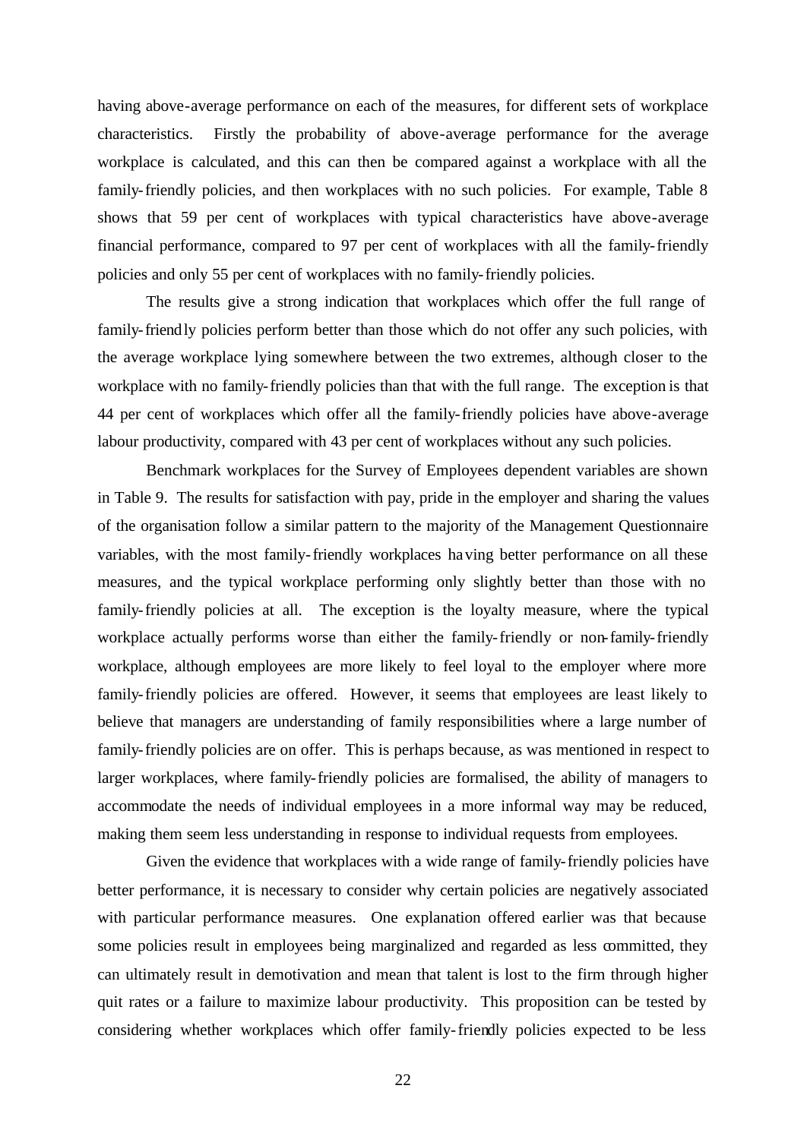having above-average performance on each of the measures, for different sets of workplace characteristics. Firstly the probability of above-average performance for the average workplace is calculated, and this can then be compared against a workplace with all the family-friendly policies, and then workplaces with no such policies. For example, Table 8 shows that 59 per cent of workplaces with typical characteristics have above-average financial performance, compared to 97 per cent of workplaces with all the family-friendly policies and only 55 per cent of workplaces with no family-friendly policies.

The results give a strong indication that workplaces which offer the full range of family-friendly policies perform better than those which do not offer any such policies, with the average workplace lying somewhere between the two extremes, although closer to the workplace with no family-friendly policies than that with the full range. The exception is that 44 per cent of workplaces which offer all the family-friendly policies have above-average labour productivity, compared with 43 per cent of workplaces without any such policies.

Benchmark workplaces for the Survey of Employees dependent variables are shown in Table 9. The results for satisfaction with pay, pride in the employer and sharing the values of the organisation follow a similar pattern to the majority of the Management Questionnaire variables, with the most family-friendly workplaces having better performance on all these measures, and the typical workplace performing only slightly better than those with no family-friendly policies at all. The exception is the loyalty measure, where the typical workplace actually performs worse than either the family-friendly or non-family-friendly workplace, although employees are more likely to feel loyal to the employer where more family-friendly policies are offered. However, it seems that employees are least likely to believe that managers are understanding of family responsibilities where a large number of family-friendly policies are on offer. This is perhaps because, as was mentioned in respect to larger workplaces, where family-friendly policies are formalised, the ability of managers to accommodate the needs of individual employees in a more informal way may be reduced, making them seem less understanding in response to individual requests from employees.

Given the evidence that workplaces with a wide range of family-friendly policies have better performance, it is necessary to consider why certain policies are negatively associated with particular performance measures. One explanation offered earlier was that because some policies result in employees being marginalized and regarded as less committed, they can ultimately result in demotivation and mean that talent is lost to the firm through higher quit rates or a failure to maximize labour productivity. This proposition can be tested by considering whether workplaces which offer family-friendly policies expected to be less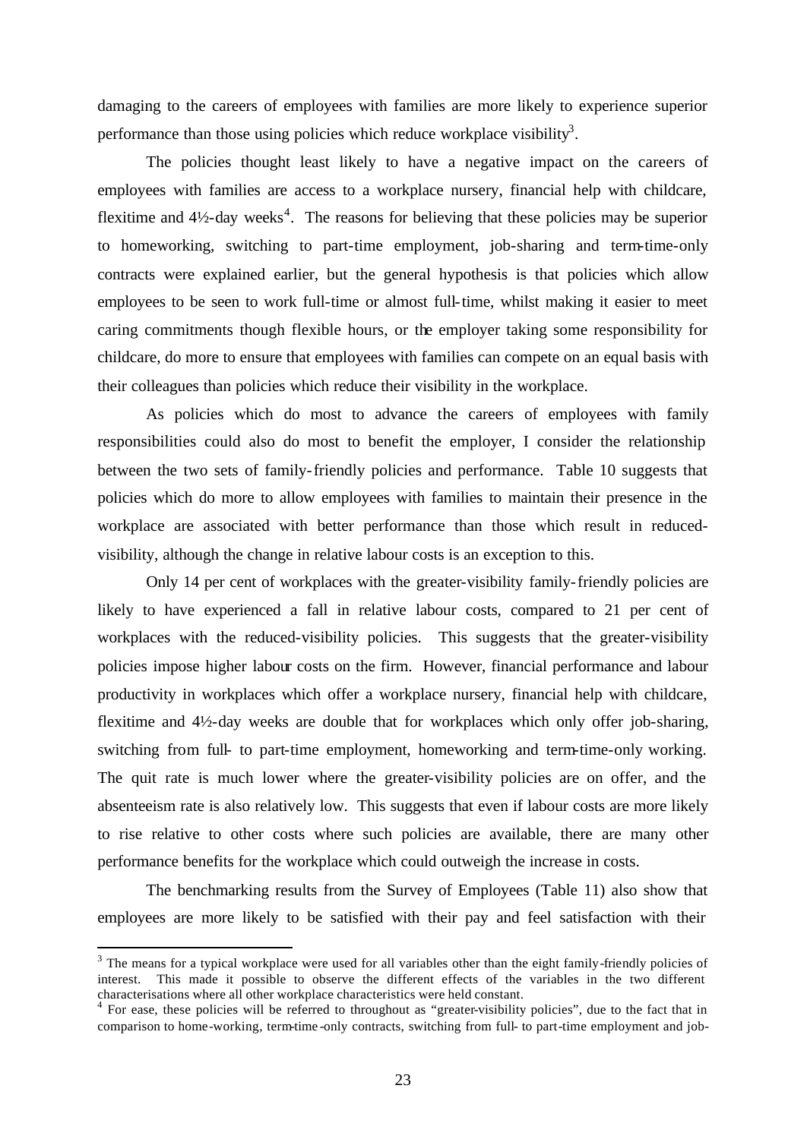damaging to the careers of employees with families are more likely to experience superior performance than those using policies which reduce workplace visibility<sup>3</sup>.

The policies thought least likely to have a negative impact on the careers of employees with families are access to a workplace nursery, financial help with childcare, flexitime and  $4\frac{1}{2}$ -day weeks<sup>4</sup>. The reasons for believing that these policies may be superior to homeworking, switching to part-time employment, job-sharing and term-time-only contracts were explained earlier, but the general hypothesis is that policies which allow employees to be seen to work full-time or almost full-time, whilst making it easier to meet caring commitments though flexible hours, or the employer taking some responsibility for childcare, do more to ensure that employees with families can compete on an equal basis with their colleagues than policies which reduce their visibility in the workplace.

As policies which do most to advance the careers of employees with family responsibilities could also do most to benefit the employer, I consider the relationship between the two sets of family-friendly policies and performance. Table 10 suggests that policies which do more to allow employees with families to maintain their presence in the workplace are associated with better performance than those which result in reducedvisibility, although the change in relative labour costs is an exception to this.

Only 14 per cent of workplaces with the greater-visibility family-friendly policies are likely to have experienced a fall in relative labour costs, compared to 21 per cent of workplaces with the reduced-visibility policies. This suggests that the greater-visibility policies impose higher labour costs on the firm. However, financial performance and labour productivity in workplaces which offer a workplace nursery, financial help with childcare, flexitime and 4½-day weeks are double that for workplaces which only offer job-sharing, switching from full- to part-time employment, homeworking and term-time-only working. The quit rate is much lower where the greater-visibility policies are on offer, and the absenteeism rate is also relatively low. This suggests that even if labour costs are more likely to rise relative to other costs where such policies are available, there are many other performance benefits for the workplace which could outweigh the increase in costs.

The benchmarking results from the Survey of Employees (Table 11) also show that employees are more likely to be satisfied with their pay and feel satisfaction with their

l

 $3$  The means for a typical workplace were used for all variables other than the eight family-friendly policies of interest. This made it possible to observe the different effects of the variables in the two different characterisations where all other workplace characteristics were held constant.<br><sup>4</sup> For ease, these policies will be referred to throughout as "greater-visibility policies", due to the fact that in

comparison to home-working, term-time -only contracts, switching from full- to part-time employment and job-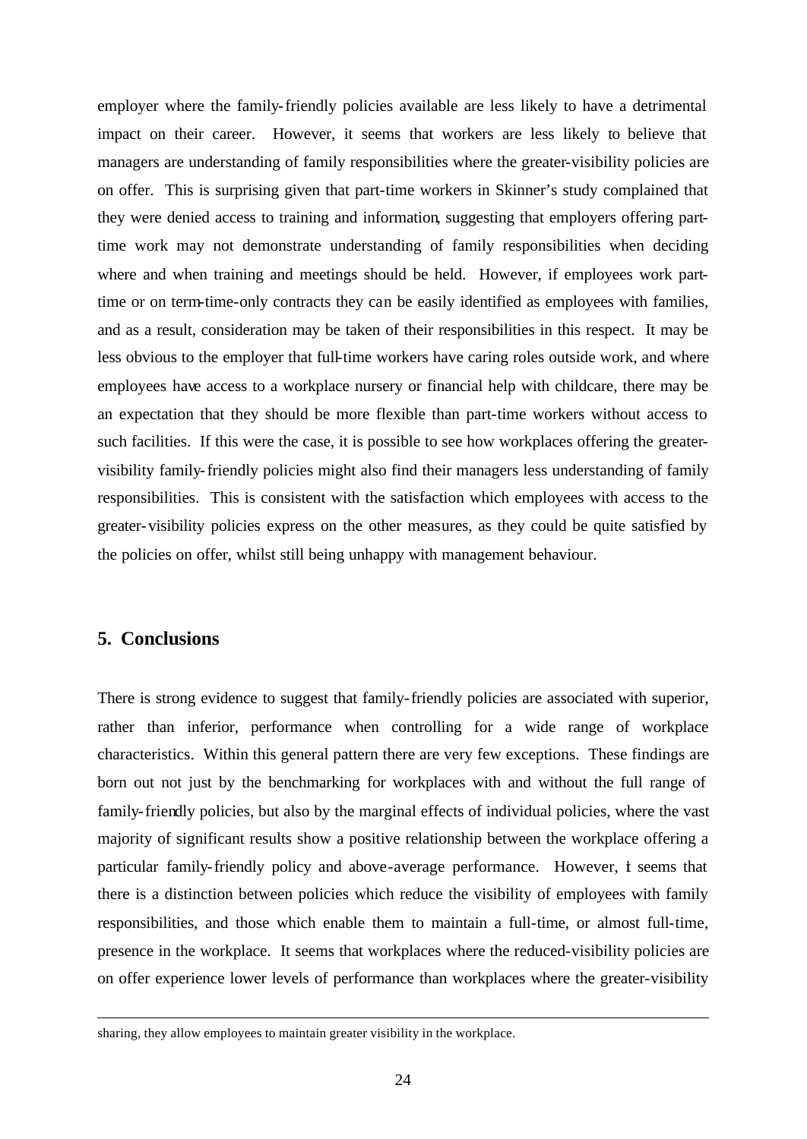employer where the family-friendly policies available are less likely to have a detrimental impact on their career. However, it seems that workers are less likely to believe that managers are understanding of family responsibilities where the greater-visibility policies are on offer. This is surprising given that part-time workers in Skinner's study complained that they were denied access to training and information, suggesting that employers offering parttime work may not demonstrate understanding of family responsibilities when deciding where and when training and meetings should be held. However, if employees work parttime or on term-time-only contracts they can be easily identified as employees with families, and as a result, consideration may be taken of their responsibilities in this respect. It may be less obvious to the employer that full-time workers have caring roles outside work, and where employees have access to a workplace nursery or financial help with childcare, there may be an expectation that they should be more flexible than part-time workers without access to such facilities. If this were the case, it is possible to see how workplaces offering the greatervisibility family-friendly policies might also find their managers less understanding of family responsibilities. This is consistent with the satisfaction which employees with access to the greater-visibility policies express on the other measures, as they could be quite satisfied by the policies on offer, whilst still being unhappy with management behaviour.

#### **5. Conclusions**

l

There is strong evidence to suggest that family-friendly policies are associated with superior, rather than inferior, performance when controlling for a wide range of workplace characteristics. Within this general pattern there are very few exceptions. These findings are born out not just by the benchmarking for workplaces with and without the full range of family-friendly policies, but also by the marginal effects of individual policies, where the vast majority of significant results show a positive relationship between the workplace offering a particular family-friendly policy and above-average performance. However, it seems that there is a distinction between policies which reduce the visibility of employees with family responsibilities, and those which enable them to maintain a full-time, or almost full-time, presence in the workplace. It seems that workplaces where the reduced-visibility policies are on offer experience lower levels of performance than workplaces where the greater-visibility

sharing, they allow employees to maintain greater visibility in the workplace.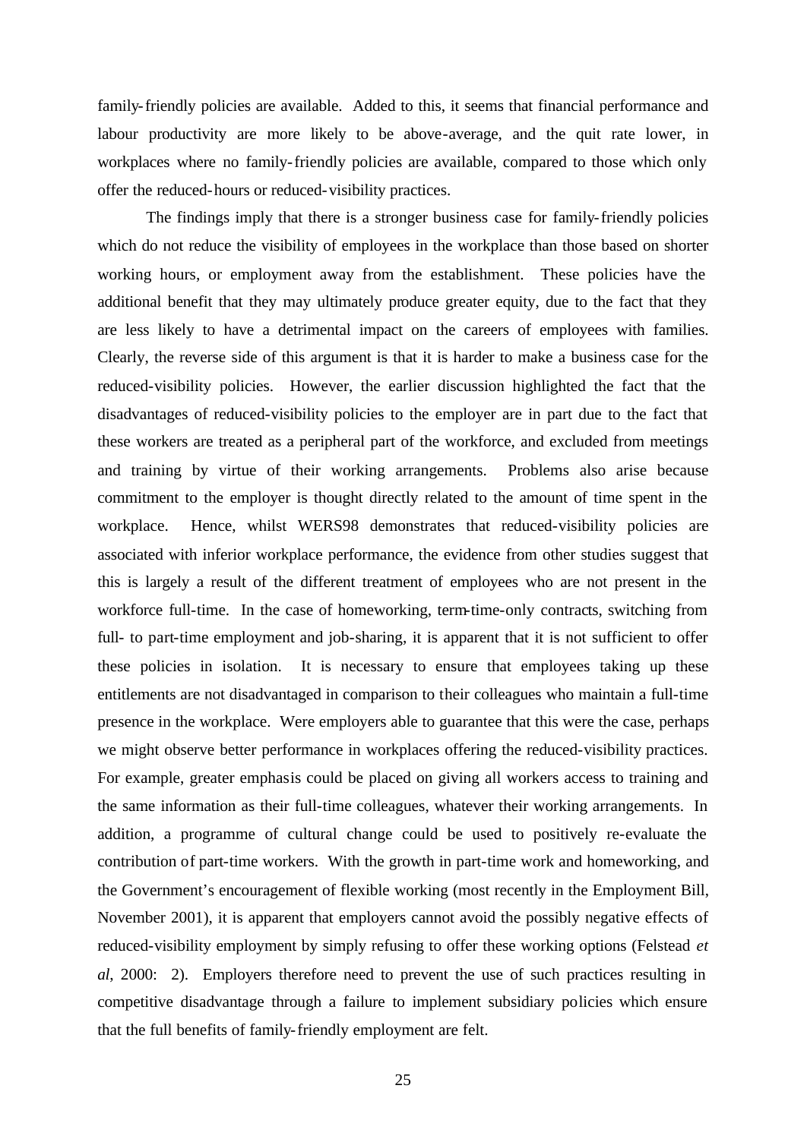family-friendly policies are available. Added to this, it seems that financial performance and labour productivity are more likely to be above-average, and the quit rate lower, in workplaces where no family-friendly policies are available, compared to those which only offer the reduced-hours or reduced-visibility practices.

The findings imply that there is a stronger business case for family-friendly policies which do not reduce the visibility of employees in the workplace than those based on shorter working hours, or employment away from the establishment. These policies have the additional benefit that they may ultimately produce greater equity, due to the fact that they are less likely to have a detrimental impact on the careers of employees with families. Clearly, the reverse side of this argument is that it is harder to make a business case for the reduced-visibility policies. However, the earlier discussion highlighted the fact that the disadvantages of reduced-visibility policies to the employer are in part due to the fact that these workers are treated as a peripheral part of the workforce, and excluded from meetings and training by virtue of their working arrangements. Problems also arise because commitment to the employer is thought directly related to the amount of time spent in the workplace. Hence, whilst WERS98 demonstrates that reduced-visibility policies are associated with inferior workplace performance, the evidence from other studies suggest that this is largely a result of the different treatment of employees who are not present in the workforce full-time. In the case of homeworking, term-time-only contracts, switching from full- to part-time employment and job-sharing, it is apparent that it is not sufficient to offer these policies in isolation. It is necessary to ensure that employees taking up these entitlements are not disadvantaged in comparison to their colleagues who maintain a full-time presence in the workplace. Were employers able to guarantee that this were the case, perhaps we might observe better performance in workplaces offering the reduced-visibility practices. For example, greater emphasis could be placed on giving all workers access to training and the same information as their full-time colleagues, whatever their working arrangements. In addition, a programme of cultural change could be used to positively re-evaluate the contribution of part-time workers. With the growth in part-time work and homeworking, and the Government's encouragement of flexible working (most recently in the Employment Bill, November 2001), it is apparent that employers cannot avoid the possibly negative effects of reduced-visibility employment by simply refusing to offer these working options (Felstead *et al*, 2000: 2). Employers therefore need to prevent the use of such practices resulting in competitive disadvantage through a failure to implement subsidiary policies which ensure that the full benefits of family-friendly employment are felt.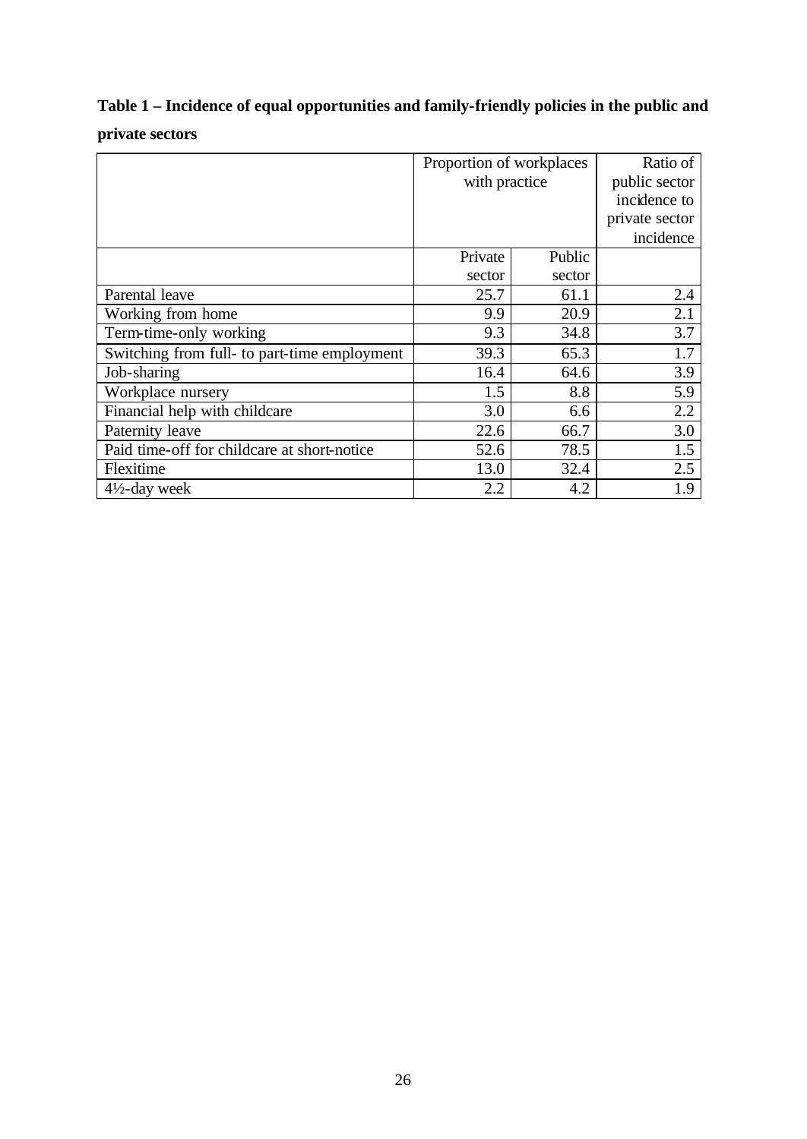# **Table 1 – Incidence of equal opportunities and family-friendly policies in the public and private sectors**

|                                              | Proportion of workplaces | Ratio of |                |
|----------------------------------------------|--------------------------|----------|----------------|
|                                              | with practice            |          | public sector  |
|                                              |                          |          | incidence to   |
|                                              |                          |          | private sector |
|                                              |                          |          | incidence      |
|                                              | Private                  | Public   |                |
|                                              | sector                   | sector   |                |
| Parental leave                               | 25.7                     | 61.1     | 2.4            |
| Working from home                            | 9.9                      | 20.9     | 2.1            |
| Term-time-only working                       | 9.3                      | 34.8     | 3.7            |
| Switching from full- to part-time employment | 39.3                     | 65.3     | 1.7            |
| Job-sharing                                  | 16.4                     | 64.6     | 3.9            |
| Workplace nursery                            | 1.5                      | 8.8      | 5.9            |
| Financial help with childcare                | 3.0                      | 6.6      | 2.2            |
| Paternity leave                              | 22.6                     | 66.7     | 3.0            |
| Paid time-off for childcare at short-notice  | 52.6                     | 78.5     | 1.5            |
| Flexitime                                    | 13.0                     | 32.4     | 2.5            |
| $4\frac{1}{2}$ -day week                     | 2.2                      | 4.2      | 1.9            |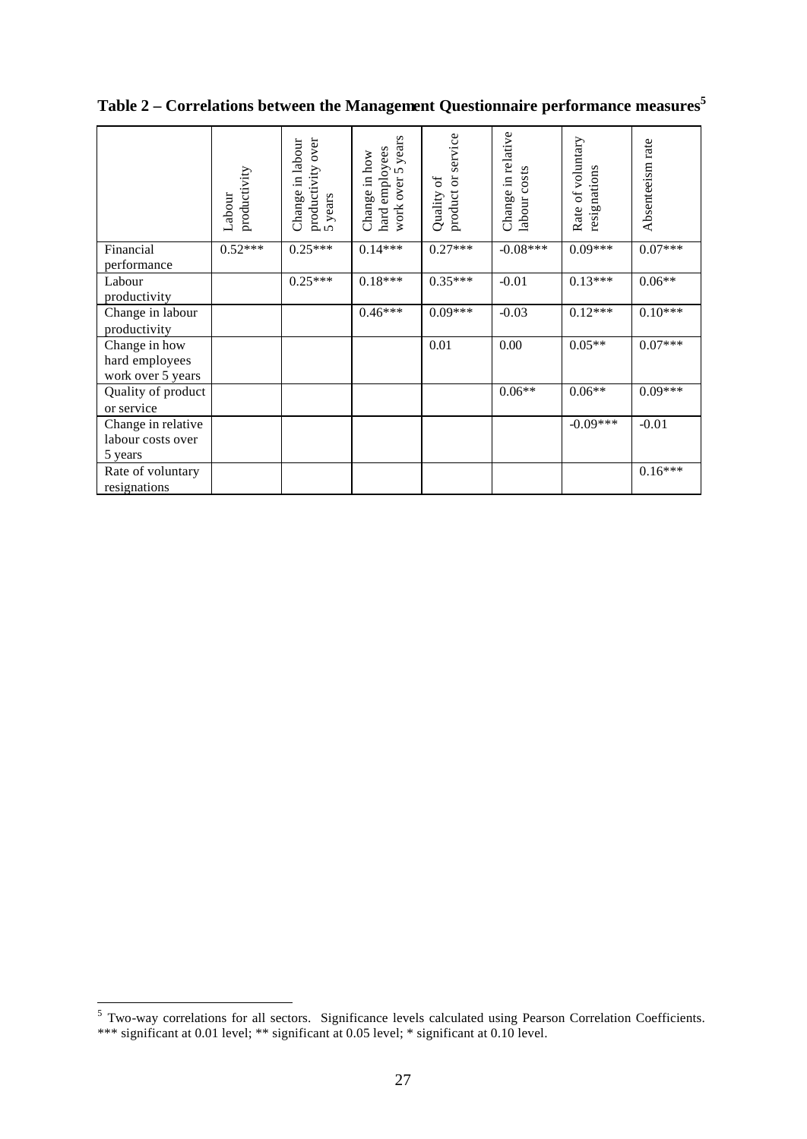|                                  | productivity<br>Labour | productivity over<br>5 years<br>Change in labour | work over 5 years<br>hard employees<br>Change in how | product or service<br>Quality of | Change in relative<br>labour costs | Rate of voluntary<br>resignations | Absenteeism rate |
|----------------------------------|------------------------|--------------------------------------------------|------------------------------------------------------|----------------------------------|------------------------------------|-----------------------------------|------------------|
| Financial                        | $0.52***$              | $0.25***$                                        | $0.14***$                                            | $0.27***$                        | $-0.08***$                         | $0.09***$                         | $0.07***$        |
| performance                      |                        |                                                  |                                                      |                                  |                                    |                                   |                  |
| Labour                           |                        | $0.25***$                                        | $0.18***$                                            | $0.35***$                        | $-0.01$                            | $0.13***$                         | $0.06**$         |
| productivity                     |                        |                                                  |                                                      |                                  |                                    |                                   |                  |
| Change in labour                 |                        |                                                  | $0.46***$                                            | $0.09***$                        | $-0.03$                            | $0.12***$                         | $0.10***$        |
| productivity                     |                        |                                                  |                                                      |                                  |                                    |                                   |                  |
| Change in how                    |                        |                                                  |                                                      | 0.01                             | 0.00                               | $0.05**$                          | $0.07***$        |
| hard employees                   |                        |                                                  |                                                      |                                  |                                    |                                   |                  |
| work over 5 years                |                        |                                                  |                                                      |                                  |                                    |                                   |                  |
| Quality of product<br>or service |                        |                                                  |                                                      |                                  | $0.06**$                           | $0.06**$                          | $0.09***$        |
| Change in relative               |                        |                                                  |                                                      |                                  |                                    | $-0.09***$                        | $-0.01$          |
| labour costs over                |                        |                                                  |                                                      |                                  |                                    |                                   |                  |
| 5 years                          |                        |                                                  |                                                      |                                  |                                    |                                   |                  |
| Rate of voluntary                |                        |                                                  |                                                      |                                  |                                    |                                   | $0.16***$        |
| resignations                     |                        |                                                  |                                                      |                                  |                                    |                                   |                  |

**Table 2 – Correlations between the Management Questionnaire performance measures<sup>5</sup>**

 5 Two-way correlations for all sectors. Significance levels calculated using Pearson Correlation Coefficients. \*\*\* significant at 0.01 level; \*\* significant at 0.05 level; \* significant at 0.10 level.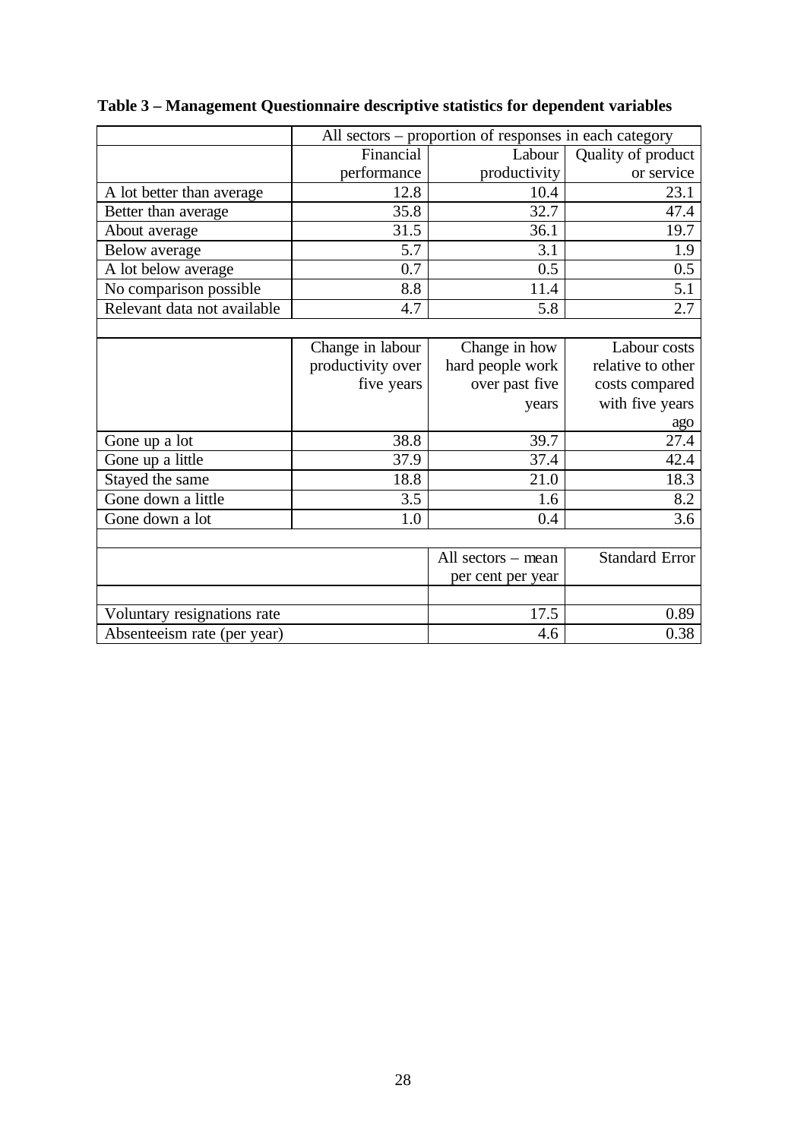|                             | All sectors – proportion of responses in each category |                    |                       |  |  |
|-----------------------------|--------------------------------------------------------|--------------------|-----------------------|--|--|
|                             | Financial                                              | Labour             | Quality of product    |  |  |
|                             | performance                                            | productivity       | or service            |  |  |
| A lot better than average   | 12.8                                                   | 10.4               | 23.1                  |  |  |
| Better than average         | 35.8                                                   | 32.7               | 47.4                  |  |  |
| About average               | 31.5                                                   | 36.1               | 19.7                  |  |  |
| Below average               | 5.7                                                    | 3.1                | 1.9                   |  |  |
| A lot below average         | 0.7                                                    | 0.5                | 0.5                   |  |  |
| No comparison possible      | 8.8                                                    | 11.4               | 5.1                   |  |  |
| Relevant data not available | 4.7                                                    | 5.8                | 2.7                   |  |  |
|                             |                                                        |                    |                       |  |  |
|                             | Change in labour                                       | Change in how      | Labour costs          |  |  |
|                             | productivity over                                      | hard people work   | relative to other     |  |  |
|                             | five years                                             | over past five     | costs compared        |  |  |
|                             |                                                        | years              | with five years       |  |  |
|                             |                                                        |                    | ago                   |  |  |
| Gone up a lot               | 38.8                                                   | 39.7               | 27.4                  |  |  |
| Gone up a little            | 37.9                                                   | 37.4               | 42.4                  |  |  |
| Stayed the same             | 18.8                                                   | 21.0               | 18.3                  |  |  |
| Gone down a little          | 3.5                                                    | 1.6                | 8.2                   |  |  |
| Gone down a lot             | 1.0                                                    | 0.4                | 3.6                   |  |  |
|                             |                                                        |                    |                       |  |  |
|                             |                                                        | All sectors – mean | <b>Standard Error</b> |  |  |
|                             |                                                        | per cent per year  |                       |  |  |
|                             |                                                        |                    |                       |  |  |
| Voluntary resignations rate |                                                        | 17.5               | 0.89                  |  |  |
| Absenteeism rate (per year) |                                                        | 4.6                | 0.38                  |  |  |

**Table 3 – Management Questionnaire descriptive statistics for dependent variables**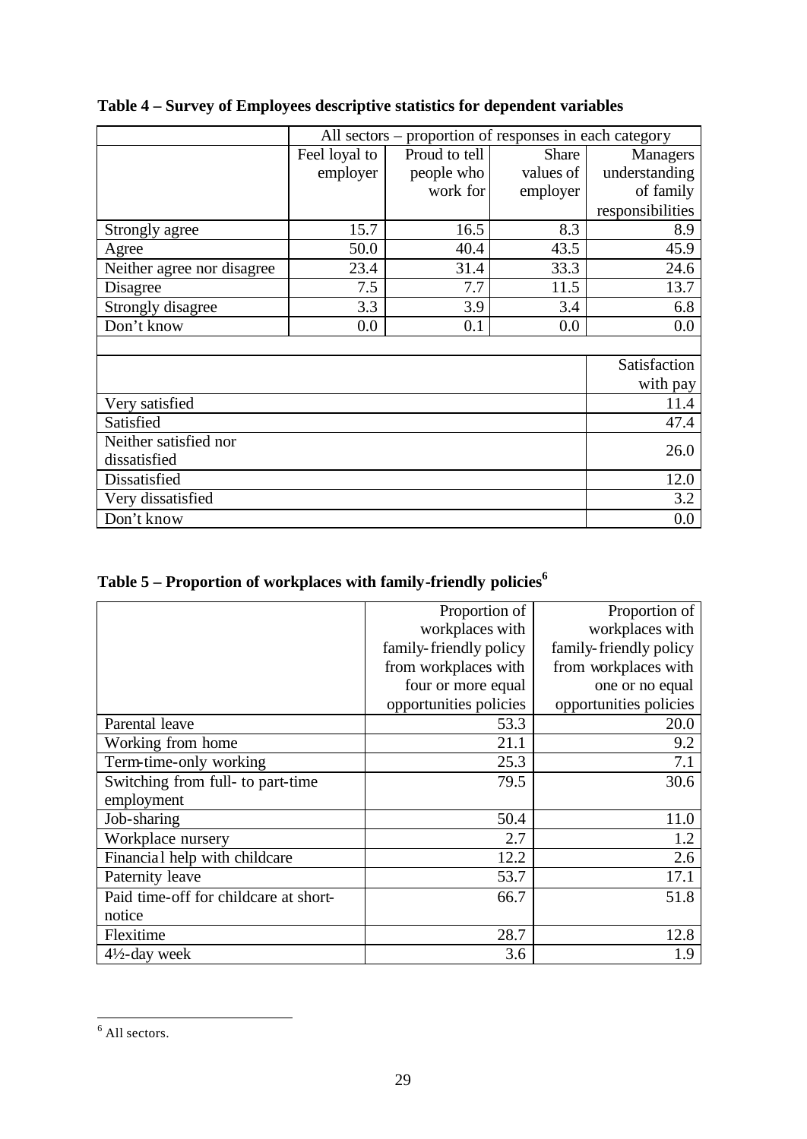|                            | All sectors – proportion of responses in each category |                               |           |                  |  |
|----------------------------|--------------------------------------------------------|-------------------------------|-----------|------------------|--|
|                            | Feel loyal to                                          | Proud to tell<br><b>Share</b> |           |                  |  |
|                            | employer                                               | people who                    | values of | understanding    |  |
|                            |                                                        | work for                      | employer  | of family        |  |
|                            |                                                        |                               |           | responsibilities |  |
| Strongly agree             | 15.7                                                   | 16.5                          | 8.3       | 8.9              |  |
| Agree                      | 50.0                                                   | 40.4                          | 43.5      | 45.9             |  |
| Neither agree nor disagree | 23.4                                                   | 31.4                          | 33.3      | 24.6             |  |
| Disagree                   | 7.5                                                    | 7.7                           | 11.5      | 13.7             |  |
| Strongly disagree          | 3.3                                                    | 3.9                           | 3.4       | 6.8              |  |
| Don't know                 | 0.0                                                    | 0.1                           | 0.0       | $0.0\,$          |  |
|                            |                                                        |                               |           |                  |  |
|                            |                                                        |                               |           | Satisfaction     |  |
|                            |                                                        |                               |           | with pay         |  |
| Very satisfied             |                                                        |                               |           | 11.4             |  |
| Satisfied                  |                                                        |                               |           | 47.4             |  |
| Neither satisfied nor      |                                                        |                               |           | 26.0             |  |
| dissatisfied               |                                                        |                               |           |                  |  |
| Dissatisfied               |                                                        |                               |           | 12.0             |  |
| Very dissatisfied          |                                                        |                               |           | 3.2              |  |
| Don't know                 |                                                        |                               |           | 0.0              |  |

### **Table 4 – Survey of Employees descriptive statistics for dependent variables**

| Table 5 – Proportion of workplaces with family-friendly policies $^6$ |  |  |  |
|-----------------------------------------------------------------------|--|--|--|
|                                                                       |  |  |  |

|                                       | Proportion of          | Proportion of          |
|---------------------------------------|------------------------|------------------------|
|                                       | workplaces with        | workplaces with        |
|                                       | family-friendly policy | family-friendly policy |
|                                       | from workplaces with   | from workplaces with   |
|                                       | four or more equal     | one or no equal        |
|                                       | opportunities policies | opportunities policies |
| Parental leave                        | 53.3                   | 20.0                   |
| Working from home                     | 21.1                   | 9.2                    |
| Term-time-only working                | 25.3                   | 7.1                    |
| Switching from full- to part-time     | 79.5                   | 30.6                   |
| employment                            |                        |                        |
| Job-sharing                           | 50.4                   | 11.0                   |
| Workplace nursery                     | 2.7                    | 1.2                    |
| Financial help with childcare         | 12.2                   | 2.6                    |
| Paternity leave                       | 53.7                   | 17.1                   |
| Paid time-off for childcare at short- | 66.7                   | 51.8                   |
| notice                                |                        |                        |
| Flexitime                             | 28.7                   | 12.8                   |
| $4\frac{1}{2}$ -day week              | 3.6                    | 1.9                    |

 6 All sectors.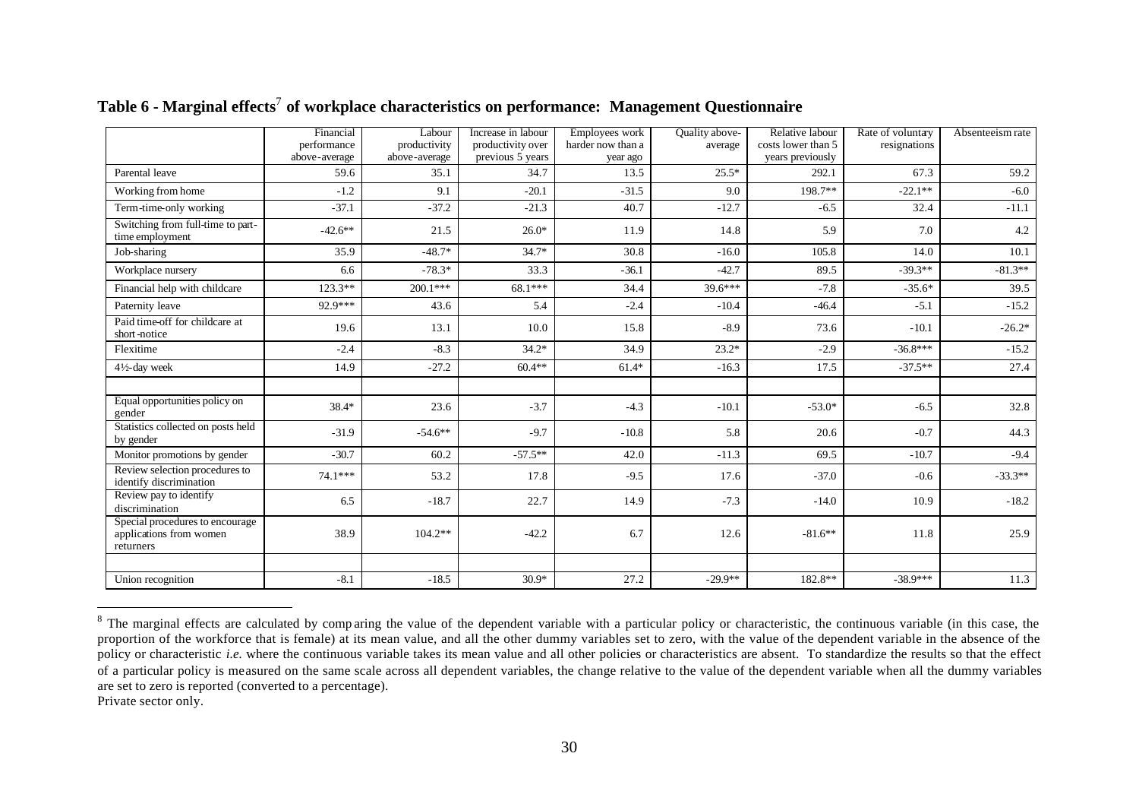|                                                                         | Financial<br>performance | Labour<br>productivity | Increase in labour<br>productivity over | Employees work<br>harder now than a | Quality above-<br>average | Relative labour<br>costs lower than 5 | Rate of voluntary<br>resignations | Absenteeism rate |
|-------------------------------------------------------------------------|--------------------------|------------------------|-----------------------------------------|-------------------------------------|---------------------------|---------------------------------------|-----------------------------------|------------------|
|                                                                         | above-average            | above-average          | previous 5 years                        | year ago                            |                           | years previously                      |                                   |                  |
| Parental leave                                                          | 59.6                     | 35.1                   | 34.7                                    | 13.5                                | $25.5*$                   | 292.1                                 | 67.3                              | 59.2             |
| Working from home                                                       | $-1.2$                   | 9.1                    | $-20.1$                                 | $-31.5$                             | 9.0                       | 198.7**                               | $-22.1**$                         | $-6.0$           |
| Term-time-only working                                                  | $-37.1$                  | $-37.2$                | $-21.3$                                 | 40.7                                | $-12.7$                   | $-6.5$                                | 32.4                              | $-11.1$          |
| Switching from full-time to part-<br>time employment                    | $-42.6**$                | 21.5                   | $26.0*$                                 | 11.9                                | 14.8                      | 5.9                                   | 7.0                               | 4.2              |
| Job-sharing                                                             | 35.9                     | $-48.7*$               | $34.7*$                                 | 30.8                                | $-16.0$                   | 105.8                                 | 14.0                              | 10.1             |
| Workplace nursery                                                       | 6.6                      | $-78.3*$               | 33.3                                    | $-36.1$                             | $-42.7$                   | 89.5                                  | $-39.3**$                         | $-81.3**$        |
| Financial help with childcare                                           | $123.3**$                | $200.1***$             | 68.1***                                 | 34.4                                | $39.6***$                 | $-7.8$                                | $-35.6*$                          | 39.5             |
| Paternity leave                                                         | 92.9***                  | 43.6                   | 5.4                                     | $-2.4$                              | $-10.4$                   | $-46.4$                               | $-5.1$                            | $-15.2$          |
| Paid time-off for childcare at<br>short-notice                          | 19.6                     | 13.1                   | 10.0                                    | 15.8                                | $-8.9$                    | 73.6                                  | $-10.1$                           | $-26.2*$         |
| Flexitime                                                               | $-2.4$                   | $-8.3$                 | $34.2*$                                 | 34.9                                | $23.2*$                   | $-2.9$                                | $-36.8***$                        | $-15.2$          |
| $4\frac{1}{2}$ -day week                                                | 14.9                     | $-27.2$                | $60.4**$                                | $61.4*$                             | $-16.3$                   | 17.5                                  | $-37.5**$                         | 27.4             |
|                                                                         |                          |                        |                                         |                                     |                           |                                       |                                   |                  |
| Equal opportunities policy on<br>gender                                 | 38.4*                    | 23.6                   | $-3.7$                                  | $-4.3$                              | $-10.1$                   | $-53.0*$                              | $-6.5$                            | 32.8             |
| Statistics collected on posts held<br>by gender                         | $-31.9$                  | $-54.6**$              | $-9.7$                                  | $-10.8$                             | 5.8                       | 20.6                                  | $-0.7$                            | 44.3             |
| Monitor promotions by gender                                            | $-30.7$                  | 60.2                   | $-57.5**$                               | 42.0                                | $-11.3$                   | 69.5                                  | $-10.7$                           | $-9.4$           |
| Review selection procedures to<br>identify discrimination               | $74.1***$                | 53.2                   | 17.8                                    | $-9.5$                              | 17.6                      | $-37.0$                               | $-0.6$                            | $-33.3**$        |
| Review pay to identify<br>discrimination                                | 6.5                      | $-18.7$                | 22.7                                    | 14.9                                | $-7.3$                    | $-14.0$                               | 10.9                              | $-18.2$          |
| Special procedures to encourage<br>applications from women<br>returners | 38.9                     | $104.2**$              | $-42.2$                                 | 6.7                                 | 12.6                      | $-81.6**$                             | 11.8                              | 25.9             |
|                                                                         |                          |                        |                                         |                                     |                           |                                       |                                   |                  |
| Union recognition                                                       | $-8.1$                   | $-18.5$                | $30.9*$                                 | 27.2                                | $-29.9**$                 | 182.8**                               | $-38.9***$                        | 11.3             |

Table 6 - Marginal effects<sup>7</sup> of workplace characteristics on performance: Management Questionnaire

Private sector only.

l

 $8$  The marginal effects are calculated by comparing the value of the dependent variable with a particular policy or characteristic, the continuous variable (in this case, the proportion of the workforce that is female) at its mean value, and all the other dummy variables set to zero, with the value of the dependent variable in the absence of the policy or characteristic *i.e.* where the continuous variable takes its mean value and all other policies or characteristics are absent. To standardize the results so that the effect of a particular policy is measured on the same scale across all dependent variables, the change relative to the value of the dependent variable when all the dummy variables are set to zero is reported (converted to a percentage).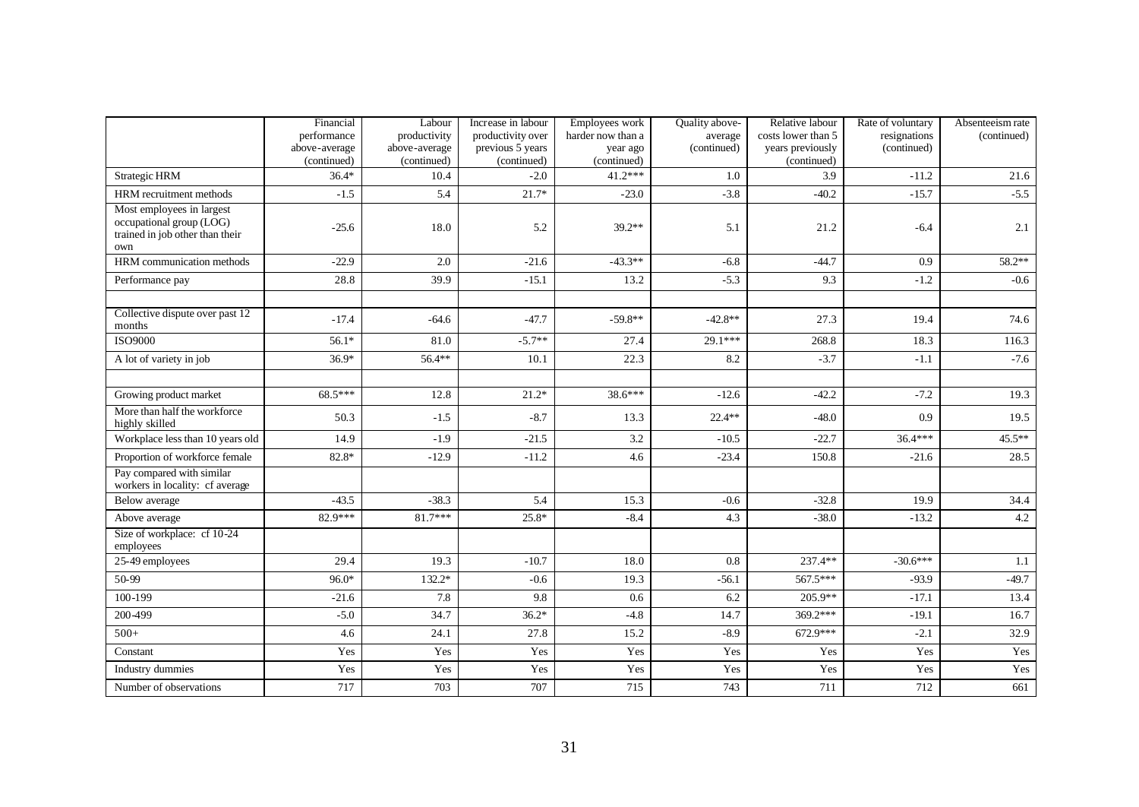|                                                                                                 | Financial<br>performance<br>above-average<br>(continued) | Labour<br>productivity<br>above-average<br>(continued) | Increase in labour<br>productivity over<br>previous 5 years<br>(continued) | Employees work<br>harder now than a<br>year ago<br>(continued) | Quality above-<br>average<br>(continued) | Relative labour<br>costs lower than 5<br>years previously<br>(continued) | Rate of voluntary<br>resignations<br>(continued) | Absenteeism rate<br>(continued) |
|-------------------------------------------------------------------------------------------------|----------------------------------------------------------|--------------------------------------------------------|----------------------------------------------------------------------------|----------------------------------------------------------------|------------------------------------------|--------------------------------------------------------------------------|--------------------------------------------------|---------------------------------|
| <b>Strategic HRM</b>                                                                            | $36.4*$                                                  | 10.4                                                   | $-2.0$                                                                     | $41.2***$                                                      | 1.0                                      | 3.9                                                                      | $-11.2$                                          | 21.6                            |
| HRM recruitment methods                                                                         | $-1.5$                                                   | 5.4                                                    | $21.7*$                                                                    | $-23.0$                                                        | $-3.8$                                   | $-40.2$                                                                  | $-15.7$                                          | $-5.5$                          |
| Most employees in largest<br>occupational group (LOG)<br>trained in job other than their<br>own | $-25.6$                                                  | 18.0                                                   | 5.2                                                                        | $39.2**$                                                       | 5.1                                      | 21.2                                                                     | $-6.4$                                           | 2.1                             |
| HRM communication methods                                                                       | $-22.9$                                                  | 2.0                                                    | $-21.6$                                                                    | $-43.3**$                                                      | $-6.8$                                   | $-44.7$                                                                  | 0.9                                              | 58.2**                          |
| Performance pay                                                                                 | 28.8                                                     | 39.9                                                   | $-15.1$                                                                    | 13.2                                                           | $-5.3$                                   | 9.3                                                                      | $-1.2$                                           | $-0.6$                          |
|                                                                                                 |                                                          |                                                        |                                                                            |                                                                |                                          |                                                                          |                                                  |                                 |
| Collective dispute over past 12<br>months                                                       | $-17.4$                                                  | $-64.6$                                                | $-47.7$                                                                    | $-59.8**$                                                      | $-42.8**$                                | 27.3                                                                     | 19.4                                             | 74.6                            |
| <b>ISO9000</b>                                                                                  | $56.1*$                                                  | 81.0                                                   | $-5.7**$                                                                   | 27.4                                                           | 29.1***                                  | 268.8                                                                    | 18.3                                             | 116.3                           |
| A lot of variety in job                                                                         | $36.9*$                                                  | 56.4**                                                 | 10.1                                                                       | 22.3                                                           | 8.2                                      | $-3.7$                                                                   | $-1.1$                                           | $-7.6$                          |
|                                                                                                 |                                                          |                                                        |                                                                            |                                                                |                                          |                                                                          |                                                  |                                 |
| Growing product market                                                                          | 68.5***                                                  | 12.8                                                   | $21.2*$                                                                    | 38.6***                                                        | $-12.6$                                  | $-42.2$                                                                  | $-7.2$                                           | 19.3                            |
| More than half the workforce<br>highly skilled                                                  | 50.3                                                     | $-1.5$                                                 | $-8.7$                                                                     | 13.3                                                           | $22.4**$                                 | $-48.0$                                                                  | 0.9                                              | 19.5                            |
| Workplace less than 10 years old                                                                | 14.9                                                     | $-1.9$                                                 | $-21.5$                                                                    | 3.2                                                            | $-10.5$                                  | $-22.7$                                                                  | $36.4***$                                        | 45.5**                          |
| Proportion of workforce female                                                                  | $82.8*$                                                  | $-12.9$                                                | $-11.2$                                                                    | 4.6                                                            | $-23.4$                                  | 150.8                                                                    | $-21.6$                                          | 28.5                            |
| Pay compared with similar<br>workers in locality: cf average                                    |                                                          |                                                        |                                                                            |                                                                |                                          |                                                                          |                                                  |                                 |
| Below average                                                                                   | $-43.5$                                                  | $-38.3$                                                | 5.4                                                                        | 15.3                                                           | $-0.6$                                   | $-32.8$                                                                  | 19.9                                             | 34.4                            |
| Above average                                                                                   | 82.9***                                                  | $81.7***$                                              | $25.8*$                                                                    | $-8.4$                                                         | 4.3                                      | $-38.0$                                                                  | $-13.2$                                          | $4.2\,$                         |
| Size of workplace: cf 10-24<br>employees                                                        |                                                          |                                                        |                                                                            |                                                                |                                          |                                                                          |                                                  |                                 |
| 25-49 employees                                                                                 | 29.4                                                     | 19.3                                                   | $-10.7$                                                                    | 18.0                                                           | $0.8\,$                                  | 237.4**                                                                  | $-30.6***$                                       | 1.1                             |
| 50-99                                                                                           | $96.0*$                                                  | 132.2*                                                 | $-0.6$                                                                     | 19.3                                                           | $-56.1$                                  | 567.5***                                                                 | $-93.9$                                          | $-49.7$                         |
| 100-199                                                                                         | $-21.6$                                                  | 7.8                                                    | 9.8                                                                        | 0.6                                                            | 6.2                                      | $205.9**$                                                                | $-17.1$                                          | 13.4                            |
| 200-499                                                                                         | $-5.0$                                                   | 34.7                                                   | $36.2*$                                                                    | $-4.8$                                                         | 14.7                                     | 369.2***                                                                 | $-19.1$                                          | 16.7                            |
| $500+$                                                                                          | 4.6                                                      | 24.1                                                   | 27.8                                                                       | 15.2                                                           | $-8.9$                                   | 672.9***                                                                 | $-2.1$                                           | 32.9                            |
| Constant                                                                                        | Yes                                                      | Yes                                                    | Yes                                                                        | Yes                                                            | Yes                                      | Yes                                                                      | Yes                                              | Yes                             |
| Industry dummies                                                                                | Yes                                                      | Yes                                                    | Yes                                                                        | Yes                                                            | Yes                                      | Yes                                                                      | Yes                                              | Yes                             |
| Number of observations                                                                          | 717                                                      | 703                                                    | 707                                                                        | 715                                                            | 743                                      | 711                                                                      | 712                                              | 661                             |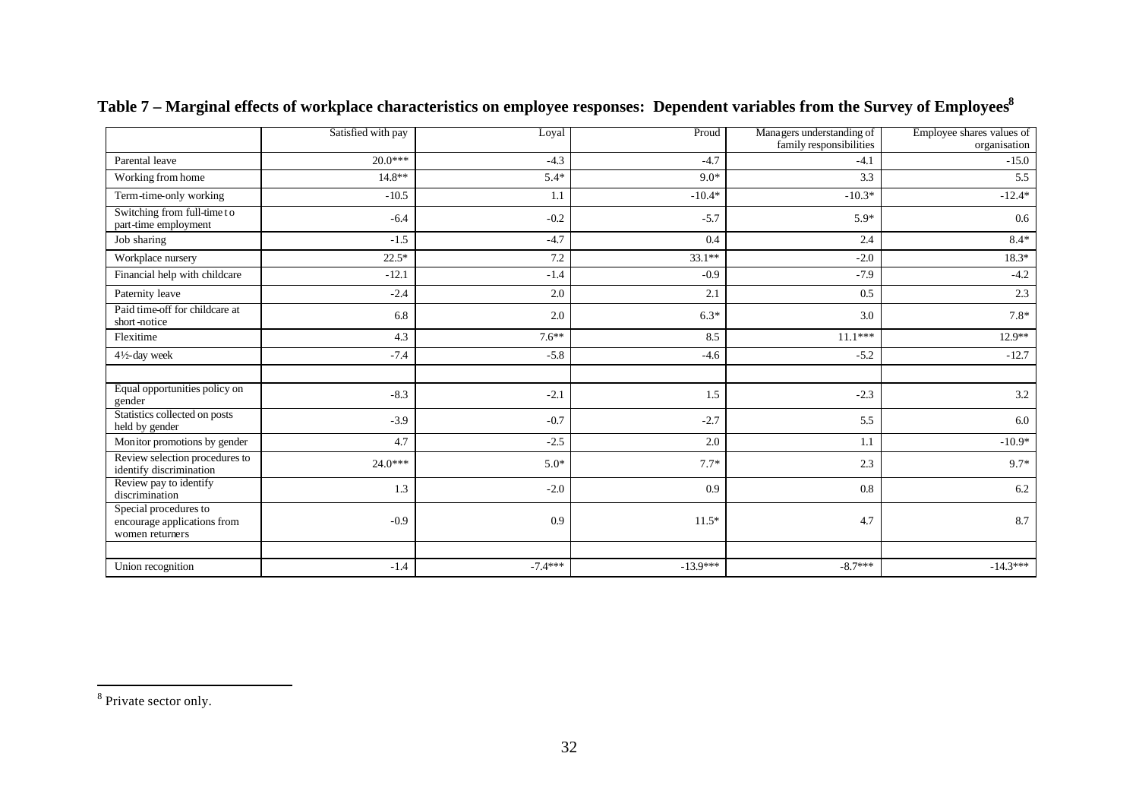|                                                                         | Satisfied with pay | Loyal     | Proud      | Managers understanding of<br>family responsibilities | Employee shares values of<br>organisation |
|-------------------------------------------------------------------------|--------------------|-----------|------------|------------------------------------------------------|-------------------------------------------|
| Parental leave                                                          | $20.0***$          | $-4.3$    | $-4.7$     | $-4.1$                                               | $-15.0$                                   |
| Working from home                                                       | $14.8**$           | $5.4*$    | $9.0*$     | 3.3                                                  | 5.5                                       |
| Term-time-only working                                                  | $-10.5$            | 1.1       | $-10.4*$   | $-10.3*$                                             | $-12.4*$                                  |
| Switching from full-time to<br>part-time employment                     | $-6.4$             | $-0.2$    | $-5.7$     | $5.9*$                                               | 0.6                                       |
| Job sharing                                                             | $-1.5$             | $-4.7$    | 0.4        | 2.4                                                  | $8.4*$                                    |
| Workplace nursery                                                       | $22.5*$            | 7.2       | $33.1**$   | $-2.0$                                               | $18.3*$                                   |
| Financial help with childcare                                           | $-12.1$            | $-1.4$    | $-0.9$     | $-7.9$                                               | $-4.2$                                    |
| Paternity leave                                                         | $-2.4$             | 2.0       | 2.1        | 0.5                                                  | 2.3                                       |
| Paid time-off for childcare at<br>short-notice                          | 6.8                | 2.0       | $6.3*$     | 3.0                                                  | $7.8*$                                    |
| Flexitime                                                               | 4.3                | $7.6**$   | 8.5        | $11.1***$                                            | $12.9**$                                  |
| $4\frac{1}{2}$ -day week                                                | $-7.4$             | $-5.8$    | $-4.6$     | $-5.2$                                               | $-12.7$                                   |
|                                                                         |                    |           |            |                                                      |                                           |
| Equal opportunities policy on<br>gender                                 | $-8.3$             | $-2.1$    | 1.5        | $-2.3$                                               | 3.2                                       |
| Statistics collected on posts<br>held by gender                         | $-3.9$             | $-0.7$    | $-2.7$     | 5.5                                                  | 6.0                                       |
| Monitor promotions by gender                                            | 4.7                | $-2.5$    | 2.0        | 1.1                                                  | $-10.9*$                                  |
| Review selection procedures to<br>identify discrimination               | $24.0***$          | $5.0*$    | $7.7*$     | 2.3                                                  | 9.7*                                      |
| Review pay to identify<br>discrimination                                | 1.3                | $-2.0$    | 0.9        | 0.8                                                  | 6.2                                       |
| Special procedures to<br>encourage applications from<br>women returners | $-0.9$             | 0.9       | $11.5*$    | 4.7                                                  | 8.7                                       |
|                                                                         |                    |           |            |                                                      |                                           |
| Union recognition                                                       | $-1.4$             | $-7.4***$ | $-13.9***$ | $-8.7***$                                            | $-14.3***$                                |

**Table 7 – Marginal effects of workplace characteristics on employee responses: Dependent variables from the Survey of Employees<sup>8</sup>**

<sup>&</sup>lt;sup>8</sup> Private sector only.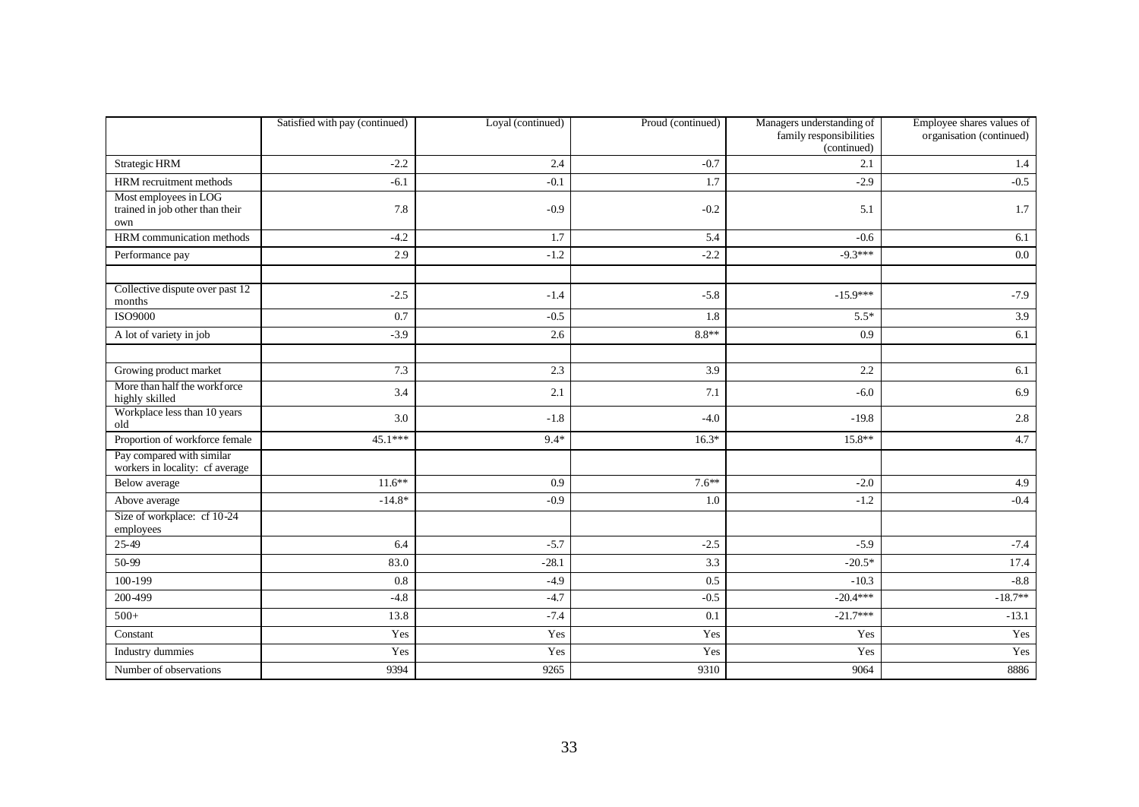|                                                                 | Satisfied with pay (continued) | Loyal (continued) | Proud (continued) | Managers understanding of<br>family responsibilities<br>(continued) | Employee shares values of<br>organisation (continued) |
|-----------------------------------------------------------------|--------------------------------|-------------------|-------------------|---------------------------------------------------------------------|-------------------------------------------------------|
| Strategic HRM                                                   | $-2.2$                         | 2.4               | $-0.7$            | 2.1                                                                 | 1.4                                                   |
| HRM recruitment methods                                         | $-6.1$                         | $-0.1$            | 1.7               | $-2.9$                                                              | $-0.5$                                                |
| Most employees in LOG<br>trained in job other than their<br>own | 7.8                            | $-0.9$            | $-0.2$            | 5.1                                                                 | 1.7                                                   |
| HRM communication methods                                       | $-4.2$                         | 1.7               | 5.4               | $-0.6$                                                              | 6.1                                                   |
| Performance pay                                                 | 2.9                            | $-1.2$            | $-2.2$            | $-9.3***$                                                           | $0.0\,$                                               |
|                                                                 |                                |                   |                   |                                                                     |                                                       |
| Collective dispute over past 12<br>months                       | $-2.5$                         | $-1.4$            | $-5.8$            | $-15.9***$                                                          | $-7.9$                                                |
| <b>ISO9000</b>                                                  | 0.7                            | $-0.5$            | 1.8               | $5.5*$                                                              | 3.9                                                   |
| A lot of variety in job                                         | $-3.9$                         | 2.6               | $8.8**$           | 0.9                                                                 | 6.1                                                   |
|                                                                 |                                |                   |                   |                                                                     |                                                       |
| Growing product market                                          | 7.3                            | 2.3               | 3.9               | 2.2                                                                 | 6.1                                                   |
| More than half the workforce<br>highly skilled                  | 3.4                            | 2.1               | 7.1               | $-6.0$                                                              | 6.9                                                   |
| Workplace less than 10 years<br>old                             | 3.0                            | $-1.8$            | $-4.0$            | $-19.8$                                                             | 2.8                                                   |
| Proportion of workforce female                                  | $45.1***$                      | $9.4*$            | $16.3*$           | $15.8**$                                                            | 4.7                                                   |
| Pay compared with similar<br>workers in locality: cf average    |                                |                   |                   |                                                                     |                                                       |
| Below average                                                   | $11.6**$                       | 0.9               | $7.6**$           | $-2.0$                                                              | 4.9                                                   |
| Above average                                                   | $-14.8*$                       | $-0.9$            | 1.0               | $-1.2$                                                              | $-0.4$                                                |
| Size of workplace: cf 10-24<br>employees                        |                                |                   |                   |                                                                     |                                                       |
| $25-49$                                                         | 6.4                            | $-5.7$            | $-2.5$            | $-5.9$                                                              | $-7.4$                                                |
| 50-99                                                           | 83.0                           | $-28.1$           | 3.3               | $-20.5*$                                                            | 17.4                                                  |
| 100-199                                                         | 0.8                            | $-4.9$            | 0.5               | $-10.3$                                                             | $-8.8$                                                |
| 200-499                                                         | $-4.8$                         | $-4.7$            | $-0.5$            | $-20.4***$                                                          | $-18.7**$                                             |
| $500+$                                                          | 13.8                           | $-7.4$            | 0.1               | $-21.7***$                                                          | $-13.1$                                               |
| Constant                                                        | Yes                            | Yes               | Yes               | Yes                                                                 | Yes                                                   |
| Industry dummies                                                | Yes                            | Yes               | Yes               | Yes                                                                 | Yes                                                   |
| Number of observations                                          | 9394                           | 9265              | 9310              | 9064                                                                | 8886                                                  |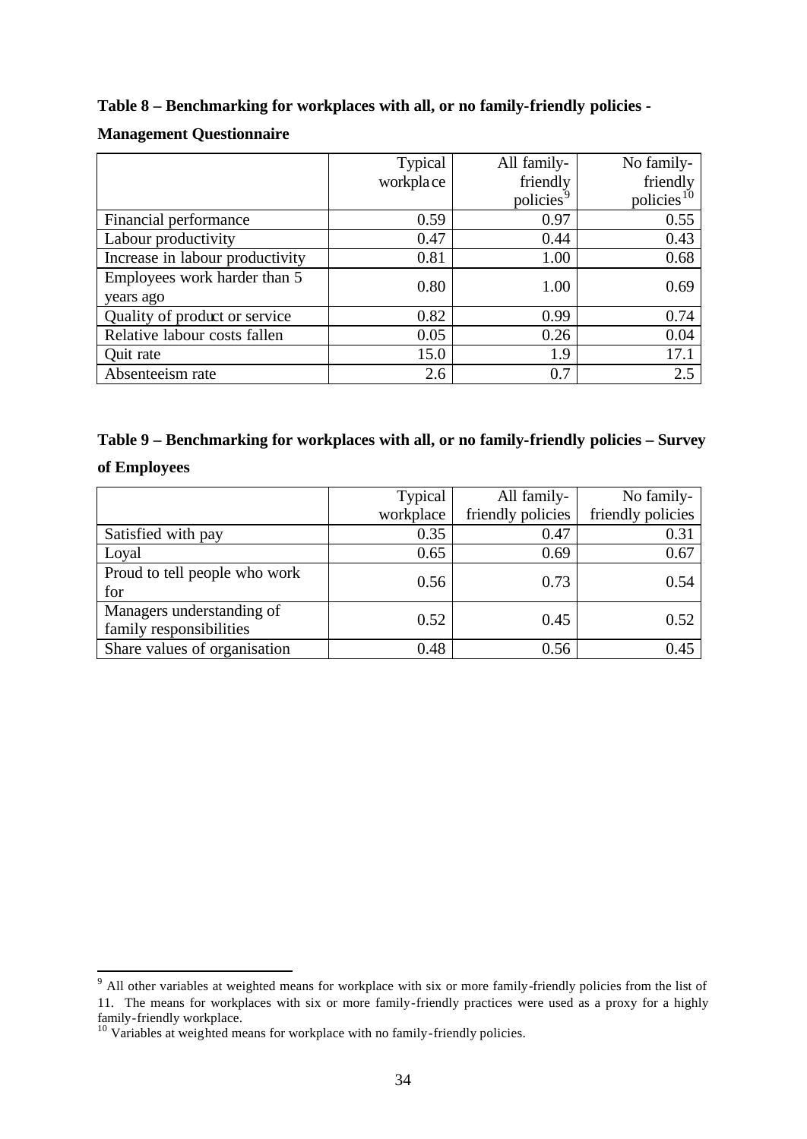**Table 8 – Benchmarking for workplaces with all, or no family-friendly policies -**

#### **Management Questionnaire**

|                                 | Typical   | All family-           | No family-             |
|---------------------------------|-----------|-----------------------|------------------------|
|                                 | workplace | friendly              | friendly               |
|                                 |           | policies <sup>9</sup> | policies <sup>10</sup> |
| Financial performance           | 0.59      | 0.97                  | 0.55                   |
| Labour productivity             | 0.47      | 0.44                  | 0.43                   |
| Increase in labour productivity | 0.81      | 1.00                  | 0.68                   |
| Employees work harder than 5    | 0.80      | 1.00                  | 0.69                   |
| years ago                       |           |                       |                        |
| Quality of product or service   | 0.82      | 0.99                  | 0.74                   |
| Relative labour costs fallen    | 0.05      | 0.26                  | 0.04                   |
| Quit rate                       | 15.0      | 1.9                   | 17.1                   |
| Absenteeism rate                | 2.6       | 0.7                   | 2.5                    |

| Table 9 – Benchmarking for workplaces with all, or no family-friendly policies – Survey |  |
|-----------------------------------------------------------------------------------------|--|
| of Employees                                                                            |  |

|                               | Typical   | All family-       | No family-        |
|-------------------------------|-----------|-------------------|-------------------|
|                               | workplace | friendly policies | friendly policies |
| Satisfied with pay            | 0.35      | 0.47              | 0.31              |
| Loyal                         | 0.65      | 0.69              | 0.67              |
| Proud to tell people who work | 0.56      | 0.73              | 0.54              |
| for                           |           |                   |                   |
| Managers understanding of     | 0.52      | 0.45              | 0.52              |
| family responsibilities       |           |                   |                   |
| Share values of organisation  | 0.48      | 0.56              | 0.45              |

<sup>&</sup>lt;sup>9</sup> All other variables at weighted means for workplace with six or more family-friendly policies from the list of 11. The means for workplaces with six or more family-friendly practices were used as a proxy for a highly family-friendly workplace.

<sup>&</sup>lt;sup>10</sup> Variables at weighted means for workplace with no family-friendly policies.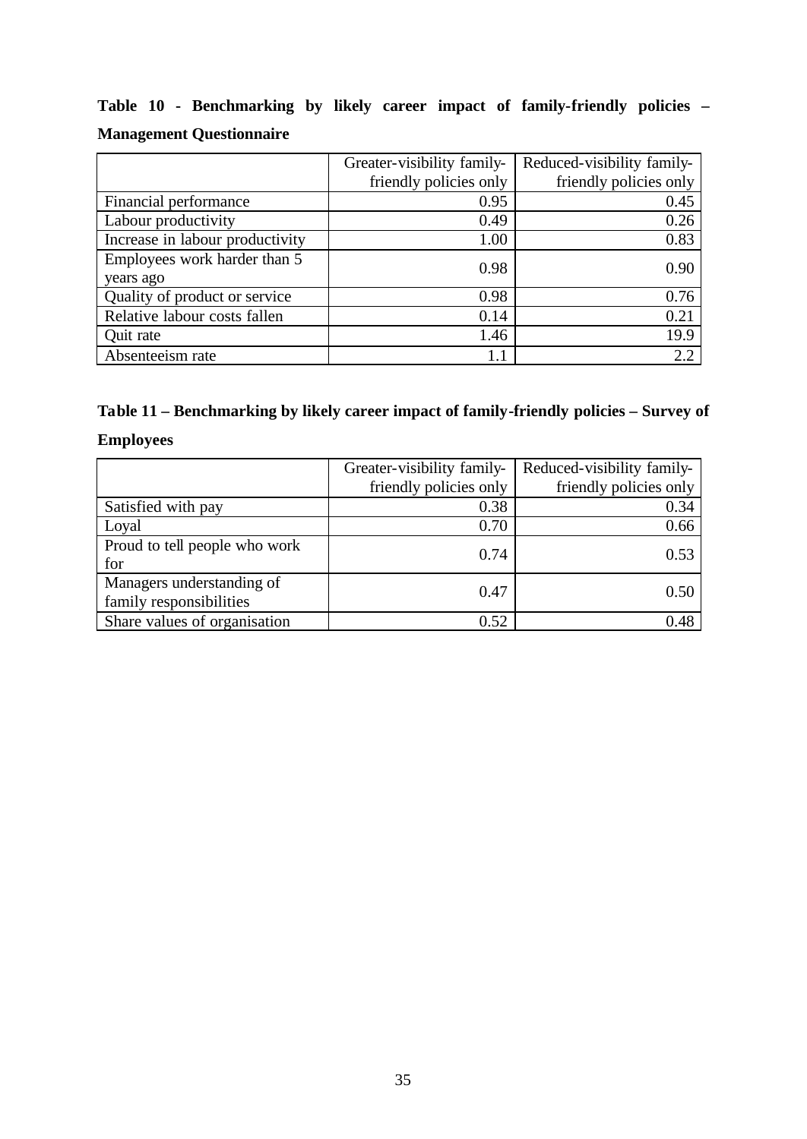|  |                                 |  |  | Table 10 - Benchmarking by likely career impact of family-friendly policies – |  |
|--|---------------------------------|--|--|-------------------------------------------------------------------------------|--|
|  | <b>Management Questionnaire</b> |  |  |                                                                               |  |

|                                 | Greater-visibility family- | Reduced-visibility family- |
|---------------------------------|----------------------------|----------------------------|
|                                 | friendly policies only     | friendly policies only     |
| Financial performance           | 0.95                       | 0.45                       |
| Labour productivity             | 0.49                       | 0.26                       |
| Increase in labour productivity | 1.00                       | 0.83                       |
| Employees work harder than 5    | 0.98                       | 0.90                       |
| years ago                       |                            |                            |
| Quality of product or service   | 0.98                       | 0.76                       |
| Relative labour costs fallen    | 0.14                       | 0.21                       |
| Quit rate                       | 1.46                       | 19.9                       |
| Absenteeism rate                | 1.1                        | 2.2                        |

# **Table 11 – Benchmarking by likely career impact of family-friendly policies – Survey of**

### **Employees**

|                               | Greater-visibility family- | Reduced-visibility family- |
|-------------------------------|----------------------------|----------------------------|
|                               | friendly policies only     | friendly policies only     |
| Satisfied with pay            | 0.38                       | 0.34                       |
| Loyal                         | 0.70                       | 0.66                       |
| Proud to tell people who work | 0.74                       | 0.53                       |
| for                           |                            |                            |
| Managers understanding of     | 0.47                       | 0.50                       |
| family responsibilities       |                            |                            |
| Share values of organisation  | 0.52                       | 0.48                       |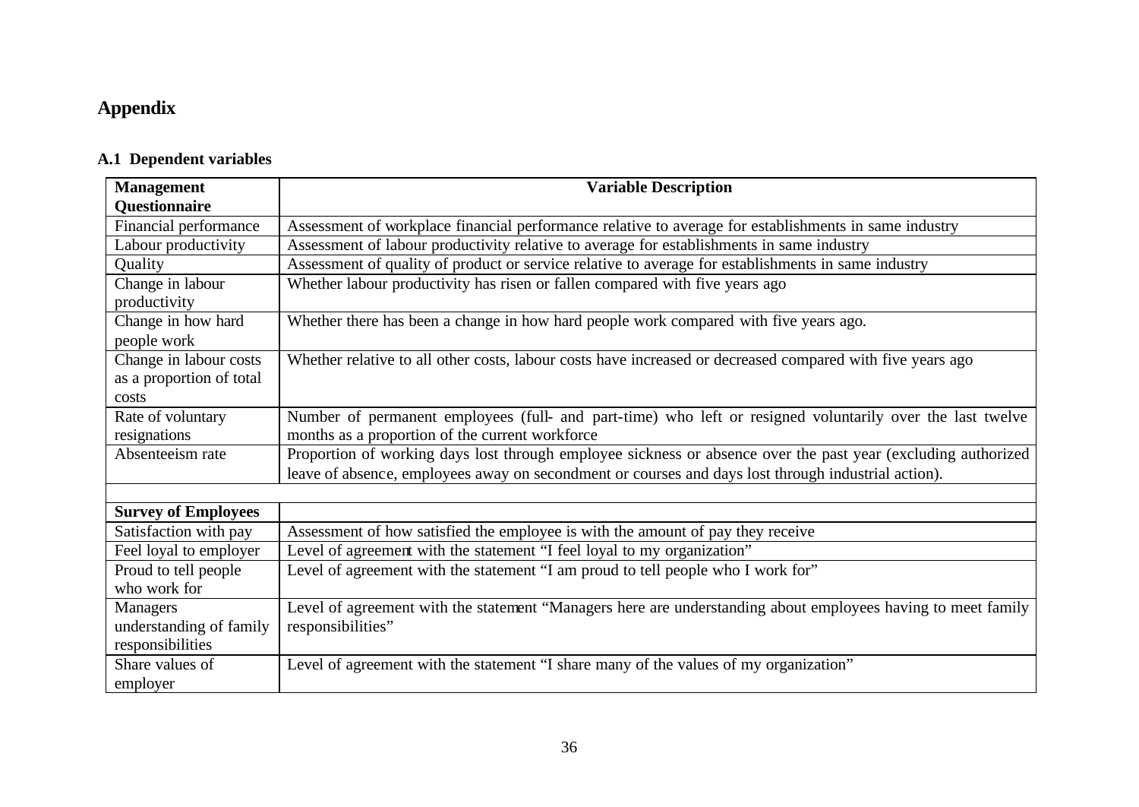## **Appendix**

### **A.1 Dependent variables**

| <b>Management</b>          | <b>Variable Description</b>                                                                                   |
|----------------------------|---------------------------------------------------------------------------------------------------------------|
| Questionnaire              |                                                                                                               |
| Financial performance      | Assessment of workplace financial performance relative to average for establishments in same industry         |
| Labour productivity        | Assessment of labour productivity relative to average for establishments in same industry                     |
| Quality                    | Assessment of quality of product or service relative to average for establishments in same industry           |
| Change in labour           | Whether labour productivity has risen or fallen compared with five years ago                                  |
| productivity               |                                                                                                               |
| Change in how hard         | Whether there has been a change in how hard people work compared with five years ago.                         |
| people work                |                                                                                                               |
| Change in labour costs     | Whether relative to all other costs, labour costs have increased or decreased compared with five years ago    |
| as a proportion of total   |                                                                                                               |
| costs                      |                                                                                                               |
| Rate of voluntary          | Number of permanent employees (full- and part-time) who left or resigned voluntarily over the last twelve     |
| resignations               | months as a proportion of the current workforce                                                               |
| Absenteeism rate           | Proportion of working days lost through employee sickness or absence over the past year (excluding authorized |
|                            | leave of absence, employees away on secondment or courses and days lost through industrial action).           |
|                            |                                                                                                               |
| <b>Survey of Employees</b> |                                                                                                               |
| Satisfaction with pay      | Assessment of how satisfied the employee is with the amount of pay they receive                               |
| Feel loyal to employer     | Level of agreement with the statement "I feel loyal to my organization"                                       |
| Proud to tell people       | Level of agreement with the statement "I am proud to tell people who I work for"                              |
| who work for               |                                                                                                               |
| <b>Managers</b>            | Level of agreement with the statement "Managers here are understanding about employees having to meet family  |
| understanding of family    | responsibilities"                                                                                             |
| responsibilities           |                                                                                                               |
| Share values of            | Level of agreement with the statement "I share many of the values of my organization"                         |
| employer                   |                                                                                                               |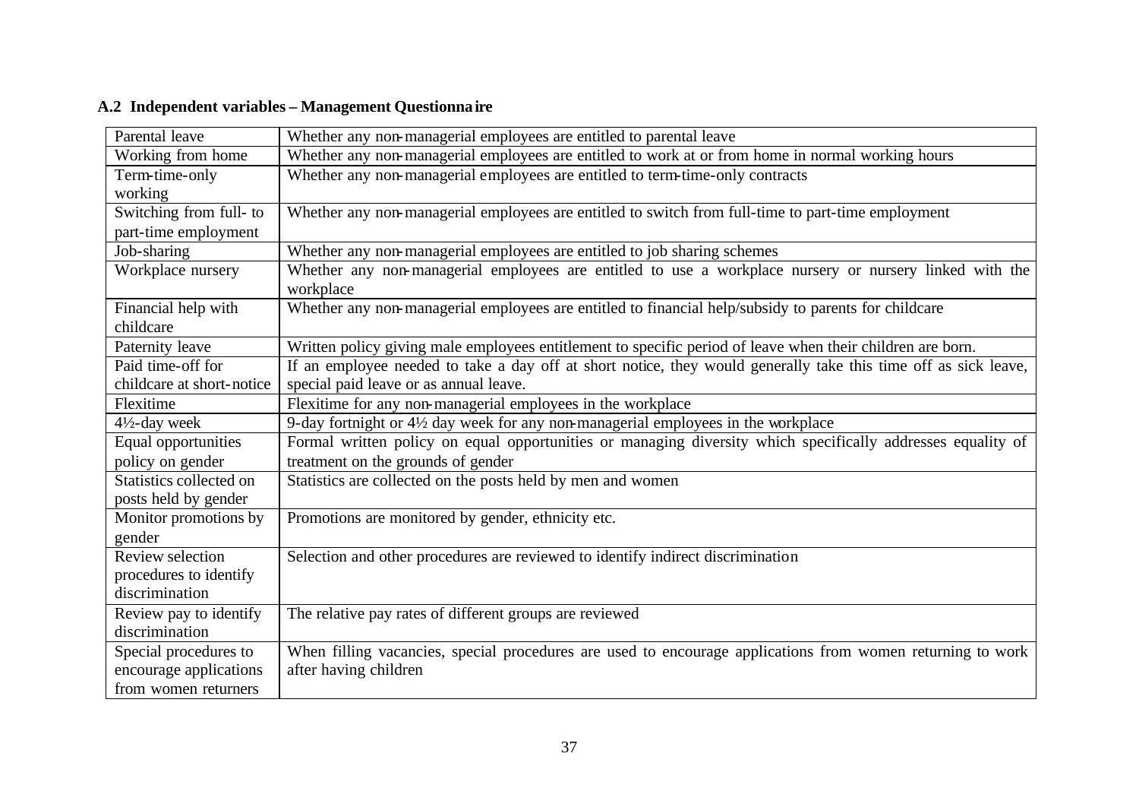| Parental leave            | Whether any non-managerial employees are entitled to parental leave                                                  |
|---------------------------|----------------------------------------------------------------------------------------------------------------------|
| Working from home         | Whether any non-managerial employees are entitled to work at or from home in normal working hours                    |
| Term-time-only            | Whether any non-managerial employees are entitled to term-time-only contracts                                        |
| working                   |                                                                                                                      |
| Switching from full- to   | Whether any non-managerial employees are entitled to switch from full-time to part-time employment                   |
| part-time employment      |                                                                                                                      |
| Job-sharing               | Whether any non-managerial employees are entitled to job sharing schemes                                             |
| Workplace nursery         | Whether any non-managerial employees are entitled to use a workplace nursery or nursery linked with the<br>workplace |
| Financial help with       | Whether any non-managerial employees are entitled to financial help/subsidy to parents for childcare                 |
| childcare                 |                                                                                                                      |
| Paternity leave           | Written policy giving male employees entitlement to specific period of leave when their children are born.           |
| Paid time-off for         | If an employee needed to take a day off at short notice, they would generally take this time off as sick leave,      |
| childcare at short-notice | special paid leave or as annual leave.                                                                               |
| Flexitime                 | Flexitime for any non-managerial employees in the workplace                                                          |
| $4\frac{1}{2}$ -day week  | 9-day fortnight or 4½ day week for any non-managerial employees in the workplace                                     |
| Equal opportunities       | Formal written policy on equal opportunities or managing diversity which specifically addresses equality of          |
| policy on gender          | treatment on the grounds of gender                                                                                   |
| Statistics collected on   | Statistics are collected on the posts held by men and women                                                          |
| posts held by gender      |                                                                                                                      |
| Monitor promotions by     | Promotions are monitored by gender, ethnicity etc.                                                                   |
| gender                    |                                                                                                                      |
| Review selection          | Selection and other procedures are reviewed to identify indirect discrimination                                      |
| procedures to identify    |                                                                                                                      |
| discrimination            |                                                                                                                      |
| Review pay to identify    | The relative pay rates of different groups are reviewed                                                              |
| discrimination            |                                                                                                                      |
| Special procedures to     | When filling vacancies, special procedures are used to encourage applications from women returning to work           |
| encourage applications    | after having children                                                                                                |
| from women returners      |                                                                                                                      |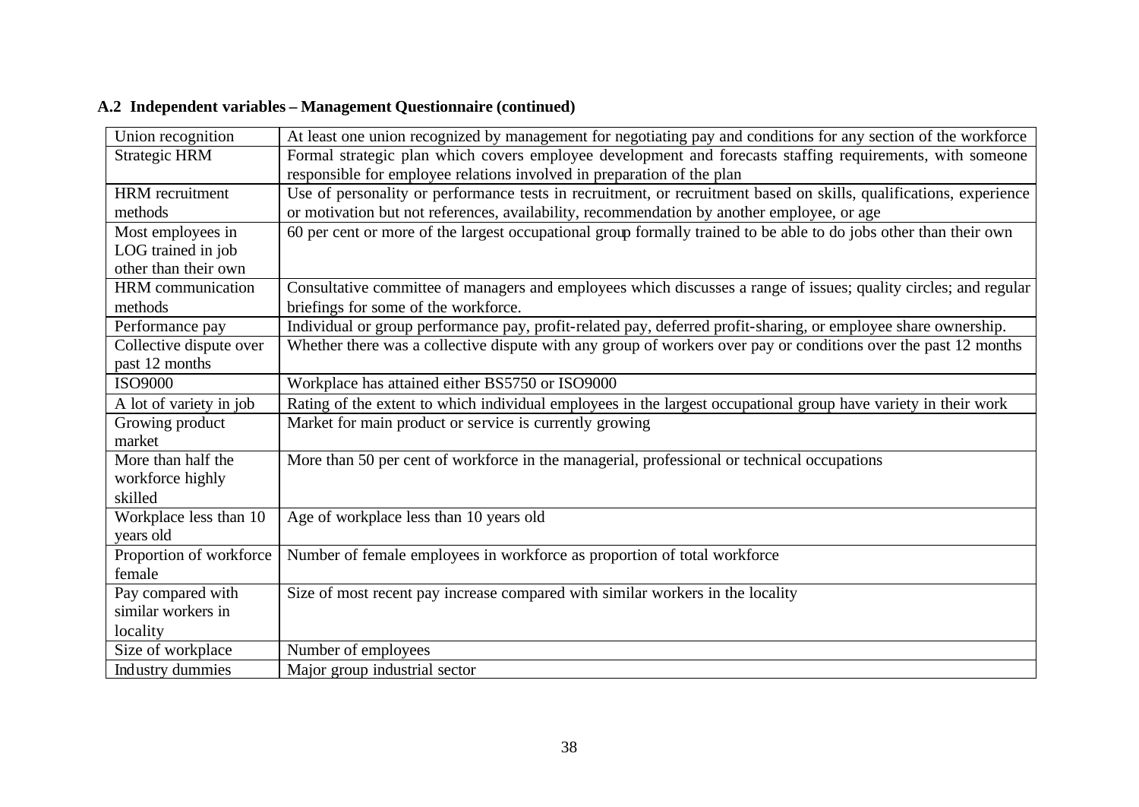| Union recognition       | At least one union recognized by management for negotiating pay and conditions for any section of the workforce    |
|-------------------------|--------------------------------------------------------------------------------------------------------------------|
| <b>Strategic HRM</b>    | Formal strategic plan which covers employee development and forecasts staffing requirements, with someone          |
|                         | responsible for employee relations involved in preparation of the plan                                             |
| <b>HRM</b> recruitment  | Use of personality or performance tests in recruitment, or recruitment based on skills, qualifications, experience |
| methods                 | or motivation but not references, availability, recommendation by another employee, or age                         |
| Most employees in       | 60 per cent or more of the largest occupational group formally trained to be able to do jobs other than their own  |
| LOG trained in job      |                                                                                                                    |
| other than their own    |                                                                                                                    |
| HRM communication       | Consultative committee of managers and employees which discusses a range of issues; quality circles; and regular   |
| methods                 | briefings for some of the workforce.                                                                               |
| Performance pay         | Individual or group performance pay, profit-related pay, deferred profit-sharing, or employee share ownership.     |
| Collective dispute over | Whether there was a collective dispute with any group of workers over pay or conditions over the past 12 months    |
| past 12 months          |                                                                                                                    |
| <b>ISO9000</b>          | Workplace has attained either BS5750 or ISO9000                                                                    |
| A lot of variety in job | Rating of the extent to which individual employees in the largest occupational group have variety in their work    |
| Growing product         | Market for main product or service is currently growing                                                            |
| market                  |                                                                                                                    |
| More than half the      | More than 50 per cent of workforce in the managerial, professional or technical occupations                        |
| workforce highly        |                                                                                                                    |
| skilled                 |                                                                                                                    |
| Workplace less than 10  | Age of workplace less than 10 years old                                                                            |
| years old               |                                                                                                                    |
| Proportion of workforce | Number of female employees in workforce as proportion of total workforce                                           |
| female                  |                                                                                                                    |
| Pay compared with       | Size of most recent pay increase compared with similar workers in the locality                                     |
| similar workers in      |                                                                                                                    |
| locality                |                                                                                                                    |
| Size of workplace       | Number of employees                                                                                                |
| Industry dummies        | Major group industrial sector                                                                                      |

### **A.2 Independent variables – Management Questionnaire (continued)**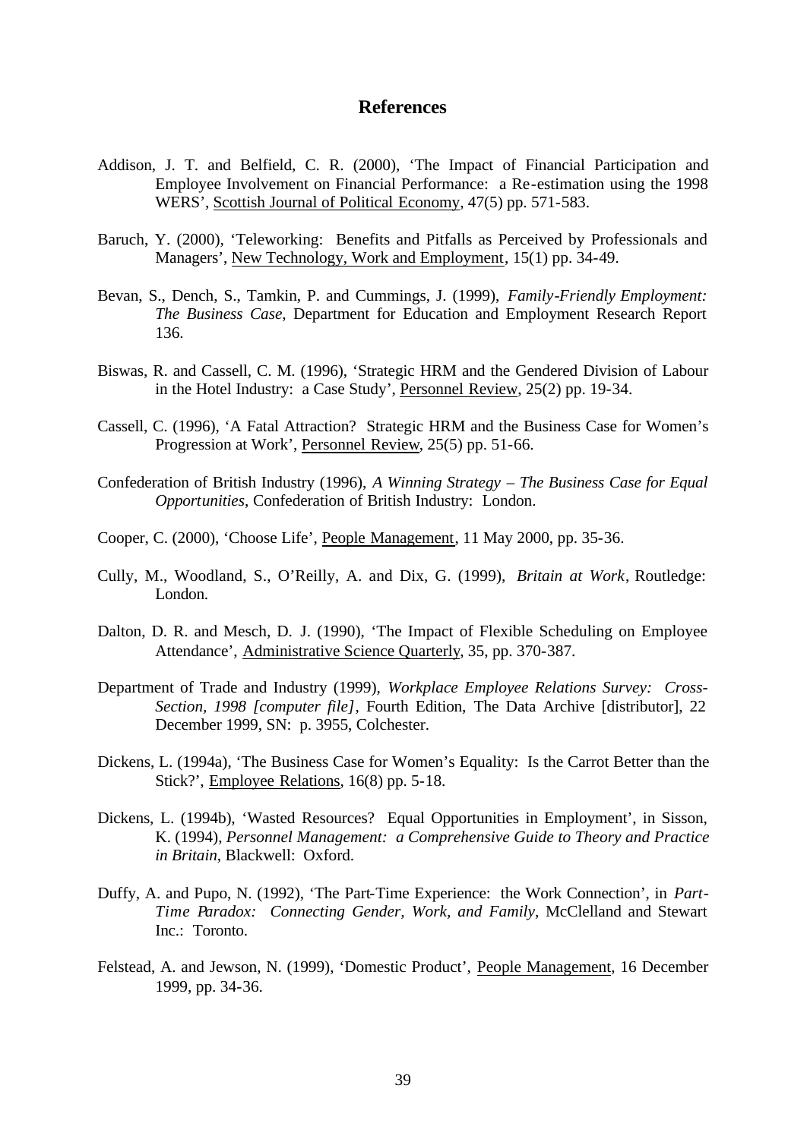#### **References**

- Addison, J. T. and Belfield, C. R. (2000), 'The Impact of Financial Participation and Employee Involvement on Financial Performance: a Re-estimation using the 1998 WERS', Scottish Journal of Political Economy*,* 47(5) pp. 571-583.
- Baruch, Y. (2000), 'Teleworking: Benefits and Pitfalls as Perceived by Professionals and Managers', New Technology, Work and Employment, 15(1) pp. 34-49.
- Bevan, S., Dench, S., Tamkin, P. and Cummings, J. (1999), *Family-Friendly Employment: The Business Case*, Department for Education and Employment Research Report 136.
- Biswas, R. and Cassell, C. M. (1996), 'Strategic HRM and the Gendered Division of Labour in the Hotel Industry: a Case Study', Personnel Review, 25(2) pp. 19-34.
- Cassell, C. (1996), 'A Fatal Attraction? Strategic HRM and the Business Case for Women's Progression at Work', Personnel Review, 25(5) pp. 51-66.
- Confederation of British Industry (1996), *A Winning Strategy The Business Case for Equal Opportunities*, Confederation of British Industry: London.
- Cooper, C. (2000), 'Choose Life', People Management, 11 May 2000, pp. 35-36.
- Cully, M., Woodland, S., O'Reilly, A. and Dix, G. (1999), *Britain at Work*, Routledge: London.
- Dalton, D. R. and Mesch, D. J. (1990), 'The Impact of Flexible Scheduling on Employee Attendance', Administrative Science Quarterly, 35, pp. 370-387.
- Department of Trade and Industry (1999), *Workplace Employee Relations Survey: Cross-Section, 1998 [computer file]*, Fourth Edition, The Data Archive [distributor], 22 December 1999, SN: p. 3955, Colchester.
- Dickens, L. (1994a), 'The Business Case for Women's Equality: Is the Carrot Better than the Stick?', Employee Relations, 16(8) pp. 5-18.
- Dickens, L. (1994b), 'Wasted Resources? Equal Opportunities in Employment', in Sisson, K. (1994), *Personnel Management: a Comprehensive Guide to Theory and Practice in Britain*, Blackwell: Oxford.
- Duffy, A. and Pupo, N. (1992), 'The Part-Time Experience: the Work Connection', in *Part-Time Paradox: Connecting Gender, Work, and Family*, McClelland and Stewart Inc.: Toronto.
- Felstead, A. and Jewson, N. (1999), 'Domestic Product', People Management, 16 December 1999, pp. 34-36.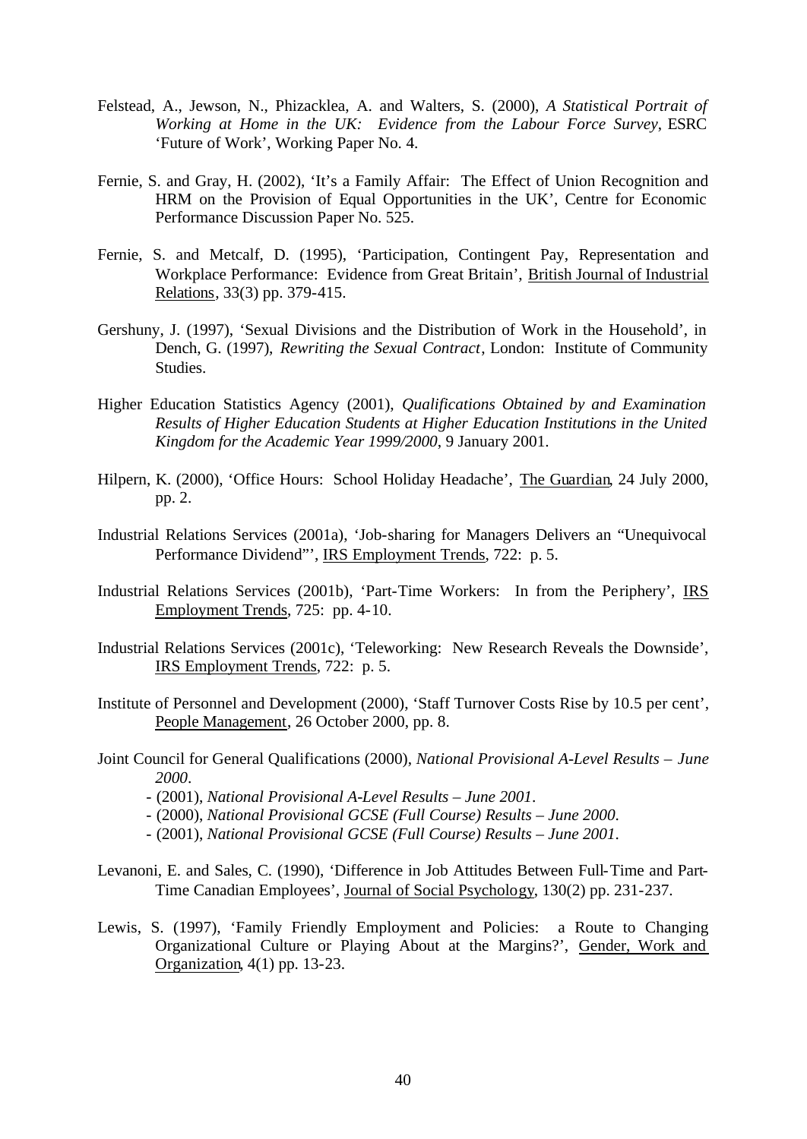- Felstead, A., Jewson, N., Phizacklea, A. and Walters, S. (2000), *A Statistical Portrait of Working at Home in the UK: Evidence from the Labour Force Survey*, ESRC 'Future of Work', Working Paper No. 4.
- Fernie, S. and Gray, H. (2002), 'It's a Family Affair: The Effect of Union Recognition and HRM on the Provision of Equal Opportunities in the UK', Centre for Economic Performance Discussion Paper No. 525.
- Fernie, S. and Metcalf, D. (1995), 'Participation, Contingent Pay, Representation and Workplace Performance: Evidence from Great Britain', British Journal of Industrial Relations, 33(3) pp. 379-415.
- Gershuny, J. (1997), 'Sexual Divisions and the Distribution of Work in the Household', in Dench, G. (1997), *Rewriting the Sexual Contract*, London: Institute of Community Studies.
- Higher Education Statistics Agency (2001), *Qualifications Obtained by and Examination Results of Higher Education Students at Higher Education Institutions in the United Kingdom for the Academic Year 1999/2000*, 9 January 2001.
- Hilpern, K. (2000), 'Office Hours: School Holiday Headache', The Guardian, 24 July 2000, pp. 2.
- Industrial Relations Services (2001a), 'Job-sharing for Managers Delivers an "Unequivocal Performance Dividend"', IRS Employment Trends, 722: p. 5.
- Industrial Relations Services (2001b), 'Part-Time Workers: In from the Periphery', IRS Employment Trends, 725: pp. 4-10.
- Industrial Relations Services (2001c), 'Teleworking: New Research Reveals the Downside', IRS Employment Trends, 722: p. 5.
- Institute of Personnel and Development (2000), 'Staff Turnover Costs Rise by 10.5 per cent', People Management, 26 October 2000, pp. 8.
- Joint Council for General Qualifications (2000), *National Provisional A-Level Results June 2000*.
	- (2001), *National Provisional A-Level Results June 2001*.
	- (2000), *National Provisional GCSE (Full Course) Results June 2000*.
	- (2001), *National Provisional GCSE (Full Course) Results June 2001*.
- Levanoni, E. and Sales, C. (1990), 'Difference in Job Attitudes Between Full-Time and Part-Time Canadian Employees', Journal of Social Psychology, 130(2) pp. 231-237.
- Lewis, S. (1997), 'Family Friendly Employment and Policies: a Route to Changing Organizational Culture or Playing About at the Margins?', Gender, Work and Organization, 4(1) pp. 13-23.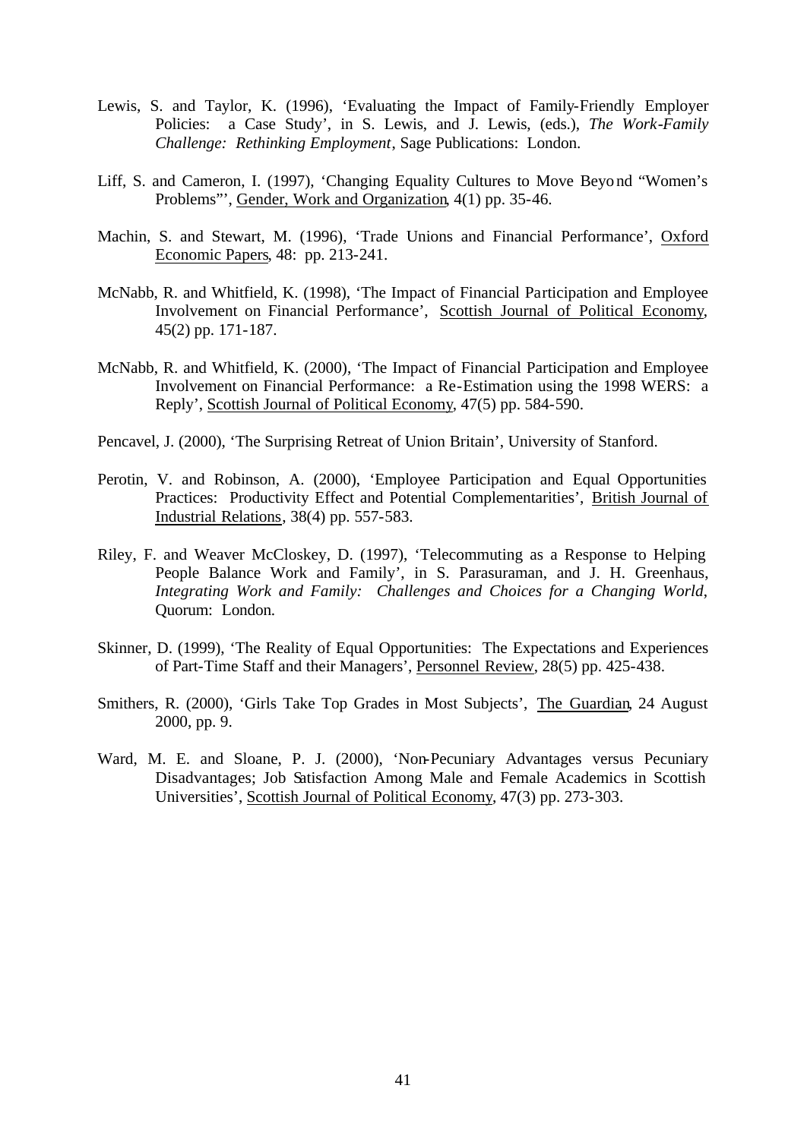- Lewis, S. and Taylor, K. (1996), 'Evaluating the Impact of Family-Friendly Employer Policies: a Case Study', in S. Lewis, and J. Lewis, (eds.), *The Work-Family Challenge: Rethinking Employment*, Sage Publications: London.
- Liff, S. and Cameron, I. (1997), 'Changing Equality Cultures to Move Beyond "Women's Problems"', Gender, Work and Organization, 4(1) pp. 35-46.
- Machin, S. and Stewart, M. (1996), 'Trade Unions and Financial Performance', Oxford Economic Papers, 48: pp. 213-241.
- McNabb, R. and Whitfield, K. (1998), 'The Impact of Financial Participation and Employee Involvement on Financial Performance', Scottish Journal of Political Economy, 45(2) pp. 171-187.
- McNabb, R. and Whitfield, K. (2000), 'The Impact of Financial Participation and Employee Involvement on Financial Performance: a Re-Estimation using the 1998 WERS: a Reply', Scottish Journal of Political Economy, 47(5) pp. 584-590.
- Pencavel, J. (2000), 'The Surprising Retreat of Union Britain', University of Stanford.
- Perotin, V. and Robinson, A. (2000), 'Employee Participation and Equal Opportunities Practices: Productivity Effect and Potential Complementarities', British Journal of Industrial Relations, 38(4) pp. 557-583.
- Riley, F. and Weaver McCloskey, D. (1997), 'Telecommuting as a Response to Helping People Balance Work and Family', in S. Parasuraman, and J. H. Greenhaus, *Integrating Work and Family: Challenges and Choices for a Changing World*, Quorum: London.
- Skinner, D. (1999), 'The Reality of Equal Opportunities: The Expectations and Experiences of Part-Time Staff and their Managers', Personnel Review, 28(5) pp. 425-438.
- Smithers, R. (2000), 'Girls Take Top Grades in Most Subjects', The Guardian, 24 August 2000, pp. 9.
- Ward, M. E. and Sloane, P. J. (2000), 'Non-Pecuniary Advantages versus Pecuniary Disadvantages; Job Satisfaction Among Male and Female Academics in Scottish Universities', Scottish Journal of Political Economy, 47(3) pp. 273-303.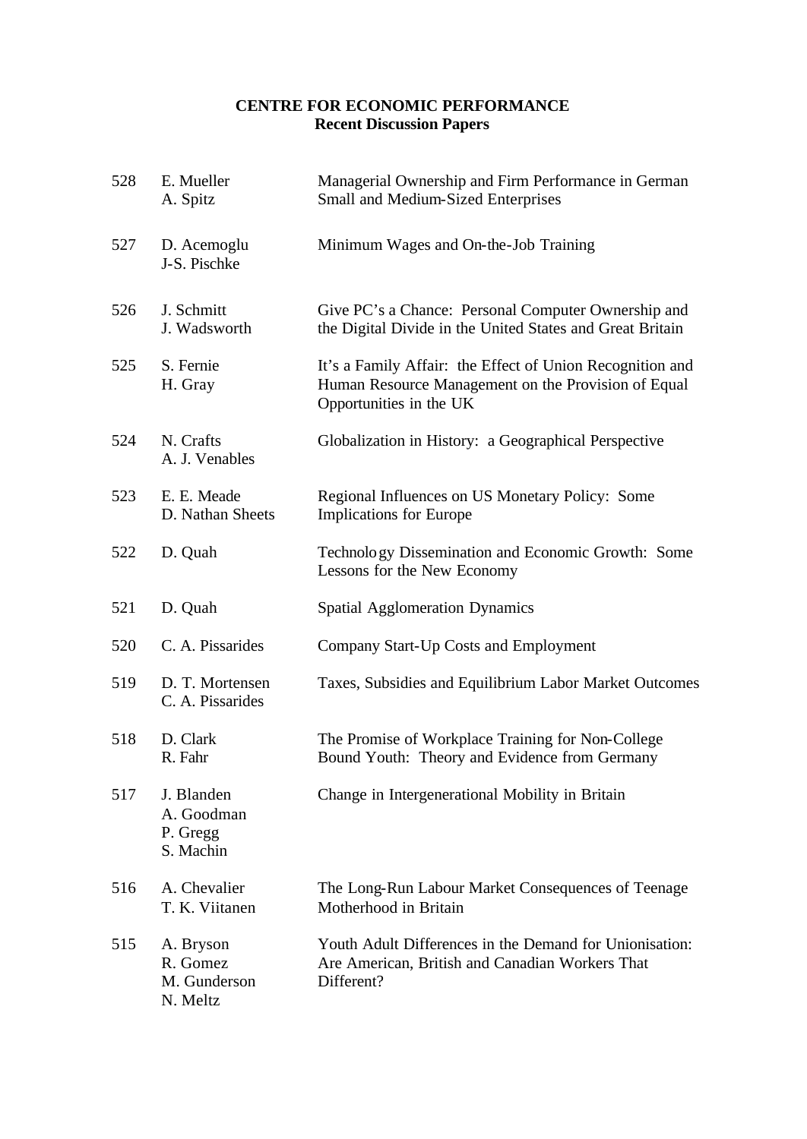### **CENTRE FOR ECONOMIC PERFORMANCE Recent Discussion Papers**

| 528 | E. Mueller<br>A. Spitz                            | Managerial Ownership and Firm Performance in German<br>Small and Medium-Sized Enterprises                                                   |
|-----|---------------------------------------------------|---------------------------------------------------------------------------------------------------------------------------------------------|
| 527 | D. Acemoglu<br>J-S. Pischke                       | Minimum Wages and On-the-Job Training                                                                                                       |
| 526 | J. Schmitt<br>J. Wadsworth                        | Give PC's a Chance: Personal Computer Ownership and<br>the Digital Divide in the United States and Great Britain                            |
| 525 | S. Fernie<br>H. Gray                              | It's a Family Affair: the Effect of Union Recognition and<br>Human Resource Management on the Provision of Equal<br>Opportunities in the UK |
| 524 | N. Crafts<br>A. J. Venables                       | Globalization in History: a Geographical Perspective                                                                                        |
| 523 | E. E. Meade<br>D. Nathan Sheets                   | Regional Influences on US Monetary Policy: Some<br><b>Implications for Europe</b>                                                           |
| 522 | D. Quah                                           | Technology Dissemination and Economic Growth: Some<br>Lessons for the New Economy                                                           |
| 521 | D. Quah                                           | <b>Spatial Agglomeration Dynamics</b>                                                                                                       |
| 520 | C. A. Pissarides                                  | Company Start-Up Costs and Employment                                                                                                       |
| 519 | D. T. Mortensen<br>C. A. Pissarides               | Taxes, Subsidies and Equilibrium Labor Market Outcomes                                                                                      |
| 518 | D. Clark<br>R. Fahr                               | The Promise of Workplace Training for Non-College<br>Bound Youth: Theory and Evidence from Germany                                          |
| 517 | J. Blanden<br>A. Goodman<br>P. Gregg<br>S. Machin | Change in Intergenerational Mobility in Britain                                                                                             |
| 516 | A. Chevalier<br>T. K. Viitanen                    | The Long-Run Labour Market Consequences of Teenage<br>Motherhood in Britain                                                                 |
| 515 | A. Bryson<br>R. Gomez<br>M. Gunderson<br>N. Meltz | Youth Adult Differences in the Demand for Unionisation:<br>Are American, British and Canadian Workers That<br>Different?                    |